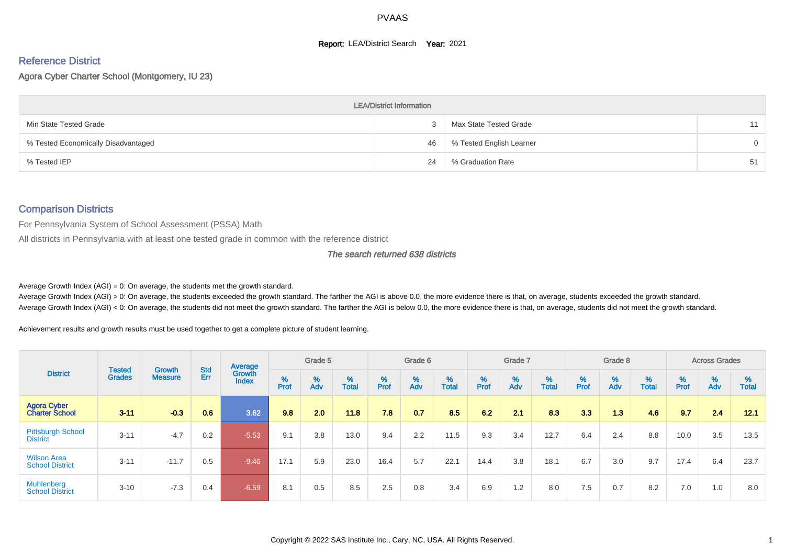#### **Report: LEA/District Search Year: 2021**

## Reference District

Agora Cyber Charter School (Montgomery, IU 23)

|                                     | <b>LEA/District Information</b> |                          |    |
|-------------------------------------|---------------------------------|--------------------------|----|
| Min State Tested Grade              |                                 | Max State Tested Grade   | 11 |
| % Tested Economically Disadvantaged | 46                              | % Tested English Learner | 0  |
| % Tested IEP                        | 24                              | % Graduation Rate        | 51 |

#### Comparison Districts

For Pennsylvania System of School Assessment (PSSA) Math

All districts in Pennsylvania with at least one tested grade in common with the reference district

The search returned 638 districts

Average Growth Index  $(AGI) = 0$ : On average, the students met the growth standard.

Average Growth Index (AGI) > 0: On average, the students exceeded the growth standard. The farther the AGI is above 0.0, the more evidence there is that, on average, students exceeded the growth standard. Average Growth Index (AGI) < 0: On average, the students did not meet the growth standard. The farther the AGI is below 0.0, the more evidence there is that, on average, students did not meet the growth standard.

Achievement results and growth results must be used together to get a complete picture of student learning.

|                                              |                                |                                 |            | Average                |        | Grade 5  |                   |        | Grade 6  |            |           | Grade 7  |            |           | Grade 8                       |            |          | <b>Across Grades</b> |                   |
|----------------------------------------------|--------------------------------|---------------------------------|------------|------------------------|--------|----------|-------------------|--------|----------|------------|-----------|----------|------------|-----------|-------------------------------|------------|----------|----------------------|-------------------|
| <b>District</b>                              | <b>Tested</b><br><b>Grades</b> | <b>Growth</b><br><b>Measure</b> | Std<br>Err | Growth<br><b>Index</b> | % Pref | %<br>Adv | %<br><b>Total</b> | % Pref | %<br>Adv | %<br>Total | %<br>Prof | %<br>Adv | %<br>Total | %<br>Prof | $\stackrel{\%}{\mathsf{Adv}}$ | %<br>Total | $%$ Prof | %<br>Adv             | %<br><b>Total</b> |
| <b>Agora Cyber</b><br><b>Charter School</b>  | $3 - 11$                       | $-0.3$                          | 0.6        | 3.62                   | 9.8    | 2.0      | 11.8              | 7.8    | 0.7      | 8.5        | 6.2       | 21       | 8.3        | 3.3       | 1.3                           | 4.6        | 9.7      | 2.4                  | 12.1              |
| <b>Pittsburgh School</b><br><b>District</b>  | $3 - 11$                       | $-4.7$                          | 0.2        | $-5.53$                | 9.1    | 3.8      | 13.0              | 9.4    | 2.2      | 11.5       | 9.3       | 3.4      | 12.7       | 6.4       | 2.4                           | 8.8        | 10.0     | 3.5                  | 13.5              |
| <b>Wilson Area</b><br><b>School District</b> | $3 - 11$                       | $-11.7$                         | 0.5        | $-9.46$                | 17.1   | 5.9      | 23.0              | 16.4   | 5.7      | 22.1       | 14.4      | 3.8      | 18.1       | 6.7       | 3.0                           | 9.7        | 17.4     | 6.4                  | 23.7              |
| Muhlenberg<br><b>School District</b>         | $3 - 10$                       | $-7.3$                          | 0.4        | $-6.59$                | 8.1    | 0.5      | 8.5               | 2.5    | 0.8      | 3.4        | 6.9       | 1.2      | 8.0        | 7.5       | 0.7                           | 8.2        | 7.0      | 1.0                  | 8.0               |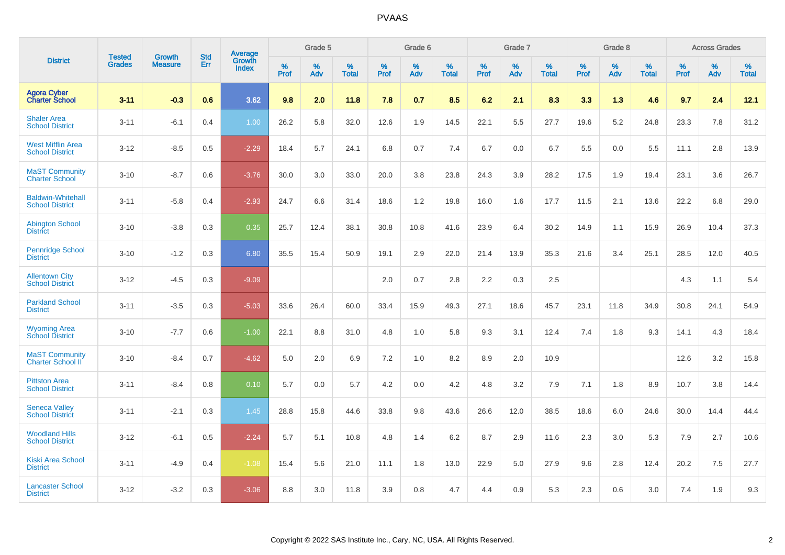|                                                    |                                |                                 | <b>Std</b> | <b>Average</b>         |           | Grade 5  |                   |           | Grade 6  |                   |           | Grade 7  |                   |           | Grade 8  |                   |           | <b>Across Grades</b> |            |
|----------------------------------------------------|--------------------------------|---------------------------------|------------|------------------------|-----------|----------|-------------------|-----------|----------|-------------------|-----------|----------|-------------------|-----------|----------|-------------------|-----------|----------------------|------------|
| <b>District</b>                                    | <b>Tested</b><br><b>Grades</b> | <b>Growth</b><br><b>Measure</b> | Err        | Growth<br><b>Index</b> | %<br>Prof | %<br>Adv | %<br><b>Total</b> | %<br>Prof | %<br>Adv | %<br><b>Total</b> | %<br>Prof | %<br>Adv | %<br><b>Total</b> | %<br>Prof | %<br>Adv | %<br><b>Total</b> | %<br>Prof | %<br>Adv             | %<br>Total |
| <b>Agora Cyber</b><br><b>Charter School</b>        | $3 - 11$                       | $-0.3$                          | 0.6        | 3.62                   | 9.8       | 2.0      | 11.8              | 7.8       | 0.7      | 8.5               | 6.2       | 2.1      | 8.3               | 3.3       | 1.3      | 4.6               | 9.7       | 2.4                  | 12.1       |
| <b>Shaler Area</b><br><b>School District</b>       | $3 - 11$                       | $-6.1$                          | 0.4        | 1.00                   | 26.2      | 5.8      | 32.0              | 12.6      | 1.9      | 14.5              | 22.1      | 5.5      | 27.7              | 19.6      | 5.2      | 24.8              | 23.3      | 7.8                  | 31.2       |
| <b>West Mifflin Area</b><br><b>School District</b> | $3 - 12$                       | $-8.5$                          | 0.5        | $-2.29$                | 18.4      | 5.7      | 24.1              | 6.8       | 0.7      | 7.4               | 6.7       | 0.0      | 6.7               | 5.5       | 0.0      | 5.5               | 11.1      | 2.8                  | 13.9       |
| <b>MaST Community</b><br><b>Charter School</b>     | $3 - 10$                       | $-8.7$                          | 0.6        | $-3.76$                | 30.0      | 3.0      | 33.0              | 20.0      | 3.8      | 23.8              | 24.3      | 3.9      | 28.2              | 17.5      | 1.9      | 19.4              | 23.1      | 3.6                  | 26.7       |
| <b>Baldwin-Whitehall</b><br><b>School District</b> | $3 - 11$                       | $-5.8$                          | 0.4        | $-2.93$                | 24.7      | 6.6      | 31.4              | 18.6      | 1.2      | 19.8              | 16.0      | 1.6      | 17.7              | 11.5      | 2.1      | 13.6              | 22.2      | 6.8                  | 29.0       |
| <b>Abington School</b><br><b>District</b>          | $3 - 10$                       | $-3.8$                          | 0.3        | 0.35                   | 25.7      | 12.4     | 38.1              | 30.8      | 10.8     | 41.6              | 23.9      | 6.4      | 30.2              | 14.9      | 1.1      | 15.9              | 26.9      | 10.4                 | 37.3       |
| <b>Pennridge School</b><br><b>District</b>         | $3 - 10$                       | $-1.2$                          | 0.3        | 6.80                   | 35.5      | 15.4     | 50.9              | 19.1      | 2.9      | 22.0              | 21.4      | 13.9     | 35.3              | 21.6      | 3.4      | 25.1              | 28.5      | 12.0                 | 40.5       |
| <b>Allentown City</b><br><b>School District</b>    | $3 - 12$                       | $-4.5$                          | 0.3        | $-9.09$                |           |          |                   | 2.0       | 0.7      | 2.8               | 2.2       | 0.3      | 2.5               |           |          |                   | 4.3       | 1.1                  | 5.4        |
| <b>Parkland School</b><br><b>District</b>          | $3 - 11$                       | $-3.5$                          | 0.3        | $-5.03$                | 33.6      | 26.4     | 60.0              | 33.4      | 15.9     | 49.3              | 27.1      | 18.6     | 45.7              | 23.1      | 11.8     | 34.9              | 30.8      | 24.1                 | 54.9       |
| <b>Wyoming Area</b><br><b>School District</b>      | $3 - 10$                       | $-7.7$                          | 0.6        | $-1.00$                | 22.1      | 8.8      | 31.0              | 4.8       | 1.0      | 5.8               | 9.3       | 3.1      | 12.4              | 7.4       | 1.8      | 9.3               | 14.1      | 4.3                  | 18.4       |
| <b>MaST Community</b><br><b>Charter School II</b>  | $3 - 10$                       | $-8.4$                          | 0.7        | $-4.62$                | 5.0       | 2.0      | 6.9               | 7.2       | 1.0      | 8.2               | 8.9       | 2.0      | 10.9              |           |          |                   | 12.6      | 3.2                  | 15.8       |
| <b>Pittston Area</b><br><b>School District</b>     | $3 - 11$                       | $-8.4$                          | 0.8        | 0.10                   | 5.7       | 0.0      | 5.7               | 4.2       | 0.0      | 4.2               | 4.8       | 3.2      | 7.9               | 7.1       | 1.8      | 8.9               | 10.7      | 3.8                  | 14.4       |
| <b>Seneca Valley</b><br><b>School District</b>     | $3 - 11$                       | $-2.1$                          | 0.3        | 1.45                   | 28.8      | 15.8     | 44.6              | 33.8      | 9.8      | 43.6              | 26.6      | 12.0     | 38.5              | 18.6      | 6.0      | 24.6              | 30.0      | 14.4                 | 44.4       |
| <b>Woodland Hills</b><br><b>School District</b>    | $3 - 12$                       | $-6.1$                          | 0.5        | $-2.24$                | 5.7       | 5.1      | 10.8              | 4.8       | 1.4      | 6.2               | 8.7       | 2.9      | 11.6              | 2.3       | 3.0      | 5.3               | 7.9       | 2.7                  | 10.6       |
| <b>Kiski Area School</b><br><b>District</b>        | $3 - 11$                       | $-4.9$                          | 0.4        | $-1.08$                | 15.4      | 5.6      | 21.0              | 11.1      | 1.8      | 13.0              | 22.9      | 5.0      | 27.9              | 9.6       | 2.8      | 12.4              | 20.2      | 7.5                  | 27.7       |
| <b>Lancaster School</b><br><b>District</b>         | $3 - 12$                       | $-3.2$                          | 0.3        | $-3.06$                | 8.8       | 3.0      | 11.8              | 3.9       | 0.8      | 4.7               | 4.4       | 0.9      | 5.3               | 2.3       | 0.6      | 3.0               | 7.4       | 1.9                  | 9.3        |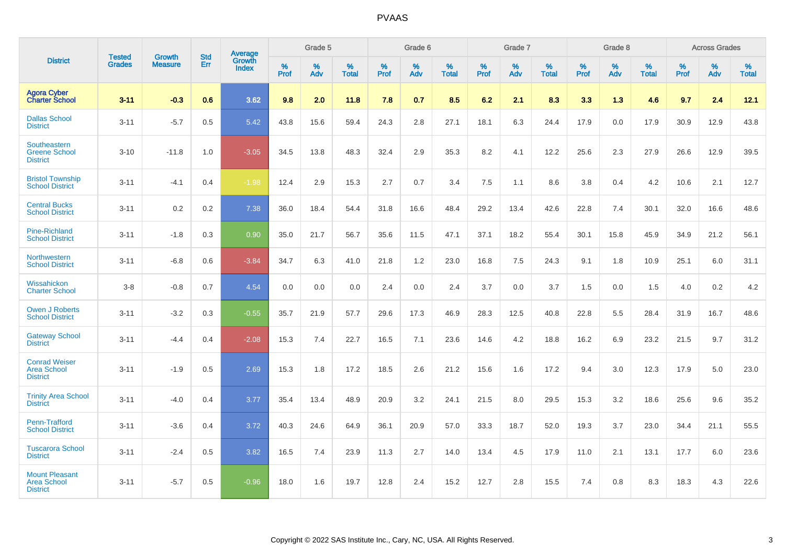|                                                                | <b>Tested</b> | <b>Growth</b>  | <b>Std</b> | Average                |           | Grade 5  |                   |           | Grade 6  |                   |           | Grade 7  |                   |           | Grade 8  |                   |           | <b>Across Grades</b> |                   |
|----------------------------------------------------------------|---------------|----------------|------------|------------------------|-----------|----------|-------------------|-----------|----------|-------------------|-----------|----------|-------------------|-----------|----------|-------------------|-----------|----------------------|-------------------|
| <b>District</b>                                                | <b>Grades</b> | <b>Measure</b> | Err        | Growth<br><b>Index</b> | %<br>Prof | %<br>Adv | %<br><b>Total</b> | %<br>Prof | %<br>Adv | %<br><b>Total</b> | %<br>Prof | %<br>Adv | %<br><b>Total</b> | %<br>Prof | %<br>Adv | %<br><b>Total</b> | %<br>Prof | %<br>Adv             | %<br><b>Total</b> |
| <b>Agora Cyber<br/>Charter School</b>                          | $3 - 11$      | $-0.3$         | 0.6        | 3.62                   | 9.8       | 2.0      | 11.8              | 7.8       | 0.7      | 8.5               | 6.2       | 2.1      | 8.3               | 3.3       | 1.3      | 4.6               | 9.7       | 2.4                  | 12.1              |
| <b>Dallas School</b><br><b>District</b>                        | $3 - 11$      | $-5.7$         | 0.5        | 5.42                   | 43.8      | 15.6     | 59.4              | 24.3      | 2.8      | 27.1              | 18.1      | 6.3      | 24.4              | 17.9      | 0.0      | 17.9              | 30.9      | 12.9                 | 43.8              |
| Southeastern<br><b>Greene School</b><br><b>District</b>        | $3 - 10$      | $-11.8$        | 1.0        | $-3.05$                | 34.5      | 13.8     | 48.3              | 32.4      | 2.9      | 35.3              | 8.2       | 4.1      | 12.2              | 25.6      | 2.3      | 27.9              | 26.6      | 12.9                 | 39.5              |
| <b>Bristol Township</b><br><b>School District</b>              | $3 - 11$      | $-4.1$         | 0.4        | $-1.98$                | 12.4      | 2.9      | 15.3              | 2.7       | 0.7      | 3.4               | 7.5       | 1.1      | 8.6               | 3.8       | 0.4      | 4.2               | 10.6      | 2.1                  | 12.7              |
| <b>Central Bucks</b><br><b>School District</b>                 | $3 - 11$      | 0.2            | 0.2        | 7.38                   | 36.0      | 18.4     | 54.4              | 31.8      | 16.6     | 48.4              | 29.2      | 13.4     | 42.6              | 22.8      | 7.4      | 30.1              | 32.0      | 16.6                 | 48.6              |
| <b>Pine-Richland</b><br><b>School District</b>                 | $3 - 11$      | $-1.8$         | 0.3        | 0.90                   | 35.0      | 21.7     | 56.7              | 35.6      | 11.5     | 47.1              | 37.1      | 18.2     | 55.4              | 30.1      | 15.8     | 45.9              | 34.9      | 21.2                 | 56.1              |
| <b>Northwestern</b><br><b>School District</b>                  | $3 - 11$      | $-6.8$         | 0.6        | $-3.84$                | 34.7      | 6.3      | 41.0              | 21.8      | 1.2      | 23.0              | 16.8      | 7.5      | 24.3              | 9.1       | 1.8      | 10.9              | 25.1      | 6.0                  | 31.1              |
| Wissahickon<br><b>Charter School</b>                           | $3 - 8$       | $-0.8$         | 0.7        | 4.54                   | 0.0       | 0.0      | 0.0               | 2.4       | 0.0      | 2.4               | 3.7       | 0.0      | 3.7               | 1.5       | 0.0      | 1.5               | 4.0       | $0.2\,$              | 4.2               |
| <b>Owen J Roberts</b><br><b>School District</b>                | $3 - 11$      | $-3.2$         | 0.3        | $-0.55$                | 35.7      | 21.9     | 57.7              | 29.6      | 17.3     | 46.9              | 28.3      | 12.5     | 40.8              | 22.8      | 5.5      | 28.4              | 31.9      | 16.7                 | 48.6              |
| <b>Gateway School</b><br><b>District</b>                       | $3 - 11$      | $-4.4$         | 0.4        | $-2.08$                | 15.3      | 7.4      | 22.7              | 16.5      | 7.1      | 23.6              | 14.6      | 4.2      | 18.8              | 16.2      | 6.9      | 23.2              | 21.5      | 9.7                  | 31.2              |
| <b>Conrad Weiser</b><br><b>Area School</b><br><b>District</b>  | $3 - 11$      | $-1.9$         | 0.5        | 2.69                   | 15.3      | 1.8      | 17.2              | 18.5      | 2.6      | 21.2              | 15.6      | 1.6      | 17.2              | 9.4       | 3.0      | 12.3              | 17.9      | 5.0                  | 23.0              |
| <b>Trinity Area School</b><br><b>District</b>                  | $3 - 11$      | $-4.0$         | 0.4        | 3.77                   | 35.4      | 13.4     | 48.9              | 20.9      | 3.2      | 24.1              | 21.5      | 8.0      | 29.5              | 15.3      | 3.2      | 18.6              | 25.6      | 9.6                  | 35.2              |
| <b>Penn-Trafford</b><br><b>School District</b>                 | $3 - 11$      | $-3.6$         | 0.4        | 3.72                   | 40.3      | 24.6     | 64.9              | 36.1      | 20.9     | 57.0              | 33.3      | 18.7     | 52.0              | 19.3      | 3.7      | 23.0              | 34.4      | 21.1                 | 55.5              |
| <b>Tuscarora School</b><br><b>District</b>                     | $3 - 11$      | $-2.4$         | 0.5        | 3.82                   | 16.5      | 7.4      | 23.9              | 11.3      | 2.7      | 14.0              | 13.4      | 4.5      | 17.9              | 11.0      | 2.1      | 13.1              | 17.7      | 6.0                  | 23.6              |
| <b>Mount Pleasant</b><br><b>Area School</b><br><b>District</b> | $3 - 11$      | $-5.7$         | 0.5        | $-0.96$                | 18.0      | 1.6      | 19.7              | 12.8      | 2.4      | 15.2              | 12.7      | 2.8      | 15.5              | 7.4       | 0.8      | 8.3               | 18.3      | 4.3                  | 22.6              |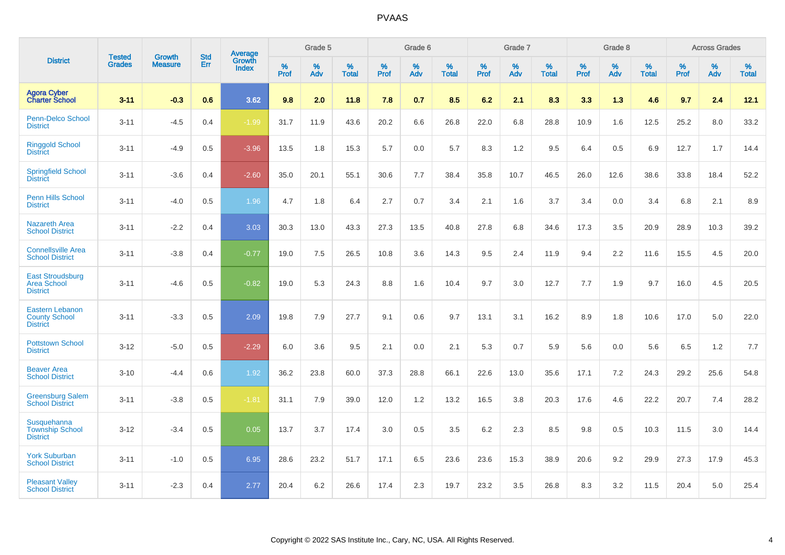|                                                                   |                                |                                 | <b>Std</b> | Average                |           | Grade 5  |                   |           | Grade 6  |                   |           | Grade 7  |                   |           | Grade 8  |                   |           | <b>Across Grades</b> |                   |
|-------------------------------------------------------------------|--------------------------------|---------------------------------|------------|------------------------|-----------|----------|-------------------|-----------|----------|-------------------|-----------|----------|-------------------|-----------|----------|-------------------|-----------|----------------------|-------------------|
| <b>District</b>                                                   | <b>Tested</b><br><b>Grades</b> | <b>Growth</b><br><b>Measure</b> | Err        | <b>Growth</b><br>Index | %<br>Prof | %<br>Adv | %<br><b>Total</b> | %<br>Prof | %<br>Adv | %<br><b>Total</b> | %<br>Prof | %<br>Adv | %<br><b>Total</b> | %<br>Prof | %<br>Adv | %<br><b>Total</b> | %<br>Prof | %<br>Adv             | %<br><b>Total</b> |
| <b>Agora Cyber</b><br><b>Charter School</b>                       | $3 - 11$                       | $-0.3$                          | 0.6        | 3.62                   | 9.8       | 2.0      | 11.8              | 7.8       | 0.7      | 8.5               | 6.2       | 2.1      | 8.3               | 3.3       | 1.3      | 4.6               | 9.7       | 2.4                  | 12.1              |
| <b>Penn-Delco School</b><br><b>District</b>                       | $3 - 11$                       | $-4.5$                          | 0.4        | $-1.99$                | 31.7      | 11.9     | 43.6              | 20.2      | 6.6      | 26.8              | 22.0      | 6.8      | 28.8              | 10.9      | 1.6      | 12.5              | 25.2      | 8.0                  | 33.2              |
| <b>Ringgold School</b><br><b>District</b>                         | $3 - 11$                       | $-4.9$                          | 0.5        | $-3.96$                | 13.5      | 1.8      | 15.3              | 5.7       | 0.0      | 5.7               | 8.3       | 1.2      | 9.5               | 6.4       | 0.5      | 6.9               | 12.7      | 1.7                  | 14.4              |
| <b>Springfield School</b><br><b>District</b>                      | $3 - 11$                       | $-3.6$                          | 0.4        | $-2.60$                | 35.0      | 20.1     | 55.1              | 30.6      | 7.7      | 38.4              | 35.8      | 10.7     | 46.5              | 26.0      | 12.6     | 38.6              | 33.8      | 18.4                 | 52.2              |
| Penn Hills School<br><b>District</b>                              | $3 - 11$                       | $-4.0$                          | 0.5        | 1.96                   | 4.7       | 1.8      | 6.4               | 2.7       | 0.7      | 3.4               | 2.1       | 1.6      | 3.7               | 3.4       | 0.0      | 3.4               | 6.8       | 2.1                  | 8.9               |
| <b>Nazareth Area</b><br><b>School District</b>                    | $3 - 11$                       | $-2.2$                          | 0.4        | 3.03                   | 30.3      | 13.0     | 43.3              | 27.3      | 13.5     | 40.8              | 27.8      | 6.8      | 34.6              | 17.3      | 3.5      | 20.9              | 28.9      | 10.3                 | 39.2              |
| <b>Connellsville Area</b><br><b>School District</b>               | $3 - 11$                       | $-3.8$                          | 0.4        | $-0.77$                | 19.0      | 7.5      | 26.5              | 10.8      | 3.6      | 14.3              | 9.5       | 2.4      | 11.9              | 9.4       | 2.2      | 11.6              | 15.5      | 4.5                  | 20.0              |
| <b>East Stroudsburg</b><br><b>Area School</b><br><b>District</b>  | $3 - 11$                       | $-4.6$                          | 0.5        | $-0.82$                | 19.0      | 5.3      | 24.3              | 8.8       | 1.6      | 10.4              | 9.7       | 3.0      | 12.7              | 7.7       | 1.9      | 9.7               | 16.0      | 4.5                  | 20.5              |
| <b>Eastern Lebanon</b><br><b>County School</b><br><b>District</b> | $3 - 11$                       | $-3.3$                          | 0.5        | 2.09                   | 19.8      | 7.9      | 27.7              | 9.1       | 0.6      | 9.7               | 13.1      | 3.1      | 16.2              | 8.9       | 1.8      | 10.6              | 17.0      | 5.0                  | 22.0              |
| <b>Pottstown School</b><br><b>District</b>                        | $3 - 12$                       | $-5.0$                          | 0.5        | $-2.29$                | 6.0       | 3.6      | 9.5               | 2.1       | 0.0      | 2.1               | 5.3       | 0.7      | 5.9               | 5.6       | 0.0      | 5.6               | 6.5       | 1.2                  | 7.7               |
| <b>Beaver Area</b><br><b>School District</b>                      | $3 - 10$                       | $-4.4$                          | 0.6        | 1.92                   | 36.2      | 23.8     | 60.0              | 37.3      | 28.8     | 66.1              | 22.6      | 13.0     | 35.6              | 17.1      | 7.2      | 24.3              | 29.2      | 25.6                 | 54.8              |
| <b>Greensburg Salem</b><br><b>School District</b>                 | $3 - 11$                       | $-3.8$                          | 0.5        | $-1.81$                | 31.1      | 7.9      | 39.0              | 12.0      | 1.2      | 13.2              | 16.5      | 3.8      | 20.3              | 17.6      | 4.6      | 22.2              | 20.7      | 7.4                  | 28.2              |
| Susquehanna<br><b>Township School</b><br><b>District</b>          | $3 - 12$                       | $-3.4$                          | 0.5        | 0.05                   | 13.7      | 3.7      | 17.4              | 3.0       | 0.5      | 3.5               | 6.2       | 2.3      | 8.5               | 9.8       | 0.5      | 10.3              | 11.5      | 3.0                  | 14.4              |
| <b>York Suburban</b><br><b>School District</b>                    | $3 - 11$                       | $-1.0$                          | 0.5        | 6.95                   | 28.6      | 23.2     | 51.7              | 17.1      | 6.5      | 23.6              | 23.6      | 15.3     | 38.9              | 20.6      | 9.2      | 29.9              | 27.3      | 17.9                 | 45.3              |
| <b>Pleasant Valley</b><br><b>School District</b>                  | $3 - 11$                       | $-2.3$                          | 0.4        | 2.77                   | 20.4      | 6.2      | 26.6              | 17.4      | 2.3      | 19.7              | 23.2      | 3.5      | 26.8              | 8.3       | 3.2      | 11.5              | 20.4      | 5.0                  | 25.4              |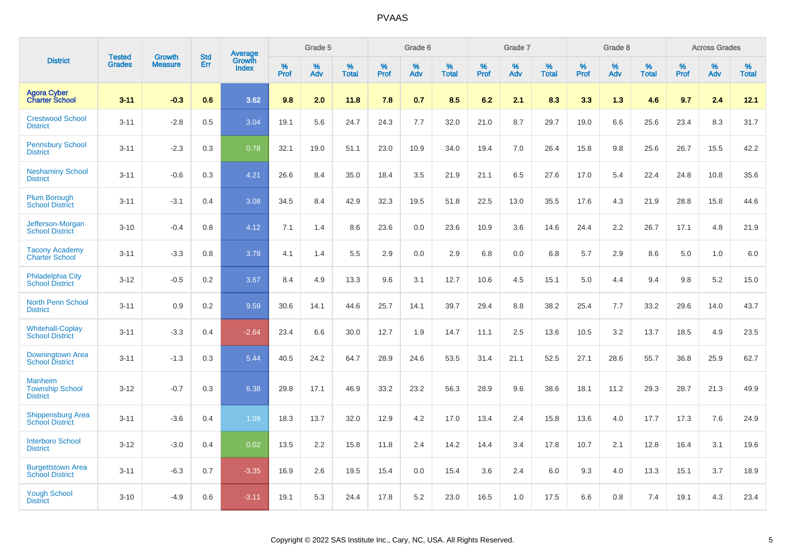|                                                             | <b>Tested</b> | <b>Growth</b>  | <b>Std</b> | Average                |              | Grade 5     |                      |              | Grade 6     |                      |              | Grade 7     |                      |              | Grade 8     |                      |                     | <b>Across Grades</b> |                      |
|-------------------------------------------------------------|---------------|----------------|------------|------------------------|--------------|-------------|----------------------|--------------|-------------|----------------------|--------------|-------------|----------------------|--------------|-------------|----------------------|---------------------|----------------------|----------------------|
| <b>District</b>                                             | <b>Grades</b> | <b>Measure</b> | Err        | Growth<br><b>Index</b> | $\%$<br>Prof | $\%$<br>Adv | $\%$<br><b>Total</b> | $\%$<br>Prof | $\%$<br>Adv | $\%$<br><b>Total</b> | $\%$<br>Prof | $\%$<br>Adv | $\%$<br><b>Total</b> | $\%$<br>Prof | $\%$<br>Adv | $\%$<br><b>Total</b> | $\%$<br><b>Prof</b> | $\%$<br>Adv          | $\%$<br><b>Total</b> |
| <b>Agora Cyber</b><br><b>Charter School</b>                 | $3 - 11$      | $-0.3$         | 0.6        | 3.62                   | 9.8          | 2.0         | 11.8                 | 7.8          | 0.7         | 8.5                  | 6.2          | 2.1         | 8.3                  | 3.3          | 1.3         | 4.6                  | 9.7                 | 2.4                  | 12.1                 |
| <b>Crestwood School</b><br><b>District</b>                  | $3 - 11$      | $-2.8$         | 0.5        | 3.04                   | 19.1         | 5.6         | 24.7                 | 24.3         | 7.7         | 32.0                 | 21.0         | 8.7         | 29.7                 | 19.0         | 6.6         | 25.6                 | 23.4                | 8.3                  | 31.7                 |
| <b>Pennsbury School</b><br><b>District</b>                  | $3 - 11$      | $-2.3$         | 0.3        | 0.78                   | 32.1         | 19.0        | 51.1                 | 23.0         | 10.9        | 34.0                 | 19.4         | 7.0         | 26.4                 | 15.8         | 9.8         | 25.6                 | 26.7                | 15.5                 | 42.2                 |
| <b>Neshaminy School</b><br><b>District</b>                  | $3 - 11$      | $-0.6$         | 0.3        | 4.21                   | 26.6         | 8.4         | 35.0                 | 18.4         | 3.5         | 21.9                 | 21.1         | 6.5         | 27.6                 | 17.0         | 5.4         | 22.4                 | 24.8                | 10.8                 | 35.6                 |
| <b>Plum Borough</b><br><b>School District</b>               | $3 - 11$      | $-3.1$         | 0.4        | 3.08                   | 34.5         | 8.4         | 42.9                 | 32.3         | 19.5        | 51.8                 | 22.5         | 13.0        | 35.5                 | 17.6         | 4.3         | 21.9                 | 28.8                | 15.8                 | 44.6                 |
| Jefferson-Morgan<br><b>School District</b>                  | $3 - 10$      | $-0.4$         | 0.8        | 4.12                   | 7.1          | 1.4         | 8.6                  | 23.6         | 0.0         | 23.6                 | 10.9         | 3.6         | 14.6                 | 24.4         | 2.2         | 26.7                 | 17.1                | 4.8                  | 21.9                 |
| <b>Tacony Academy</b><br><b>Charter School</b>              | $3 - 11$      | $-3.3$         | 0.8        | 3.79                   | 4.1          | 1.4         | 5.5                  | 2.9          | 0.0         | 2.9                  | 6.8          | 0.0         | 6.8                  | 5.7          | 2.9         | 8.6                  | 5.0                 | 1.0                  | 6.0                  |
| <b>Philadelphia City</b><br><b>School District</b>          | $3 - 12$      | $-0.5$         | 0.2        | 3.67                   | 8.4          | 4.9         | 13.3                 | 9.6          | 3.1         | 12.7                 | 10.6         | 4.5         | 15.1                 | 5.0          | 4.4         | 9.4                  | 9.8                 | 5.2                  | 15.0                 |
| <b>North Penn School</b><br><b>District</b>                 | $3 - 11$      | 0.9            | 0.2        | 9.59                   | 30.6         | 14.1        | 44.6                 | 25.7         | 14.1        | 39.7                 | 29.4         | 8.8         | 38.2                 | 25.4         | 7.7         | 33.2                 | 29.6                | 14.0                 | 43.7                 |
| <b>Whitehall-Coplay</b><br><b>School District</b>           | $3 - 11$      | $-3.3$         | 0.4        | $-2.64$                | 23.4         | 6.6         | 30.0                 | 12.7         | 1.9         | 14.7                 | 11.1         | 2.5         | 13.6                 | 10.5         | 3.2         | 13.7                 | 18.5                | 4.9                  | 23.5                 |
| Downingtown Area<br><b>School District</b>                  | $3 - 11$      | $-1.3$         | 0.3        | 5.44                   | 40.5         | 24.2        | 64.7                 | 28.9         | 24.6        | 53.5                 | 31.4         | 21.1        | 52.5                 | 27.1         | 28.6        | 55.7                 | 36.8                | 25.9                 | 62.7                 |
| <b>Manheim</b><br><b>Township School</b><br><b>District</b> | $3 - 12$      | $-0.7$         | 0.3        | 6.38                   | 29.8         | 17.1        | 46.9                 | 33.2         | 23.2        | 56.3                 | 28.9         | 9.6         | 38.6                 | 18.1         | 11.2        | 29.3                 | 28.7                | 21.3                 | 49.9                 |
| <b>Shippensburg Area</b><br><b>School District</b>          | $3 - 11$      | $-3.6$         | 0.4        | 1.09                   | 18.3         | 13.7        | 32.0                 | 12.9         | 4.2         | 17.0                 | 13.4         | 2.4         | 15.8                 | 13.6         | 4.0         | 17.7                 | 17.3                | 7.6                  | 24.9                 |
| <b>Interboro School</b><br><b>District</b>                  | $3 - 12$      | $-3.0$         | 0.4        | 0.02                   | 13.5         | 2.2         | 15.8                 | 11.8         | 2.4         | 14.2                 | 14.4         | 3.4         | 17.8                 | 10.7         | 2.1         | 12.8                 | 16.4                | 3.1                  | 19.6                 |
| <b>Burgettstown Area</b><br><b>School District</b>          | $3 - 11$      | $-6.3$         | 0.7        | $-3.35$                | 16.9         | 2.6         | 19.5                 | 15.4         | 0.0         | 15.4                 | 3.6          | 2.4         | 6.0                  | 9.3          | 4.0         | 13.3                 | 15.1                | 3.7                  | 18.9                 |
| <b>Yough School</b><br><b>District</b>                      | $3 - 10$      | $-4.9$         | 0.6        | $-3.11$                | 19.1         | 5.3         | 24.4                 | 17.8         | 5.2         | 23.0                 | 16.5         | 1.0         | 17.5                 | 6.6          | 0.8         | 7.4                  | 19.1                | 4.3                  | 23.4                 |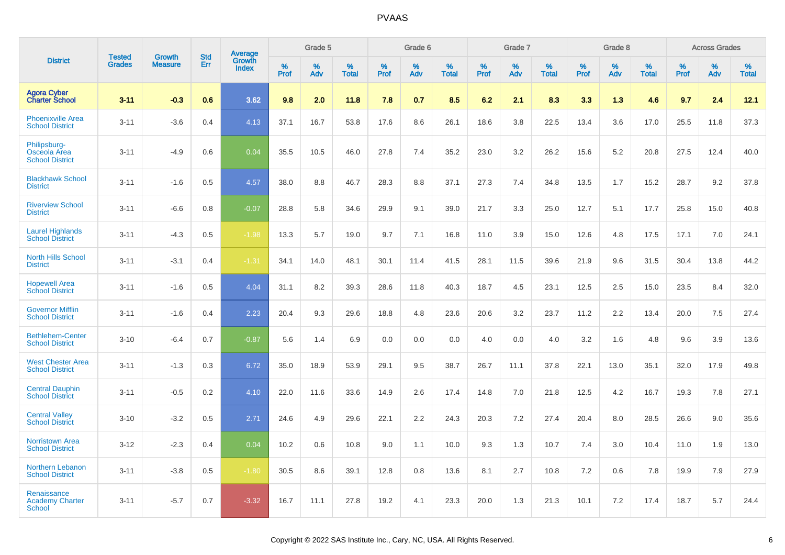|                                                        | <b>Tested</b> | <b>Growth</b>  | <b>Std</b> | Average                |              | Grade 5  |                   |              | Grade 6  |                   |              | Grade 7  |                   |              | Grade 8  |                   |              | <b>Across Grades</b> |                   |
|--------------------------------------------------------|---------------|----------------|------------|------------------------|--------------|----------|-------------------|--------------|----------|-------------------|--------------|----------|-------------------|--------------|----------|-------------------|--------------|----------------------|-------------------|
| <b>District</b>                                        | <b>Grades</b> | <b>Measure</b> | Err        | Growth<br><b>Index</b> | $\%$<br>Prof | %<br>Adv | %<br><b>Total</b> | $\%$<br>Prof | %<br>Adv | %<br><b>Total</b> | $\%$<br>Prof | %<br>Adv | %<br><b>Total</b> | $\%$<br>Prof | %<br>Adv | %<br><b>Total</b> | $\%$<br>Prof | %<br>Adv             | %<br><b>Total</b> |
| <b>Agora Cyber</b><br><b>Charter School</b>            | $3 - 11$      | $-0.3$         | 0.6        | 3.62                   | 9.8          | 2.0      | 11.8              | 7.8          | 0.7      | 8.5               | 6.2          | 2.1      | 8.3               | 3.3          | 1.3      | 4.6               | 9.7          | 2.4                  | 12.1              |
| <b>Phoenixville Area</b><br><b>School District</b>     | $3 - 11$      | $-3.6$         | 0.4        | 4.13                   | 37.1         | 16.7     | 53.8              | 17.6         | 8.6      | 26.1              | 18.6         | 3.8      | 22.5              | 13.4         | 3.6      | 17.0              | 25.5         | 11.8                 | 37.3              |
| Philipsburg-<br>Osceola Area<br><b>School District</b> | $3 - 11$      | $-4.9$         | 0.6        | 0.04                   | 35.5         | 10.5     | 46.0              | 27.8         | 7.4      | 35.2              | 23.0         | 3.2      | 26.2              | 15.6         | 5.2      | 20.8              | 27.5         | 12.4                 | 40.0              |
| <b>Blackhawk School</b><br><b>District</b>             | $3 - 11$      | $-1.6$         | 0.5        | 4.57                   | 38.0         | 8.8      | 46.7              | 28.3         | 8.8      | 37.1              | 27.3         | 7.4      | 34.8              | 13.5         | 1.7      | 15.2              | 28.7         | 9.2                  | 37.8              |
| <b>Riverview School</b><br><b>District</b>             | $3 - 11$      | $-6.6$         | 0.8        | $-0.07$                | 28.8         | 5.8      | 34.6              | 29.9         | 9.1      | 39.0              | 21.7         | 3.3      | 25.0              | 12.7         | 5.1      | 17.7              | 25.8         | 15.0                 | 40.8              |
| <b>Laurel Highlands</b><br><b>School District</b>      | $3 - 11$      | $-4.3$         | 0.5        | $-1.98$                | 13.3         | 5.7      | 19.0              | 9.7          | 7.1      | 16.8              | 11.0         | 3.9      | 15.0              | 12.6         | 4.8      | 17.5              | 17.1         | 7.0                  | 24.1              |
| <b>North Hills School</b><br><b>District</b>           | $3 - 11$      | $-3.1$         | 0.4        | $-1.31$                | 34.1         | 14.0     | 48.1              | 30.1         | 11.4     | 41.5              | 28.1         | 11.5     | 39.6              | 21.9         | 9.6      | 31.5              | 30.4         | 13.8                 | 44.2              |
| <b>Hopewell Area</b><br><b>School District</b>         | $3 - 11$      | $-1.6$         | 0.5        | 4.04                   | 31.1         | 8.2      | 39.3              | 28.6         | 11.8     | 40.3              | 18.7         | 4.5      | 23.1              | 12.5         | 2.5      | 15.0              | 23.5         | 8.4                  | 32.0              |
| <b>Governor Mifflin</b><br><b>School District</b>      | $3 - 11$      | $-1.6$         | 0.4        | 2.23                   | 20.4         | 9.3      | 29.6              | 18.8         | 4.8      | 23.6              | 20.6         | 3.2      | 23.7              | 11.2         | 2.2      | 13.4              | 20.0         | 7.5                  | 27.4              |
| <b>Bethlehem-Center</b><br><b>School District</b>      | $3 - 10$      | $-6.4$         | 0.7        | $-0.87$                | 5.6          | 1.4      | 6.9               | 0.0          | 0.0      | 0.0               | 4.0          | 0.0      | 4.0               | 3.2          | 1.6      | 4.8               | 9.6          | 3.9                  | 13.6              |
| <b>West Chester Area</b><br><b>School District</b>     | $3 - 11$      | $-1.3$         | 0.3        | 6.72                   | 35.0         | 18.9     | 53.9              | 29.1         | 9.5      | 38.7              | 26.7         | 11.1     | 37.8              | 22.1         | 13.0     | 35.1              | 32.0         | 17.9                 | 49.8              |
| <b>Central Dauphin</b><br><b>School District</b>       | $3 - 11$      | $-0.5$         | 0.2        | 4.10                   | 22.0         | 11.6     | 33.6              | 14.9         | 2.6      | 17.4              | 14.8         | 7.0      | 21.8              | 12.5         | 4.2      | 16.7              | 19.3         | 7.8                  | 27.1              |
| <b>Central Valley</b><br><b>School District</b>        | $3 - 10$      | $-3.2$         | 0.5        | 2.71                   | 24.6         | 4.9      | 29.6              | 22.1         | 2.2      | 24.3              | 20.3         | 7.2      | 27.4              | 20.4         | 8.0      | 28.5              | 26.6         | 9.0                  | 35.6              |
| <b>Norristown Area</b><br><b>School District</b>       | $3 - 12$      | $-2.3$         | 0.4        | 0.04                   | 10.2         | 0.6      | 10.8              | 9.0          | 1.1      | 10.0              | 9.3          | 1.3      | 10.7              | 7.4          | 3.0      | 10.4              | 11.0         | 1.9                  | 13.0              |
| Northern Lebanon<br><b>School District</b>             | $3 - 11$      | $-3.8$         | 0.5        | $-1.80$                | 30.5         | 8.6      | 39.1              | 12.8         | 0.8      | 13.6              | 8.1          | 2.7      | 10.8              | 7.2          | 0.6      | 7.8               | 19.9         | 7.9                  | 27.9              |
| Renaissance<br><b>Academy Charter</b><br>School        | $3 - 11$      | $-5.7$         | 0.7        | $-3.32$                | 16.7         | 11.1     | 27.8              | 19.2         | 4.1      | 23.3              | 20.0         | 1.3      | 21.3              | 10.1         | 7.2      | 17.4              | 18.7         | 5.7                  | 24.4              |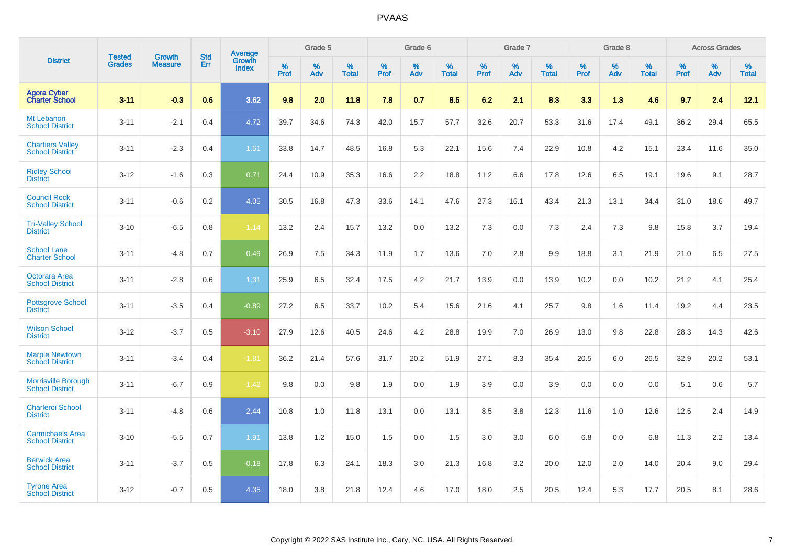|                                                      |                                |                                 | <b>Std</b> | Average                |           | Grade 5  |                   |           | Grade 6  |                   |           | Grade 7  |                   |           | Grade 8  |                   |           | <b>Across Grades</b> |            |
|------------------------------------------------------|--------------------------------|---------------------------------|------------|------------------------|-----------|----------|-------------------|-----------|----------|-------------------|-----------|----------|-------------------|-----------|----------|-------------------|-----------|----------------------|------------|
| <b>District</b>                                      | <b>Tested</b><br><b>Grades</b> | <b>Growth</b><br><b>Measure</b> | Err        | Growth<br><b>Index</b> | %<br>Prof | %<br>Adv | %<br><b>Total</b> | %<br>Prof | %<br>Adv | %<br><b>Total</b> | %<br>Prof | %<br>Adv | %<br><b>Total</b> | %<br>Prof | %<br>Adv | %<br><b>Total</b> | %<br>Prof | %<br>Adv             | %<br>Total |
| <b>Agora Cyber</b><br><b>Charter School</b>          | $3 - 11$                       | $-0.3$                          | 0.6        | 3.62                   | 9.8       | 2.0      | 11.8              | 7.8       | 0.7      | 8.5               | 6.2       | 2.1      | 8.3               | 3.3       | 1.3      | 4.6               | 9.7       | 2.4                  | 12.1       |
| Mt Lebanon<br><b>School District</b>                 | $3 - 11$                       | $-2.1$                          | 0.4        | 4.72                   | 39.7      | 34.6     | 74.3              | 42.0      | 15.7     | 57.7              | 32.6      | 20.7     | 53.3              | 31.6      | 17.4     | 49.1              | 36.2      | 29.4                 | 65.5       |
| <b>Chartiers Valley</b><br><b>School District</b>    | $3 - 11$                       | $-2.3$                          | 0.4        | 1.51                   | 33.8      | 14.7     | 48.5              | 16.8      | 5.3      | 22.1              | 15.6      | 7.4      | 22.9              | 10.8      | 4.2      | 15.1              | 23.4      | 11.6                 | 35.0       |
| <b>Ridley School</b><br><b>District</b>              | $3 - 12$                       | $-1.6$                          | 0.3        | 0.71                   | 24.4      | 10.9     | 35.3              | 16.6      | 2.2      | 18.8              | 11.2      | 6.6      | 17.8              | 12.6      | 6.5      | 19.1              | 19.6      | 9.1                  | 28.7       |
| <b>Council Rock</b><br><b>School District</b>        | $3 - 11$                       | $-0.6$                          | 0.2        | 4.05                   | 30.5      | 16.8     | 47.3              | 33.6      | 14.1     | 47.6              | 27.3      | 16.1     | 43.4              | 21.3      | 13.1     | 34.4              | 31.0      | 18.6                 | 49.7       |
| <b>Tri-Valley School</b><br><b>District</b>          | $3 - 10$                       | $-6.5$                          | 0.8        | $-1.14$                | 13.2      | 2.4      | 15.7              | 13.2      | 0.0      | 13.2              | 7.3       | 0.0      | 7.3               | 2.4       | 7.3      | 9.8               | 15.8      | 3.7                  | 19.4       |
| <b>School Lane</b><br><b>Charter School</b>          | $3 - 11$                       | $-4.8$                          | 0.7        | 0.49                   | 26.9      | 7.5      | 34.3              | 11.9      | 1.7      | 13.6              | 7.0       | 2.8      | 9.9               | 18.8      | 3.1      | 21.9              | 21.0      | 6.5                  | 27.5       |
| Octorara Area<br><b>School District</b>              | $3 - 11$                       | $-2.8$                          | 0.6        | 1.31                   | 25.9      | 6.5      | 32.4              | 17.5      | 4.2      | 21.7              | 13.9      | 0.0      | 13.9              | 10.2      | 0.0      | 10.2              | 21.2      | 4.1                  | 25.4       |
| <b>Pottsgrove School</b><br><b>District</b>          | $3 - 11$                       | $-3.5$                          | 0.4        | $-0.89$                | 27.2      | 6.5      | 33.7              | 10.2      | 5.4      | 15.6              | 21.6      | 4.1      | 25.7              | 9.8       | 1.6      | 11.4              | 19.2      | 4.4                  | 23.5       |
| <b>Wilson School</b><br><b>District</b>              | $3 - 12$                       | $-3.7$                          | 0.5        | $-3.10$                | 27.9      | 12.6     | 40.5              | 24.6      | 4.2      | 28.8              | 19.9      | 7.0      | 26.9              | 13.0      | 9.8      | 22.8              | 28.3      | 14.3                 | 42.6       |
| <b>Marple Newtown</b><br><b>School District</b>      | $3 - 11$                       | $-3.4$                          | 0.4        | $-1.81$                | 36.2      | 21.4     | 57.6              | 31.7      | 20.2     | 51.9              | 27.1      | 8.3      | 35.4              | 20.5      | 6.0      | 26.5              | 32.9      | 20.2                 | 53.1       |
| <b>Morrisville Borough</b><br><b>School District</b> | $3 - 11$                       | $-6.7$                          | 0.9        | $-1.42$                | 9.8       | 0.0      | 9.8               | 1.9       | 0.0      | 1.9               | 3.9       | 0.0      | 3.9               | 0.0       | 0.0      | 0.0               | 5.1       | 0.6                  | 5.7        |
| <b>Charleroi School</b><br><b>District</b>           | $3 - 11$                       | $-4.8$                          | 0.6        | 2.44                   | 10.8      | 1.0      | 11.8              | 13.1      | 0.0      | 13.1              | 8.5       | 3.8      | 12.3              | 11.6      | 1.0      | 12.6              | 12.5      | 2.4                  | 14.9       |
| <b>Carmichaels Area</b><br><b>School District</b>    | $3 - 10$                       | $-5.5$                          | 0.7        | 1.91                   | 13.8      | 1.2      | 15.0              | 1.5       | 0.0      | 1.5               | 3.0       | 3.0      | 6.0               | 6.8       | 0.0      | 6.8               | 11.3      | 2.2                  | 13.4       |
| <b>Berwick Area</b><br><b>School District</b>        | $3 - 11$                       | $-3.7$                          | 0.5        | $-0.18$                | 17.8      | 6.3      | 24.1              | 18.3      | 3.0      | 21.3              | 16.8      | 3.2      | 20.0              | 12.0      | 2.0      | 14.0              | 20.4      | 9.0                  | 29.4       |
| <b>Tyrone Area</b><br><b>School District</b>         | $3 - 12$                       | $-0.7$                          | 0.5        | 4.35                   | 18.0      | 3.8      | 21.8              | 12.4      | 4.6      | 17.0              | 18.0      | 2.5      | 20.5              | 12.4      | 5.3      | 17.7              | 20.5      | 8.1                  | 28.6       |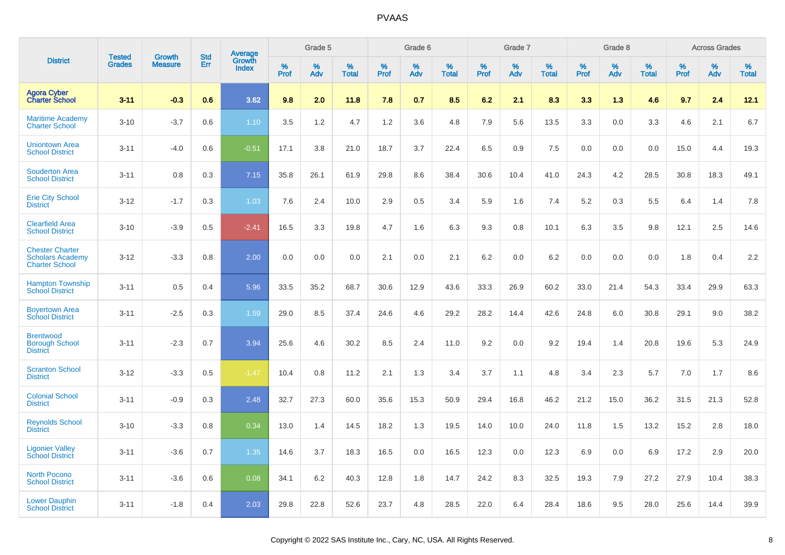|                                                                            | <b>Tested</b> | <b>Growth</b>  | <b>Std</b> | Average                |           | Grade 5  |                   |           | Grade 6  |                   |           | Grade 7  |                   |           | Grade 8  |                   |           | <b>Across Grades</b> |                   |
|----------------------------------------------------------------------------|---------------|----------------|------------|------------------------|-----------|----------|-------------------|-----------|----------|-------------------|-----------|----------|-------------------|-----------|----------|-------------------|-----------|----------------------|-------------------|
| <b>District</b>                                                            | <b>Grades</b> | <b>Measure</b> | Err        | Growth<br><b>Index</b> | %<br>Prof | %<br>Adv | %<br><b>Total</b> | %<br>Prof | %<br>Adv | %<br><b>Total</b> | %<br>Prof | %<br>Adv | %<br><b>Total</b> | %<br>Prof | %<br>Adv | %<br><b>Total</b> | %<br>Prof | %<br>Adv             | %<br><b>Total</b> |
| <b>Agora Cyber</b><br><b>Charter School</b>                                | $3 - 11$      | $-0.3$         | 0.6        | 3.62                   | 9.8       | 2.0      | 11.8              | 7.8       | 0.7      | 8.5               | 6.2       | 2.1      | 8.3               | 3.3       | 1.3      | 4.6               | 9.7       | 2.4                  | 12.1              |
| <b>Maritime Academy</b><br><b>Charter School</b>                           | $3 - 10$      | $-3.7$         | 0.6        | 1.10                   | 3.5       | 1.2      | 4.7               | 1.2       | 3.6      | 4.8               | 7.9       | 5.6      | 13.5              | 3.3       | 0.0      | 3.3               | 4.6       | 2.1                  | 6.7               |
| <b>Uniontown Area</b><br><b>School District</b>                            | $3 - 11$      | $-4.0$         | 0.6        | $-0.51$                | 17.1      | 3.8      | 21.0              | 18.7      | 3.7      | 22.4              | 6.5       | 0.9      | 7.5               | 0.0       | 0.0      | 0.0               | 15.0      | 4.4                  | 19.3              |
| <b>Souderton Area</b><br><b>School District</b>                            | $3 - 11$      | 0.8            | 0.3        | 7.15                   | 35.8      | 26.1     | 61.9              | 29.8      | 8.6      | 38.4              | 30.6      | 10.4     | 41.0              | 24.3      | 4.2      | 28.5              | 30.8      | 18.3                 | 49.1              |
| <b>Erie City School</b><br><b>District</b>                                 | $3 - 12$      | $-1.7$         | 0.3        | 1.03                   | 7.6       | 2.4      | 10.0              | 2.9       | 0.5      | 3.4               | 5.9       | 1.6      | 7.4               | 5.2       | 0.3      | 5.5               | 6.4       | 1.4                  | 7.8               |
| <b>Clearfield Area</b><br><b>School District</b>                           | $3 - 10$      | $-3.9$         | 0.5        | $-2.41$                | 16.5      | 3.3      | 19.8              | 4.7       | 1.6      | 6.3               | 9.3       | 0.8      | 10.1              | 6.3       | 3.5      | 9.8               | 12.1      | 2.5                  | 14.6              |
| <b>Chester Charter</b><br><b>Scholars Academy</b><br><b>Charter School</b> | $3 - 12$      | $-3.3$         | 0.8        | 2.00                   | 0.0       | 0.0      | 0.0               | 2.1       | 0.0      | 2.1               | 6.2       | 0.0      | 6.2               | 0.0       | 0.0      | 0.0               | 1.8       | 0.4                  | 2.2               |
| <b>Hampton Township</b><br><b>School District</b>                          | $3 - 11$      | 0.5            | 0.4        | 5.96                   | 33.5      | 35.2     | 68.7              | 30.6      | 12.9     | 43.6              | 33.3      | 26.9     | 60.2              | 33.0      | 21.4     | 54.3              | 33.4      | 29.9                 | 63.3              |
| <b>Boyertown Area</b><br><b>School District</b>                            | $3 - 11$      | $-2.5$         | 0.3        | 1.59                   | 29.0      | 8.5      | 37.4              | 24.6      | 4.6      | 29.2              | 28.2      | 14.4     | 42.6              | 24.8      | 6.0      | 30.8              | 29.1      | 9.0                  | 38.2              |
| <b>Brentwood</b><br><b>Borough School</b><br><b>District</b>               | $3 - 11$      | $-2.3$         | 0.7        | 3.94                   | 25.6      | 4.6      | 30.2              | 8.5       | 2.4      | 11.0              | 9.2       | 0.0      | 9.2               | 19.4      | 1.4      | 20.8              | 19.6      | 5.3                  | 24.9              |
| <b>Scranton School</b><br><b>District</b>                                  | $3 - 12$      | $-3.3$         | 0.5        | $-1.47$                | 10.4      | 0.8      | 11.2              | 2.1       | 1.3      | 3.4               | 3.7       | 1.1      | 4.8               | 3.4       | 2.3      | 5.7               | 7.0       | 1.7                  | 8.6               |
| <b>Colonial School</b><br><b>District</b>                                  | $3 - 11$      | $-0.9$         | 0.3        | 2.48                   | 32.7      | 27.3     | 60.0              | 35.6      | 15.3     | 50.9              | 29.4      | 16.8     | 46.2              | 21.2      | 15.0     | 36.2              | 31.5      | 21.3                 | 52.8              |
| <b>Reynolds School</b><br><b>District</b>                                  | $3 - 10$      | $-3.3$         | 0.8        | 0.34                   | 13.0      | 1.4      | 14.5              | 18.2      | 1.3      | 19.5              | 14.0      | 10.0     | 24.0              | 11.8      | 1.5      | 13.2              | 15.2      | 2.8                  | 18.0              |
| <b>Ligonier Valley</b><br><b>School District</b>                           | $3 - 11$      | $-3.6$         | 0.7        | 1.35                   | 14.6      | 3.7      | 18.3              | 16.5      | 0.0      | 16.5              | 12.3      | 0.0      | 12.3              | 6.9       | 0.0      | 6.9               | 17.2      | 2.9                  | 20.0              |
| <b>North Pocono</b><br><b>School District</b>                              | $3 - 11$      | $-3.6$         | 0.6        | 0.08                   | 34.1      | 6.2      | 40.3              | 12.8      | 1.8      | 14.7              | 24.2      | 8.3      | 32.5              | 19.3      | 7.9      | 27.2              | 27.9      | 10.4                 | 38.3              |
| <b>Lower Dauphin</b><br><b>School District</b>                             | $3 - 11$      | $-1.8$         | 0.4        | 2.03                   | 29.8      | 22.8     | 52.6              | 23.7      | 4.8      | 28.5              | 22.0      | 6.4      | 28.4              | 18.6      | 9.5      | 28.0              | 25.6      | 14.4                 | 39.9              |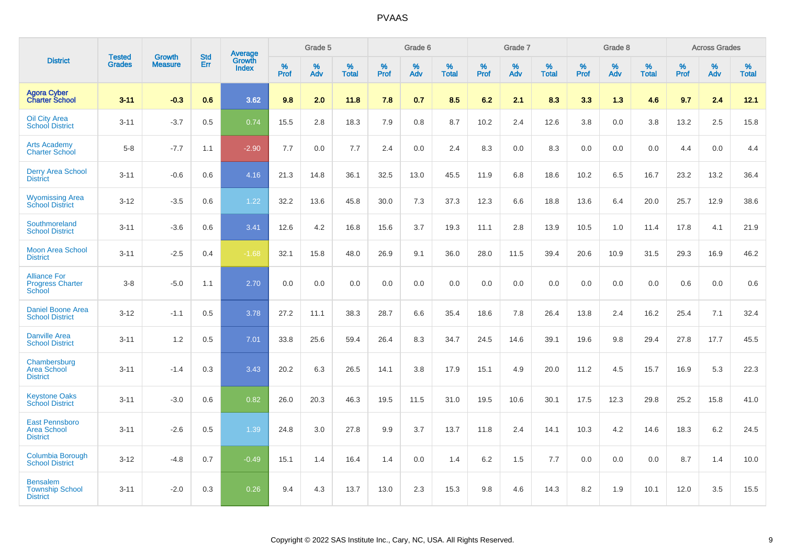|                                                                 |                                |                                 | <b>Std</b> | Average                |           | Grade 5  |                   |           | Grade 6  |                   |           | Grade 7  |                   |           | Grade 8  |                   |           | <b>Across Grades</b> |                   |
|-----------------------------------------------------------------|--------------------------------|---------------------------------|------------|------------------------|-----------|----------|-------------------|-----------|----------|-------------------|-----------|----------|-------------------|-----------|----------|-------------------|-----------|----------------------|-------------------|
| <b>District</b>                                                 | <b>Tested</b><br><b>Grades</b> | <b>Growth</b><br><b>Measure</b> | Err        | Growth<br><b>Index</b> | %<br>Prof | %<br>Adv | %<br><b>Total</b> | %<br>Prof | %<br>Adv | %<br><b>Total</b> | %<br>Prof | %<br>Adv | %<br><b>Total</b> | %<br>Prof | %<br>Adv | %<br><b>Total</b> | %<br>Prof | %<br>Adv             | %<br><b>Total</b> |
| <b>Agora Cyber</b><br><b>Charter School</b>                     | $3 - 11$                       | $-0.3$                          | 0.6        | 3.62                   | 9.8       | 2.0      | 11.8              | 7.8       | 0.7      | 8.5               | 6.2       | 2.1      | 8.3               | 3.3       | 1.3      | 4.6               | 9.7       | 2.4                  | 12.1              |
| <b>Oil City Area</b><br><b>School District</b>                  | $3 - 11$                       | $-3.7$                          | 0.5        | 0.74                   | 15.5      | 2.8      | 18.3              | 7.9       | 0.8      | 8.7               | 10.2      | 2.4      | 12.6              | 3.8       | 0.0      | 3.8               | 13.2      | 2.5                  | 15.8              |
| <b>Arts Academy</b><br><b>Charter School</b>                    | $5-8$                          | $-7.7$                          | 1.1        | $-2.90$                | 7.7       | 0.0      | 7.7               | 2.4       | 0.0      | 2.4               | 8.3       | 0.0      | 8.3               | 0.0       | 0.0      | 0.0               | 4.4       | 0.0                  | 4.4               |
| <b>Derry Area School</b><br><b>District</b>                     | $3 - 11$                       | $-0.6$                          | 0.6        | 4.16                   | 21.3      | 14.8     | 36.1              | 32.5      | 13.0     | 45.5              | 11.9      | 6.8      | 18.6              | 10.2      | 6.5      | 16.7              | 23.2      | 13.2                 | 36.4              |
| <b>Wyomissing Area</b><br><b>School District</b>                | $3 - 12$                       | $-3.5$                          | 0.6        | 1.22                   | 32.2      | 13.6     | 45.8              | 30.0      | 7.3      | 37.3              | 12.3      | 6.6      | 18.8              | 13.6      | 6.4      | 20.0              | 25.7      | 12.9                 | 38.6              |
| Southmoreland<br><b>School District</b>                         | $3 - 11$                       | $-3.6$                          | 0.6        | 3.41                   | 12.6      | 4.2      | 16.8              | 15.6      | 3.7      | 19.3              | 11.1      | 2.8      | 13.9              | 10.5      | 1.0      | 11.4              | 17.8      | 4.1                  | 21.9              |
| <b>Moon Area School</b><br><b>District</b>                      | $3 - 11$                       | $-2.5$                          | 0.4        | $-1.68$                | 32.1      | 15.8     | 48.0              | 26.9      | 9.1      | 36.0              | 28.0      | 11.5     | 39.4              | 20.6      | 10.9     | 31.5              | 29.3      | 16.9                 | 46.2              |
| <b>Alliance For</b><br><b>Progress Charter</b><br><b>School</b> | $3 - 8$                        | $-5.0$                          | 1.1        | 2.70                   | 0.0       | 0.0      | 0.0               | 0.0       | 0.0      | 0.0               | 0.0       | 0.0      | 0.0               | 0.0       | 0.0      | 0.0               | 0.6       | 0.0                  | 0.6               |
| <b>Daniel Boone Area</b><br><b>School District</b>              | $3 - 12$                       | $-1.1$                          | 0.5        | 3.78                   | 27.2      | 11.1     | 38.3              | 28.7      | 6.6      | 35.4              | 18.6      | 7.8      | 26.4              | 13.8      | 2.4      | 16.2              | 25.4      | 7.1                  | 32.4              |
| <b>Danville Area</b><br><b>School District</b>                  | $3 - 11$                       | 1.2                             | 0.5        | 7.01                   | 33.8      | 25.6     | 59.4              | 26.4      | 8.3      | 34.7              | 24.5      | 14.6     | 39.1              | 19.6      | 9.8      | 29.4              | 27.8      | 17.7                 | 45.5              |
| Chambersburg<br><b>Area School</b><br><b>District</b>           | $3 - 11$                       | $-1.4$                          | 0.3        | 3.43                   | 20.2      | 6.3      | 26.5              | 14.1      | 3.8      | 17.9              | 15.1      | 4.9      | 20.0              | 11.2      | 4.5      | 15.7              | 16.9      | 5.3                  | 22.3              |
| <b>Keystone Oaks</b><br><b>School District</b>                  | $3 - 11$                       | $-3.0$                          | 0.6        | 0.82                   | 26.0      | 20.3     | 46.3              | 19.5      | 11.5     | 31.0              | 19.5      | 10.6     | 30.1              | 17.5      | 12.3     | 29.8              | 25.2      | 15.8                 | 41.0              |
| <b>East Pennsboro</b><br><b>Area School</b><br><b>District</b>  | $3 - 11$                       | $-2.6$                          | 0.5        | 1.39                   | 24.8      | 3.0      | 27.8              | 9.9       | 3.7      | 13.7              | 11.8      | 2.4      | 14.1              | 10.3      | 4.2      | 14.6              | 18.3      | $6.2\,$              | 24.5              |
| <b>Columbia Borough</b><br><b>School District</b>               | $3 - 12$                       | $-4.8$                          | 0.7        | $-0.49$                | 15.1      | 1.4      | 16.4              | 1.4       | 0.0      | 1.4               | 6.2       | 1.5      | 7.7               | 0.0       | 0.0      | 0.0               | 8.7       | 1.4                  | 10.0              |
| <b>Bensalem</b><br><b>Township School</b><br><b>District</b>    | $3 - 11$                       | $-2.0$                          | 0.3        | 0.26                   | 9.4       | 4.3      | 13.7              | 13.0      | 2.3      | 15.3              | 9.8       | 4.6      | 14.3              | 8.2       | 1.9      | 10.1              | 12.0      | 3.5                  | 15.5              |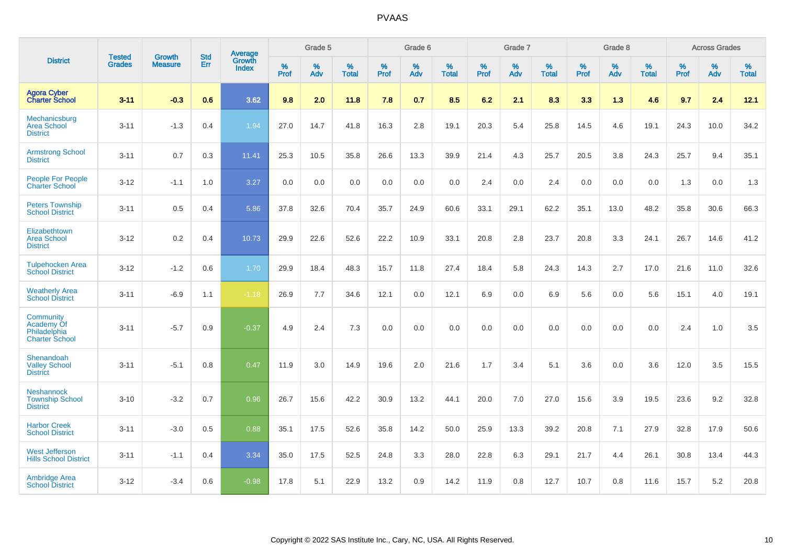|                                                                         | <b>Tested</b> |                                 | <b>Std</b> | Average                |           | Grade 5  |                   |           | Grade 6  |                   |           | Grade 7  |                   |           | Grade 8  |                   |           | <b>Across Grades</b> |                   |
|-------------------------------------------------------------------------|---------------|---------------------------------|------------|------------------------|-----------|----------|-------------------|-----------|----------|-------------------|-----------|----------|-------------------|-----------|----------|-------------------|-----------|----------------------|-------------------|
| <b>District</b>                                                         | <b>Grades</b> | <b>Growth</b><br><b>Measure</b> | Err        | Growth<br><b>Index</b> | %<br>Prof | %<br>Adv | %<br><b>Total</b> | %<br>Prof | %<br>Adv | %<br><b>Total</b> | %<br>Prof | %<br>Adv | %<br><b>Total</b> | %<br>Prof | %<br>Adv | %<br><b>Total</b> | %<br>Prof | %<br>Adv             | %<br><b>Total</b> |
| <b>Agora Cyber<br/>Charter School</b>                                   | $3 - 11$      | $-0.3$                          | 0.6        | 3.62                   | 9.8       | 2.0      | 11.8              | 7.8       | 0.7      | 8.5               | 6.2       | 2.1      | 8.3               | 3.3       | 1.3      | 4.6               | 9.7       | 2.4                  | 12.1              |
| Mechanicsburg<br><b>Area School</b><br><b>District</b>                  | $3 - 11$      | $-1.3$                          | 0.4        | 1.94                   | 27.0      | 14.7     | 41.8              | 16.3      | 2.8      | 19.1              | 20.3      | 5.4      | 25.8              | 14.5      | 4.6      | 19.1              | 24.3      | 10.0                 | 34.2              |
| <b>Armstrong School</b><br><b>District</b>                              | $3 - 11$      | 0.7                             | 0.3        | 11.41                  | 25.3      | 10.5     | 35.8              | 26.6      | 13.3     | 39.9              | 21.4      | 4.3      | 25.7              | 20.5      | 3.8      | 24.3              | 25.7      | 9.4                  | 35.1              |
| <b>People For People</b><br><b>Charter School</b>                       | $3 - 12$      | $-1.1$                          | 1.0        | 3.27                   | 0.0       | 0.0      | 0.0               | 0.0       | 0.0      | 0.0               | 2.4       | 0.0      | 2.4               | 0.0       | 0.0      | 0.0               | 1.3       | 0.0                  | 1.3               |
| <b>Peters Township</b><br><b>School District</b>                        | $3 - 11$      | 0.5                             | 0.4        | 5.86                   | 37.8      | 32.6     | 70.4              | 35.7      | 24.9     | 60.6              | 33.1      | 29.1     | 62.2              | 35.1      | 13.0     | 48.2              | 35.8      | 30.6                 | 66.3              |
| Elizabethtown<br><b>Area School</b><br><b>District</b>                  | $3 - 12$      | 0.2                             | 0.4        | 10.73                  | 29.9      | 22.6     | 52.6              | 22.2      | 10.9     | 33.1              | 20.8      | 2.8      | 23.7              | 20.8      | 3.3      | 24.1              | 26.7      | 14.6                 | 41.2              |
| <b>Tulpehocken Area</b><br><b>School District</b>                       | $3 - 12$      | $-1.2$                          | 0.6        | 1.70                   | 29.9      | 18.4     | 48.3              | 15.7      | 11.8     | 27.4              | 18.4      | 5.8      | 24.3              | 14.3      | 2.7      | 17.0              | 21.6      | 11.0                 | 32.6              |
| <b>Weatherly Area</b><br><b>School District</b>                         | $3 - 11$      | $-6.9$                          | 1.1        | $-1.18$                | 26.9      | 7.7      | 34.6              | 12.1      | 0.0      | 12.1              | 6.9       | 0.0      | 6.9               | 5.6       | 0.0      | 5.6               | 15.1      | 4.0                  | 19.1              |
| <b>Community</b><br>Academy Of<br>Philadelphia<br><b>Charter School</b> | $3 - 11$      | $-5.7$                          | 0.9        | $-0.37$                | 4.9       | 2.4      | 7.3               | 0.0       | 0.0      | 0.0               | 0.0       | 0.0      | 0.0               | 0.0       | 0.0      | 0.0               | 2.4       | 1.0                  | 3.5               |
| Shenandoah<br><b>Valley School</b><br><b>District</b>                   | $3 - 11$      | $-5.1$                          | 0.8        | 0.47                   | 11.9      | 3.0      | 14.9              | 19.6      | 2.0      | 21.6              | 1.7       | 3.4      | 5.1               | 3.6       | 0.0      | 3.6               | 12.0      | 3.5                  | 15.5              |
| <b>Neshannock</b><br><b>Township School</b><br><b>District</b>          | $3 - 10$      | $-3.2$                          | 0.7        | 0.96                   | 26.7      | 15.6     | 42.2              | 30.9      | 13.2     | 44.1              | 20.0      | 7.0      | 27.0              | 15.6      | 3.9      | 19.5              | 23.6      | 9.2                  | 32.8              |
| <b>Harbor Creek</b><br><b>School District</b>                           | $3 - 11$      | $-3.0$                          | 0.5        | 0.88                   | 35.1      | 17.5     | 52.6              | 35.8      | 14.2     | 50.0              | 25.9      | 13.3     | 39.2              | 20.8      | 7.1      | 27.9              | 32.8      | 17.9                 | 50.6              |
| <b>West Jefferson</b><br><b>Hills School District</b>                   | $3 - 11$      | $-1.1$                          | 0.4        | 3.34                   | 35.0      | 17.5     | 52.5              | 24.8      | 3.3      | 28.0              | 22.8      | 6.3      | 29.1              | 21.7      | 4.4      | 26.1              | 30.8      | 13.4                 | 44.3              |
| <b>Ambridge Area</b><br><b>School District</b>                          | $3 - 12$      | $-3.4$                          | 0.6        | $-0.98$                | 17.8      | 5.1      | 22.9              | 13.2      | 0.9      | 14.2              | 11.9      | 0.8      | 12.7              | 10.7      | 0.8      | 11.6              | 15.7      | 5.2                  | 20.8              |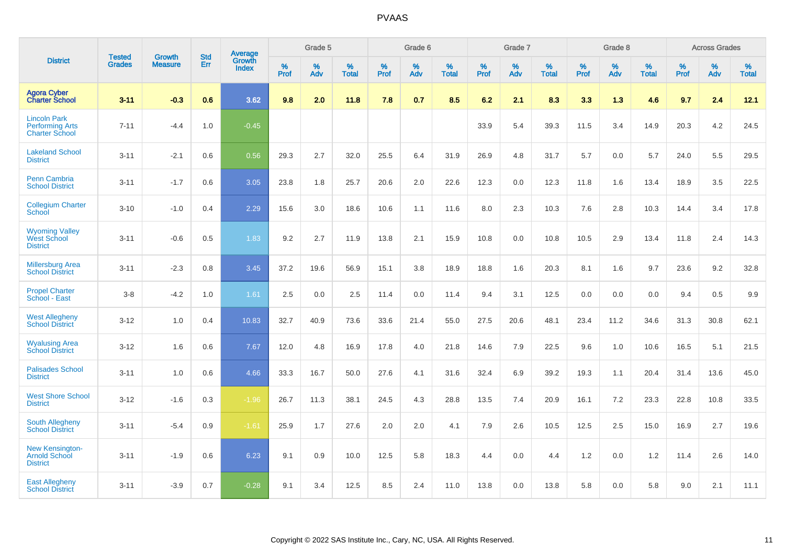|                                                                        | <b>Tested</b> | <b>Growth</b>  | <b>Std</b> | Average                       |              | Grade 5  |                   |           | Grade 6  |                   |           | Grade 7  |                   |           | Grade 8  |                   |           | <b>Across Grades</b> |                   |
|------------------------------------------------------------------------|---------------|----------------|------------|-------------------------------|--------------|----------|-------------------|-----------|----------|-------------------|-----------|----------|-------------------|-----------|----------|-------------------|-----------|----------------------|-------------------|
| <b>District</b>                                                        | <b>Grades</b> | <b>Measure</b> | Err        | <b>Growth</b><br><b>Index</b> | $\%$<br>Prof | %<br>Adv | %<br><b>Total</b> | %<br>Prof | %<br>Adv | %<br><b>Total</b> | %<br>Prof | %<br>Adv | %<br><b>Total</b> | %<br>Prof | %<br>Adv | %<br><b>Total</b> | %<br>Prof | %<br>Adv             | %<br><b>Total</b> |
| <b>Agora Cyber<br/>Charter School</b>                                  | $3 - 11$      | $-0.3$         | 0.6        | 3.62                          | 9.8          | 2.0      | 11.8              | 7.8       | 0.7      | 8.5               | 6.2       | 2.1      | 8.3               | 3.3       | 1.3      | 4.6               | 9.7       | 2.4                  | 12.1              |
| <b>Lincoln Park</b><br><b>Performing Arts</b><br><b>Charter School</b> | $7 - 11$      | $-4.4$         | 1.0        | $-0.45$                       |              |          |                   |           |          |                   | 33.9      | 5.4      | 39.3              | 11.5      | 3.4      | 14.9              | 20.3      | 4.2                  | 24.5              |
| <b>Lakeland School</b><br><b>District</b>                              | $3 - 11$      | $-2.1$         | 0.6        | 0.56                          | 29.3         | 2.7      | 32.0              | 25.5      | 6.4      | 31.9              | 26.9      | 4.8      | 31.7              | 5.7       | 0.0      | 5.7               | 24.0      | 5.5                  | 29.5              |
| <b>Penn Cambria</b><br><b>School District</b>                          | $3 - 11$      | $-1.7$         | 0.6        | 3.05                          | 23.8         | 1.8      | 25.7              | 20.6      | 2.0      | 22.6              | 12.3      | 0.0      | 12.3              | 11.8      | 1.6      | 13.4              | 18.9      | 3.5                  | 22.5              |
| <b>Collegium Charter</b><br>School                                     | $3 - 10$      | $-1.0$         | 0.4        | 2.29                          | 15.6         | 3.0      | 18.6              | 10.6      | 1.1      | 11.6              | 8.0       | 2.3      | 10.3              | 7.6       | 2.8      | 10.3              | 14.4      | 3.4                  | 17.8              |
| <b>Wyoming Valley</b><br>West School<br><b>District</b>                | $3 - 11$      | $-0.6$         | 0.5        | 1.83                          | 9.2          | 2.7      | 11.9              | 13.8      | 2.1      | 15.9              | 10.8      | 0.0      | 10.8              | 10.5      | 2.9      | 13.4              | 11.8      | 2.4                  | 14.3              |
| <b>Millersburg Area</b><br><b>School District</b>                      | $3 - 11$      | $-2.3$         | 0.8        | 3.45                          | 37.2         | 19.6     | 56.9              | 15.1      | 3.8      | 18.9              | 18.8      | 1.6      | 20.3              | 8.1       | 1.6      | 9.7               | 23.6      | 9.2                  | 32.8              |
| <b>Propel Charter</b><br>School - East                                 | $3 - 8$       | $-4.2$         | 1.0        | 1.61                          | 2.5          | 0.0      | 2.5               | 11.4      | 0.0      | 11.4              | 9.4       | 3.1      | 12.5              | 0.0       | 0.0      | 0.0               | 9.4       | 0.5                  | 9.9               |
| <b>West Allegheny</b><br><b>School District</b>                        | $3 - 12$      | 1.0            | 0.4        | 10.83                         | 32.7         | 40.9     | 73.6              | 33.6      | 21.4     | 55.0              | 27.5      | 20.6     | 48.1              | 23.4      | 11.2     | 34.6              | 31.3      | 30.8                 | 62.1              |
| <b>Wyalusing Area</b><br><b>School District</b>                        | $3 - 12$      | 1.6            | 0.6        | 7.67                          | 12.0         | 4.8      | 16.9              | 17.8      | 4.0      | 21.8              | 14.6      | 7.9      | 22.5              | 9.6       | 1.0      | 10.6              | 16.5      | 5.1                  | 21.5              |
| <b>Palisades School</b><br><b>District</b>                             | $3 - 11$      | 1.0            | 0.6        | 4.66                          | 33.3         | 16.7     | 50.0              | 27.6      | 4.1      | 31.6              | 32.4      | 6.9      | 39.2              | 19.3      | 1.1      | 20.4              | 31.4      | 13.6                 | 45.0              |
| <b>West Shore School</b><br><b>District</b>                            | $3 - 12$      | $-1.6$         | 0.3        | $-1.96$                       | 26.7         | 11.3     | 38.1              | 24.5      | 4.3      | 28.8              | 13.5      | 7.4      | 20.9              | 16.1      | 7.2      | 23.3              | 22.8      | 10.8                 | 33.5              |
| <b>South Allegheny</b><br><b>School District</b>                       | $3 - 11$      | $-5.4$         | 0.9        | $-1.61$                       | 25.9         | 1.7      | 27.6              | 2.0       | 2.0      | 4.1               | 7.9       | 2.6      | 10.5              | 12.5      | 2.5      | 15.0              | 16.9      | 2.7                  | 19.6              |
| <b>New Kensington-</b><br><b>Arnold School</b><br><b>District</b>      | $3 - 11$      | $-1.9$         | 0.6        | 6.23                          | 9.1          | 0.9      | 10.0              | 12.5      | 5.8      | 18.3              | 4.4       | $0.0\,$  | 4.4               | 1.2       | 0.0      | 1.2               | 11.4      | 2.6                  | 14.0              |
| <b>East Allegheny</b><br><b>School District</b>                        | $3 - 11$      | $-3.9$         | 0.7        | $-0.28$                       | 9.1          | 3.4      | 12.5              | 8.5       | 2.4      | 11.0              | 13.8      | 0.0      | 13.8              | 5.8       | 0.0      | 5.8               | 9.0       | 2.1                  | 11.1              |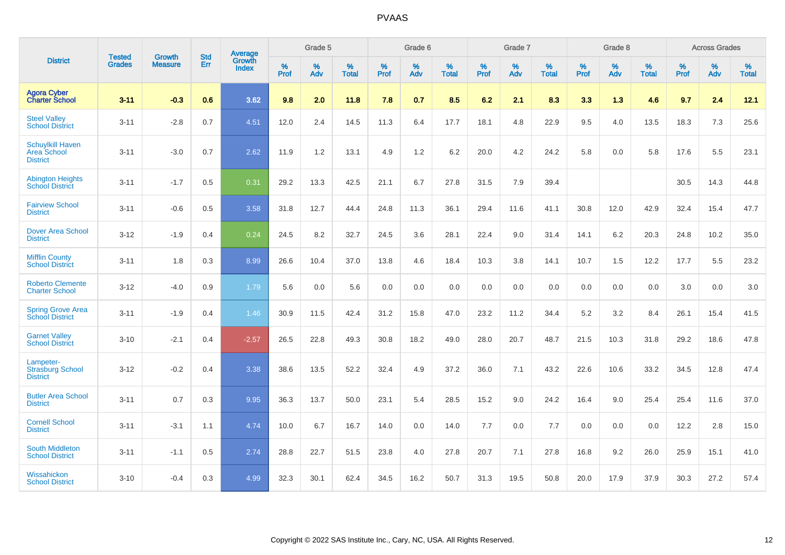|                                                           | <b>Tested</b> | <b>Growth</b>  | <b>Std</b> | Average                |                     | Grade 5  |                   |                     | Grade 6  |                   |              | Grade 7  |                   |                     | Grade 8  |                   |                     | <b>Across Grades</b> |                   |
|-----------------------------------------------------------|---------------|----------------|------------|------------------------|---------------------|----------|-------------------|---------------------|----------|-------------------|--------------|----------|-------------------|---------------------|----------|-------------------|---------------------|----------------------|-------------------|
| <b>District</b>                                           | <b>Grades</b> | <b>Measure</b> | Err        | Growth<br><b>Index</b> | $\%$<br><b>Prof</b> | %<br>Adv | %<br><b>Total</b> | $\%$<br><b>Prof</b> | %<br>Adv | %<br><b>Total</b> | $\%$<br>Prof | %<br>Adv | %<br><b>Total</b> | $\%$<br><b>Prof</b> | %<br>Adv | %<br><b>Total</b> | $\%$<br><b>Prof</b> | %<br>Adv             | %<br><b>Total</b> |
| <b>Agora Cyber</b><br><b>Charter School</b>               | $3 - 11$      | $-0.3$         | 0.6        | 3.62                   | 9.8                 | 2.0      | 11.8              | 7.8                 | 0.7      | 8.5               | 6.2          | 2.1      | 8.3               | 3.3                 | 1.3      | 4.6               | 9.7                 | 2.4                  | 12.1              |
| <b>Steel Valley</b><br><b>School District</b>             | $3 - 11$      | $-2.8$         | 0.7        | 4.51                   | 12.0                | 2.4      | 14.5              | 11.3                | 6.4      | 17.7              | 18.1         | 4.8      | 22.9              | 9.5                 | 4.0      | 13.5              | 18.3                | $7.3$                | 25.6              |
| <b>Schuylkill Haven</b><br>Area School<br><b>District</b> | $3 - 11$      | $-3.0$         | 0.7        | 2.62                   | 11.9                | 1.2      | 13.1              | 4.9                 | 1.2      | 6.2               | 20.0         | 4.2      | 24.2              | 5.8                 | 0.0      | 5.8               | 17.6                | 5.5                  | 23.1              |
| <b>Abington Heights</b><br><b>School District</b>         | $3 - 11$      | $-1.7$         | 0.5        | 0.31                   | 29.2                | 13.3     | 42.5              | 21.1                | 6.7      | 27.8              | 31.5         | 7.9      | 39.4              |                     |          |                   | 30.5                | 14.3                 | 44.8              |
| <b>Fairview School</b><br><b>District</b>                 | $3 - 11$      | $-0.6$         | 0.5        | 3.58                   | 31.8                | 12.7     | 44.4              | 24.8                | 11.3     | 36.1              | 29.4         | 11.6     | 41.1              | 30.8                | 12.0     | 42.9              | 32.4                | 15.4                 | 47.7              |
| <b>Dover Area School</b><br><b>District</b>               | $3 - 12$      | $-1.9$         | 0.4        | 0.24                   | 24.5                | 8.2      | 32.7              | 24.5                | 3.6      | 28.1              | 22.4         | 9.0      | 31.4              | 14.1                | 6.2      | 20.3              | 24.8                | 10.2                 | 35.0              |
| <b>Mifflin County</b><br><b>School District</b>           | $3 - 11$      | 1.8            | 0.3        | 8.99                   | 26.6                | 10.4     | 37.0              | 13.8                | 4.6      | 18.4              | 10.3         | 3.8      | 14.1              | 10.7                | 1.5      | 12.2              | 17.7                | 5.5                  | 23.2              |
| <b>Roberto Clemente</b><br><b>Charter School</b>          | $3 - 12$      | $-4.0$         | 0.9        | 1.79                   | 5.6                 | 0.0      | 5.6               | 0.0                 | 0.0      | 0.0               | 0.0          | 0.0      | 0.0               | 0.0                 | 0.0      | 0.0               | 3.0                 | 0.0                  | 3.0               |
| <b>Spring Grove Area</b><br><b>School District</b>        | $3 - 11$      | $-1.9$         | 0.4        | 1.46                   | 30.9                | 11.5     | 42.4              | 31.2                | 15.8     | 47.0              | 23.2         | 11.2     | 34.4              | 5.2                 | 3.2      | 8.4               | 26.1                | 15.4                 | 41.5              |
| <b>Garnet Valley</b><br><b>School District</b>            | $3 - 10$      | $-2.1$         | 0.4        | $-2.57$                | 26.5                | 22.8     | 49.3              | 30.8                | 18.2     | 49.0              | 28.0         | 20.7     | 48.7              | 21.5                | 10.3     | 31.8              | 29.2                | 18.6                 | 47.8              |
| Lampeter-<br><b>Strasburg School</b><br><b>District</b>   | $3 - 12$      | $-0.2$         | 0.4        | 3.38                   | 38.6                | 13.5     | 52.2              | 32.4                | 4.9      | 37.2              | 36.0         | 7.1      | 43.2              | 22.6                | 10.6     | 33.2              | 34.5                | 12.8                 | 47.4              |
| <b>Butler Area School</b><br><b>District</b>              | $3 - 11$      | 0.7            | 0.3        | 9.95                   | 36.3                | 13.7     | 50.0              | 23.1                | 5.4      | 28.5              | 15.2         | 9.0      | 24.2              | 16.4                | 9.0      | 25.4              | 25.4                | 11.6                 | 37.0              |
| <b>Cornell School</b><br><b>District</b>                  | $3 - 11$      | $-3.1$         | 1.1        | 4.74                   | 10.0                | 6.7      | 16.7              | 14.0                | 0.0      | 14.0              | $7.7$        | 0.0      | 7.7               | 0.0                 | 0.0      | 0.0               | 12.2                | 2.8                  | 15.0              |
| <b>South Middleton</b><br><b>School District</b>          | $3 - 11$      | $-1.1$         | 0.5        | 2.74                   | 28.8                | 22.7     | 51.5              | 23.8                | 4.0      | 27.8              | 20.7         | 7.1      | 27.8              | 16.8                | 9.2      | 26.0              | 25.9                | 15.1                 | 41.0              |
| Wissahickon<br><b>School District</b>                     | $3 - 10$      | $-0.4$         | 0.3        | 4.99                   | 32.3                | 30.1     | 62.4              | 34.5                | 16.2     | 50.7              | 31.3         | 19.5     | 50.8              | 20.0                | 17.9     | 37.9              | 30.3                | 27.2                 | 57.4              |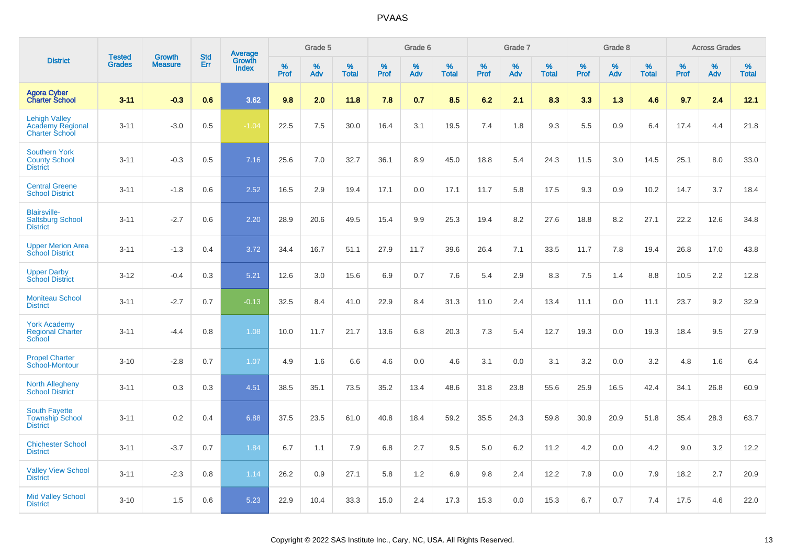|                                                                   |                                |                                 | <b>Std</b> |                                   |                     | Grade 5  |                   |           | Grade 6  |                   |           | Grade 7  |                   |           | Grade 8  |                   |           | <b>Across Grades</b> |                   |
|-------------------------------------------------------------------|--------------------------------|---------------------------------|------------|-----------------------------------|---------------------|----------|-------------------|-----------|----------|-------------------|-----------|----------|-------------------|-----------|----------|-------------------|-----------|----------------------|-------------------|
| <b>District</b>                                                   | <b>Tested</b><br><b>Grades</b> | <b>Growth</b><br><b>Measure</b> | Err        | <b>Average</b><br>Growth<br>Index | $\%$<br><b>Prof</b> | %<br>Adv | %<br><b>Total</b> | %<br>Prof | %<br>Adv | %<br><b>Total</b> | %<br>Prof | %<br>Adv | %<br><b>Total</b> | %<br>Prof | %<br>Adv | %<br><b>Total</b> | %<br>Prof | %<br>Adv             | %<br><b>Total</b> |
| <b>Agora Cyber</b><br><b>Charter School</b>                       | $3 - 11$                       | $-0.3$                          | 0.6        | 3.62                              | 9.8                 | 2.0      | 11.8              | 7.8       | 0.7      | 8.5               | 6.2       | 2.1      | 8.3               | 3.3       | 1.3      | 4.6               | 9.7       | 2.4                  | 12.1              |
| <b>Lehigh Valley</b><br>Academy Regional<br><b>Charter School</b> | $3 - 11$                       | $-3.0$                          | 0.5        | $-1.04$                           | 22.5                | 7.5      | 30.0              | 16.4      | 3.1      | 19.5              | 7.4       | 1.8      | 9.3               | 5.5       | 0.9      | 6.4               | 17.4      | 4.4                  | 21.8              |
| <b>Southern York</b><br><b>County School</b><br><b>District</b>   | $3 - 11$                       | $-0.3$                          | 0.5        | 7.16                              | 25.6                | 7.0      | 32.7              | 36.1      | 8.9      | 45.0              | 18.8      | 5.4      | 24.3              | 11.5      | 3.0      | 14.5              | 25.1      | 8.0                  | 33.0              |
| <b>Central Greene</b><br><b>School District</b>                   | $3 - 11$                       | $-1.8$                          | 0.6        | 2.52                              | 16.5                | 2.9      | 19.4              | 17.1      | 0.0      | 17.1              | 11.7      | 5.8      | 17.5              | 9.3       | 0.9      | 10.2              | 14.7      | 3.7                  | 18.4              |
| <b>Blairsville-</b><br><b>Saltsburg School</b><br><b>District</b> | $3 - 11$                       | $-2.7$                          | 0.6        | 2.20                              | 28.9                | 20.6     | 49.5              | 15.4      | 9.9      | 25.3              | 19.4      | 8.2      | 27.6              | 18.8      | 8.2      | 27.1              | 22.2      | 12.6                 | 34.8              |
| <b>Upper Merion Area</b><br><b>School District</b>                | $3 - 11$                       | $-1.3$                          | 0.4        | 3.72                              | 34.4                | 16.7     | 51.1              | 27.9      | 11.7     | 39.6              | 26.4      | 7.1      | 33.5              | 11.7      | 7.8      | 19.4              | 26.8      | 17.0                 | 43.8              |
| <b>Upper Darby</b><br><b>School District</b>                      | $3 - 12$                       | $-0.4$                          | 0.3        | 5.21                              | 12.6                | 3.0      | 15.6              | 6.9       | 0.7      | 7.6               | 5.4       | 2.9      | 8.3               | 7.5       | 1.4      | 8.8               | 10.5      | 2.2                  | 12.8              |
| <b>Moniteau School</b><br><b>District</b>                         | $3 - 11$                       | $-2.7$                          | 0.7        | $-0.13$                           | 32.5                | 8.4      | 41.0              | 22.9      | 8.4      | 31.3              | 11.0      | 2.4      | 13.4              | 11.1      | 0.0      | 11.1              | 23.7      | 9.2                  | 32.9              |
| <b>York Academy</b><br><b>Regional Charter</b><br>School          | $3 - 11$                       | $-4.4$                          | 0.8        | 1.08                              | 10.0                | 11.7     | 21.7              | 13.6      | 6.8      | 20.3              | 7.3       | 5.4      | 12.7              | 19.3      | 0.0      | 19.3              | 18.4      | 9.5                  | 27.9              |
| <b>Propel Charter</b><br>School-Montour                           | $3 - 10$                       | $-2.8$                          | 0.7        | 1.07                              | 4.9                 | 1.6      | 6.6               | 4.6       | 0.0      | 4.6               | 3.1       | 0.0      | 3.1               | 3.2       | 0.0      | 3.2               | 4.8       | 1.6                  | 6.4               |
| <b>North Allegheny</b><br><b>School District</b>                  | $3 - 11$                       | 0.3                             | 0.3        | 4.51                              | 38.5                | 35.1     | 73.5              | 35.2      | 13.4     | 48.6              | 31.8      | 23.8     | 55.6              | 25.9      | 16.5     | 42.4              | 34.1      | 26.8                 | 60.9              |
| South Fayette<br><b>Township School</b><br><b>District</b>        | $3 - 11$                       | 0.2                             | 0.4        | 6.88                              | 37.5                | 23.5     | 61.0              | 40.8      | 18.4     | 59.2              | 35.5      | 24.3     | 59.8              | 30.9      | 20.9     | 51.8              | 35.4      | 28.3                 | 63.7              |
| <b>Chichester School</b><br><b>District</b>                       | $3 - 11$                       | $-3.7$                          | 0.7        | 1.84                              | 6.7                 | 1.1      | 7.9               | 6.8       | 2.7      | 9.5               | 5.0       | 6.2      | 11.2              | 4.2       | 0.0      | 4.2               | 9.0       | 3.2                  | 12.2              |
| <b>Valley View School</b><br><b>District</b>                      | $3 - 11$                       | $-2.3$                          | 0.8        | 1.14                              | 26.2                | 0.9      | 27.1              | 5.8       | 1.2      | 6.9               | 9.8       | 2.4      | 12.2              | 7.9       | 0.0      | 7.9               | 18.2      | 2.7                  | 20.9              |
| <b>Mid Valley School</b><br><b>District</b>                       | $3 - 10$                       | 1.5                             | 0.6        | 5.23                              | 22.9                | 10.4     | 33.3              | 15.0      | 2.4      | 17.3              | 15.3      | 0.0      | 15.3              | 6.7       | 0.7      | 7.4               | 17.5      | 4.6                  | 22.0              |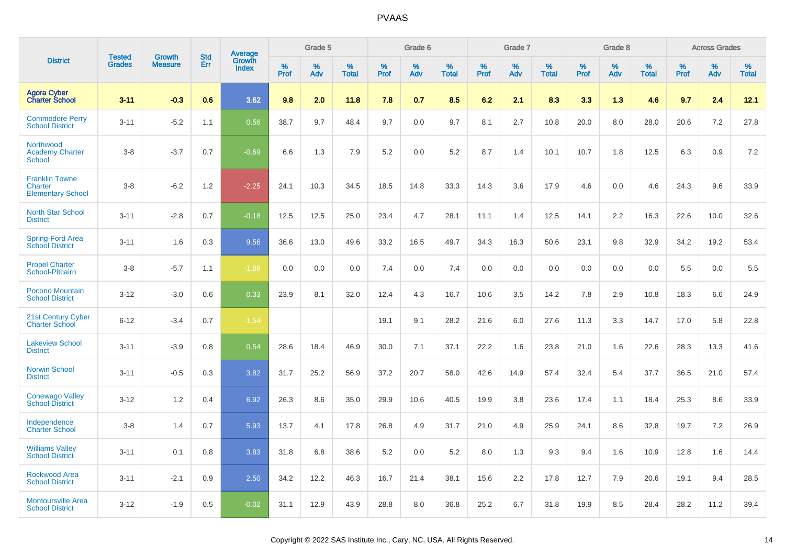|                                                              | <b>Tested</b> |                                 | <b>Std</b> |                                          |              | Grade 5  |                   |              | Grade 6  |                   |              | Grade 7  |                   |              | Grade 8  |                   |              | <b>Across Grades</b> |                   |
|--------------------------------------------------------------|---------------|---------------------------------|------------|------------------------------------------|--------------|----------|-------------------|--------------|----------|-------------------|--------------|----------|-------------------|--------------|----------|-------------------|--------------|----------------------|-------------------|
| <b>District</b>                                              | <b>Grades</b> | <b>Growth</b><br><b>Measure</b> | Err        | <b>Average</b><br>Growth<br><b>Index</b> | $\%$<br>Prof | %<br>Adv | %<br><b>Total</b> | $\%$<br>Prof | %<br>Adv | %<br><b>Total</b> | $\%$<br>Prof | %<br>Adv | %<br><b>Total</b> | $\%$<br>Prof | %<br>Adv | %<br><b>Total</b> | $\%$<br>Prof | %<br>Adv             | %<br><b>Total</b> |
| <b>Agora Cyber</b><br><b>Charter School</b>                  | $3 - 11$      | $-0.3$                          | 0.6        | 3.62                                     | 9.8          | 2.0      | 11.8              | 7.8          | 0.7      | 8.5               | 6.2          | 2.1      | 8.3               | 3.3          | 1.3      | 4.6               | 9.7          | 2.4                  | 12.1              |
| <b>Commodore Perry</b><br><b>School District</b>             | $3 - 11$      | $-5.2$                          | 1.1        | 0.56                                     | 38.7         | 9.7      | 48.4              | 9.7          | 0.0      | 9.7               | 8.1          | 2.7      | 10.8              | 20.0         | 8.0      | 28.0              | 20.6         | 7.2                  | 27.8              |
| Northwood<br><b>Academy Charter</b><br><b>School</b>         | $3 - 8$       | $-3.7$                          | 0.7        | $-0.69$                                  | 6.6          | 1.3      | 7.9               | 5.2          | 0.0      | 5.2               | 8.7          | 1.4      | 10.1              | 10.7         | 1.8      | 12.5              | 6.3          | 0.9                  | 7.2               |
| <b>Franklin Towne</b><br>Charter<br><b>Elementary School</b> | $3 - 8$       | $-6.2$                          | 1.2        | $-2.25$                                  | 24.1         | 10.3     | 34.5              | 18.5         | 14.8     | 33.3              | 14.3         | 3.6      | 17.9              | 4.6          | 0.0      | 4.6               | 24.3         | 9.6                  | 33.9              |
| <b>North Star School</b><br><b>District</b>                  | $3 - 11$      | $-2.8$                          | 0.7        | $-0.18$                                  | 12.5         | 12.5     | 25.0              | 23.4         | 4.7      | 28.1              | 11.1         | 1.4      | 12.5              | 14.1         | 2.2      | 16.3              | 22.6         | 10.0                 | 32.6              |
| Spring-Ford Area<br><b>School District</b>                   | $3 - 11$      | 1.6                             | 0.3        | 9.56                                     | 36.6         | 13.0     | 49.6              | 33.2         | 16.5     | 49.7              | 34.3         | 16.3     | 50.6              | 23.1         | 9.8      | 32.9              | 34.2         | 19.2                 | 53.4              |
| <b>Propel Charter</b><br>School-Pitcairn                     | $3 - 8$       | $-5.7$                          | 1.1        | $-1.88$                                  | 0.0          | 0.0      | 0.0               | 7.4          | 0.0      | 7.4               | 0.0          | 0.0      | 0.0               | 0.0          | 0.0      | 0.0               | 5.5          | 0.0                  | 5.5               |
| Pocono Mountain<br><b>School District</b>                    | $3 - 12$      | $-3.0$                          | 0.6        | 0.33                                     | 23.9         | 8.1      | 32.0              | 12.4         | 4.3      | 16.7              | 10.6         | 3.5      | 14.2              | 7.8          | 2.9      | 10.8              | 18.3         | 6.6                  | 24.9              |
| 21st Century Cyber<br><b>Charter School</b>                  | $6 - 12$      | $-3.4$                          | 0.7        | $-1.54$                                  |              |          |                   | 19.1         | 9.1      | 28.2              | 21.6         | 6.0      | 27.6              | 11.3         | 3.3      | 14.7              | 17.0         | 5.8                  | 22.8              |
| <b>Lakeview School</b><br><b>District</b>                    | $3 - 11$      | $-3.9$                          | 0.8        | 0.54                                     | 28.6         | 18.4     | 46.9              | 30.0         | 7.1      | 37.1              | 22.2         | 1.6      | 23.8              | 21.0         | 1.6      | 22.6              | 28.3         | 13.3                 | 41.6              |
| Norwin School<br><b>District</b>                             | $3 - 11$      | $-0.5$                          | 0.3        | 3.82                                     | 31.7         | 25.2     | 56.9              | 37.2         | 20.7     | 58.0              | 42.6         | 14.9     | 57.4              | 32.4         | 5.4      | 37.7              | 36.5         | 21.0                 | 57.4              |
| <b>Conewago Valley</b><br><b>School District</b>             | $3 - 12$      | 1.2                             | 0.4        | 6.92                                     | 26.3         | 8.6      | 35.0              | 29.9         | 10.6     | 40.5              | 19.9         | 3.8      | 23.6              | 17.4         | 1.1      | 18.4              | 25.3         | 8.6                  | 33.9              |
| Independence<br><b>Charter School</b>                        | $3 - 8$       | 1.4                             | 0.7        | 5.93                                     | 13.7         | 4.1      | 17.8              | 26.8         | 4.9      | 31.7              | 21.0         | 4.9      | 25.9              | 24.1         | 8.6      | 32.8              | 19.7         | 7.2                  | 26.9              |
| <b>Williams Valley</b><br><b>School District</b>             | $3 - 11$      | 0.1                             | 0.8        | 3.83                                     | 31.8         | 6.8      | 38.6              | 5.2          | 0.0      | 5.2               | 8.0          | 1.3      | 9.3               | 9.4          | 1.6      | 10.9              | 12.8         | 1.6                  | 14.4              |
| <b>Rockwood Area</b><br><b>School District</b>               | $3 - 11$      | $-2.1$                          | 0.9        | 2.50                                     | 34.2         | 12.2     | 46.3              | 16.7         | 21.4     | 38.1              | 15.6         | 2.2      | 17.8              | 12.7         | 7.9      | 20.6              | 19.1         | 9.4                  | 28.5              |
| <b>Montoursville Area</b><br><b>School District</b>          | $3 - 12$      | $-1.9$                          | 0.5        | $-0.02$                                  | 31.1         | 12.9     | 43.9              | 28.8         | 8.0      | 36.8              | 25.2         | 6.7      | 31.8              | 19.9         | 8.5      | 28.4              | 28.2         | 11.2                 | 39.4              |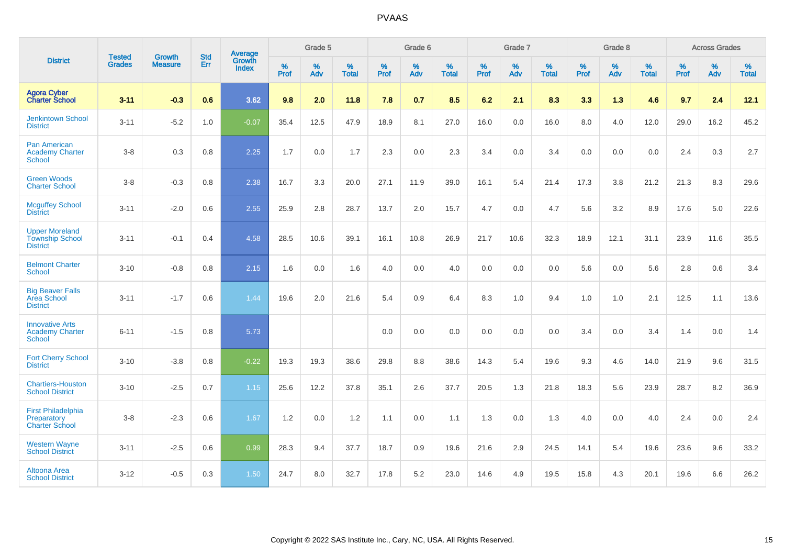|                                                                    | <b>Tested</b> | <b>Growth</b>  | <b>Std</b> | Average                |                     | Grade 5  |                   |              | Grade 6  |                   |                     | Grade 7  |                   |                     | Grade 8     |                   |              | <b>Across Grades</b> |                   |
|--------------------------------------------------------------------|---------------|----------------|------------|------------------------|---------------------|----------|-------------------|--------------|----------|-------------------|---------------------|----------|-------------------|---------------------|-------------|-------------------|--------------|----------------------|-------------------|
| <b>District</b>                                                    | <b>Grades</b> | <b>Measure</b> | Err        | Growth<br><b>Index</b> | $\%$<br><b>Prof</b> | %<br>Adv | %<br><b>Total</b> | $\%$<br>Prof | %<br>Adv | %<br><b>Total</b> | $\%$<br><b>Prof</b> | %<br>Adv | %<br><b>Total</b> | $\%$<br><b>Prof</b> | $\%$<br>Adv | %<br><b>Total</b> | $\%$<br>Prof | %<br>Adv             | %<br><b>Total</b> |
| Agora Cyber<br>Charter School                                      | $3 - 11$      | $-0.3$         | 0.6        | 3.62                   | 9.8                 | 2.0      | 11.8              | 7.8          | 0.7      | 8.5               | 6.2                 | 2.1      | 8.3               | 3.3                 | 1.3         | 4.6               | 9.7          | 2.4                  | 12.1              |
| <b>Jenkintown School</b><br><b>District</b>                        | $3 - 11$      | $-5.2$         | 1.0        | $-0.07$                | 35.4                | 12.5     | 47.9              | 18.9         | 8.1      | 27.0              | 16.0                | 0.0      | 16.0              | 8.0                 | 4.0         | 12.0              | 29.0         | 16.2                 | 45.2              |
| <b>Pan American</b><br><b>Academy Charter</b><br><b>School</b>     | $3-8$         | 0.3            | 0.8        | 2.25                   | 1.7                 | 0.0      | 1.7               | 2.3          | 0.0      | 2.3               | 3.4                 | 0.0      | 3.4               | 0.0                 | 0.0         | 0.0               | 2.4          | 0.3                  | 2.7               |
| <b>Green Woods</b><br><b>Charter School</b>                        | $3-8$         | $-0.3$         | 0.8        | 2.38                   | 16.7                | 3.3      | 20.0              | 27.1         | 11.9     | 39.0              | 16.1                | 5.4      | 21.4              | 17.3                | 3.8         | 21.2              | 21.3         | 8.3                  | 29.6              |
| <b>Mcguffey School</b><br><b>District</b>                          | $3 - 11$      | $-2.0$         | 0.6        | 2.55                   | 25.9                | 2.8      | 28.7              | 13.7         | 2.0      | 15.7              | 4.7                 | 0.0      | 4.7               | 5.6                 | 3.2         | 8.9               | 17.6         | 5.0                  | 22.6              |
| <b>Upper Moreland</b><br><b>Township School</b><br><b>District</b> | $3 - 11$      | $-0.1$         | 0.4        | 4.58                   | 28.5                | 10.6     | 39.1              | 16.1         | 10.8     | 26.9              | 21.7                | 10.6     | 32.3              | 18.9                | 12.1        | 31.1              | 23.9         | 11.6                 | 35.5              |
| <b>Belmont Charter</b><br><b>School</b>                            | $3 - 10$      | $-0.8$         | 0.8        | 2.15                   | 1.6                 | 0.0      | 1.6               | 4.0          | 0.0      | 4.0               | 0.0                 | 0.0      | 0.0               | 5.6                 | 0.0         | 5.6               | 2.8          | 0.6                  | 3.4               |
| <b>Big Beaver Falls</b><br>Area School<br><b>District</b>          | $3 - 11$      | $-1.7$         | 0.6        | 1.44                   | 19.6                | 2.0      | 21.6              | 5.4          | 0.9      | 6.4               | 8.3                 | 1.0      | 9.4               | 1.0                 | 1.0         | 2.1               | 12.5         | 1.1                  | 13.6              |
| <b>Innovative Arts</b><br><b>Academy Charter</b><br><b>School</b>  | $6 - 11$      | $-1.5$         | 0.8        | 5.73                   |                     |          |                   | 0.0          | 0.0      | 0.0               | 0.0                 | 0.0      | 0.0               | 3.4                 | 0.0         | 3.4               | 1.4          | 0.0                  | 1.4               |
| <b>Fort Cherry School</b><br><b>District</b>                       | $3 - 10$      | $-3.8$         | 0.8        | $-0.22$                | 19.3                | 19.3     | 38.6              | 29.8         | 8.8      | 38.6              | 14.3                | 5.4      | 19.6              | 9.3                 | 4.6         | 14.0              | 21.9         | 9.6                  | 31.5              |
| <b>Chartiers-Houston</b><br><b>School District</b>                 | $3 - 10$      | $-2.5$         | 0.7        | 1.15                   | 25.6                | 12.2     | 37.8              | 35.1         | 2.6      | 37.7              | 20.5                | 1.3      | 21.8              | 18.3                | 5.6         | 23.9              | 28.7         | 8.2                  | 36.9              |
| <b>First Philadelphia</b><br>Preparatory<br><b>Charter School</b>  | $3-8$         | $-2.3$         | 0.6        | 1.67                   | 1.2                 | $0.0\,$  | 1.2               | 1.1          | $0.0\,$  | 1.1               | 1.3                 | $0.0\,$  | 1.3               | 4.0                 | $0.0\,$     | 4.0               | 2.4          | $0.0\,$              | 2.4               |
| <b>Western Wayne</b><br><b>School District</b>                     | $3 - 11$      | $-2.5$         | 0.6        | 0.99                   | 28.3                | 9.4      | 37.7              | 18.7         | 0.9      | 19.6              | 21.6                | 2.9      | 24.5              | 14.1                | 5.4         | 19.6              | 23.6         | 9.6                  | 33.2              |
| Altoona Area<br><b>School District</b>                             | $3 - 12$      | $-0.5$         | 0.3        | 1.50                   | 24.7                | 8.0      | 32.7              | 17.8         | 5.2      | 23.0              | 14.6                | 4.9      | 19.5              | 15.8                | 4.3         | 20.1              | 19.6         | 6.6                  | 26.2              |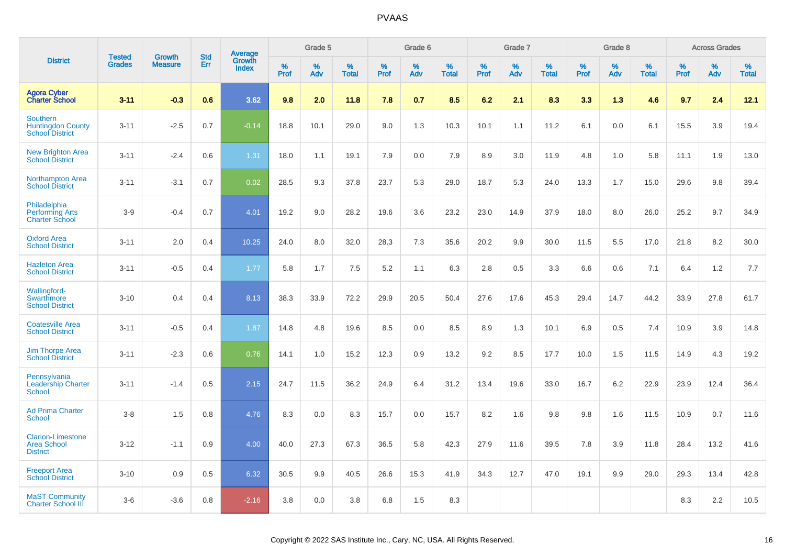|                                                                   | <b>Tested</b> | <b>Growth</b>  | <b>Std</b> |                                          |              | Grade 5  |                   |           | Grade 6  |                   |           | Grade 7  |                   |           | Grade 8  |                   |              | <b>Across Grades</b> |                   |
|-------------------------------------------------------------------|---------------|----------------|------------|------------------------------------------|--------------|----------|-------------------|-----------|----------|-------------------|-----------|----------|-------------------|-----------|----------|-------------------|--------------|----------------------|-------------------|
| <b>District</b>                                                   | <b>Grades</b> | <b>Measure</b> | Err        | <b>Average</b><br>Growth<br><b>Index</b> | $\%$<br>Prof | %<br>Adv | %<br><b>Total</b> | %<br>Prof | %<br>Adv | %<br><b>Total</b> | %<br>Prof | %<br>Adv | %<br><b>Total</b> | %<br>Prof | %<br>Adv | %<br><b>Total</b> | $\%$<br>Prof | %<br>Adv             | %<br><b>Total</b> |
| <b>Agora Cyber</b><br><b>Charter School</b>                       | $3 - 11$      | $-0.3$         | 0.6        | 3.62                                     | 9.8          | 2.0      | 11.8              | 7.8       | 0.7      | 8.5               | 6.2       | 2.1      | 8.3               | 3.3       | 1.3      | 4.6               | 9.7          | 2.4                  | 12.1              |
| Southern<br><b>Huntingdon County</b><br><b>School District</b>    | $3 - 11$      | $-2.5$         | 0.7        | $-0.14$                                  | 18.8         | 10.1     | 29.0              | 9.0       | 1.3      | 10.3              | 10.1      | 1.1      | 11.2              | 6.1       | 0.0      | 6.1               | 15.5         | 3.9                  | 19.4              |
| <b>New Brighton Area</b><br><b>School District</b>                | $3 - 11$      | $-2.4$         | 0.6        | 1.31                                     | 18.0         | 1.1      | 19.1              | 7.9       | 0.0      | 7.9               | 8.9       | 3.0      | 11.9              | 4.8       | 1.0      | 5.8               | 11.1         | 1.9                  | 13.0              |
| <b>Northampton Area</b><br><b>School District</b>                 | $3 - 11$      | $-3.1$         | 0.7        | 0.02                                     | 28.5         | 9.3      | 37.8              | 23.7      | 5.3      | 29.0              | 18.7      | 5.3      | 24.0              | 13.3      | 1.7      | 15.0              | 29.6         | 9.8                  | 39.4              |
| Philadelphia<br><b>Performing Arts</b><br><b>Charter School</b>   | $3-9$         | $-0.4$         | 0.7        | 4.01                                     | 19.2         | 9.0      | 28.2              | 19.6      | 3.6      | 23.2              | 23.0      | 14.9     | 37.9              | 18.0      | 8.0      | 26.0              | 25.2         | 9.7                  | 34.9              |
| <b>Oxford Area</b><br><b>School District</b>                      | $3 - 11$      | 2.0            | 0.4        | 10.25                                    | 24.0         | 8.0      | 32.0              | 28.3      | 7.3      | 35.6              | 20.2      | 9.9      | 30.0              | 11.5      | 5.5      | 17.0              | 21.8         | 8.2                  | 30.0              |
| <b>Hazleton Area</b><br><b>School District</b>                    | $3 - 11$      | $-0.5$         | 0.4        | 1.77                                     | 5.8          | 1.7      | 7.5               | 5.2       | 1.1      | 6.3               | 2.8       | 0.5      | 3.3               | 6.6       | 0.6      | 7.1               | 6.4          | 1.2                  | 7.7               |
| Wallingford-<br>Swarthmore<br><b>School District</b>              | $3 - 10$      | 0.4            | 0.4        | 8.13                                     | 38.3         | 33.9     | 72.2              | 29.9      | 20.5     | 50.4              | 27.6      | 17.6     | 45.3              | 29.4      | 14.7     | 44.2              | 33.9         | 27.8                 | 61.7              |
| <b>Coatesville Area</b><br><b>School District</b>                 | $3 - 11$      | $-0.5$         | 0.4        | 1.87                                     | 14.8         | 4.8      | 19.6              | 8.5       | 0.0      | 8.5               | 8.9       | 1.3      | 10.1              | 6.9       | 0.5      | 7.4               | 10.9         | 3.9                  | 14.8              |
| <b>Jim Thorpe Area</b><br><b>School District</b>                  | $3 - 11$      | $-2.3$         | 0.6        | 0.76                                     | 14.1         | 1.0      | 15.2              | 12.3      | 0.9      | 13.2              | 9.2       | 8.5      | 17.7              | 10.0      | 1.5      | 11.5              | 14.9         | 4.3                  | 19.2              |
| Pennsylvania<br><b>Leadership Charter</b><br><b>School</b>        | $3 - 11$      | $-1.4$         | 0.5        | 2.15                                     | 24.7         | 11.5     | 36.2              | 24.9      | 6.4      | 31.2              | 13.4      | 19.6     | 33.0              | 16.7      | 6.2      | 22.9              | 23.9         | 12.4                 | 36.4              |
| <b>Ad Prima Charter</b><br><b>School</b>                          | $3-8$         | 1.5            | 0.8        | 4.76                                     | 8.3          | 0.0      | 8.3               | 15.7      | 0.0      | 15.7              | 8.2       | 1.6      | 9.8               | 9.8       | 1.6      | 11.5              | 10.9         | 0.7                  | 11.6              |
| <b>Clarion-Limestone</b><br><b>Area School</b><br><b>District</b> | $3 - 12$      | $-1.1$         | 0.9        | 4.00                                     | 40.0         | 27.3     | 67.3              | 36.5      | 5.8      | 42.3              | 27.9      | 11.6     | 39.5              | 7.8       | 3.9      | 11.8              | 28.4         | 13.2                 | 41.6              |
| <b>Freeport Area</b><br><b>School District</b>                    | $3 - 10$      | 0.9            | 0.5        | 6.32                                     | 30.5         | 9.9      | 40.5              | 26.6      | 15.3     | 41.9              | 34.3      | 12.7     | 47.0              | 19.1      | 9.9      | 29.0              | 29.3         | 13.4                 | 42.8              |
| <b>MaST Community</b><br><b>Charter School III</b>                | $3-6$         | $-3.6$         | 0.8        | $-2.16$                                  | 3.8          | 0.0      | 3.8               | 6.8       | 1.5      | 8.3               |           |          |                   |           |          |                   | 8.3          | 2.2                  | 10.5              |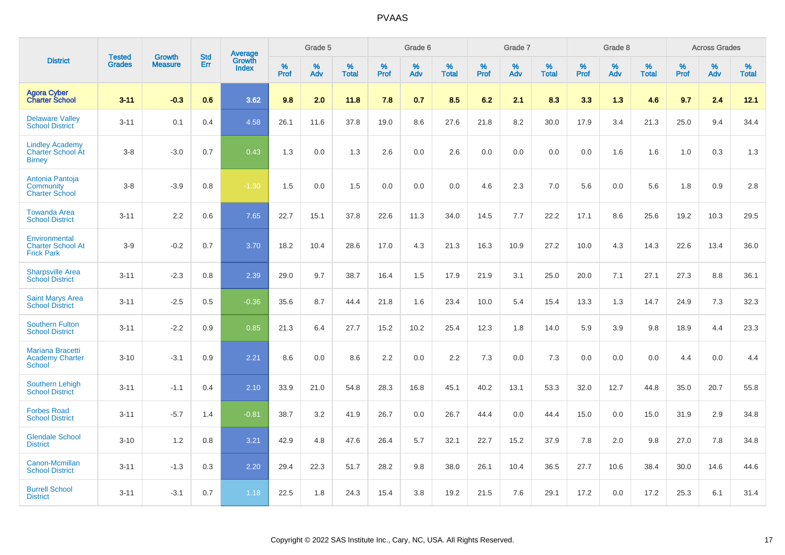|                                                                     |                                | <b>Growth</b>  | <b>Std</b> |                                          |              | Grade 5  |                   |           | Grade 6  |                   |              | Grade 7  |                   |              | Grade 8  |                   |              | <b>Across Grades</b> |                   |
|---------------------------------------------------------------------|--------------------------------|----------------|------------|------------------------------------------|--------------|----------|-------------------|-----------|----------|-------------------|--------------|----------|-------------------|--------------|----------|-------------------|--------------|----------------------|-------------------|
| <b>District</b>                                                     | <b>Tested</b><br><b>Grades</b> | <b>Measure</b> | <b>Err</b> | <b>Average</b><br>Growth<br><b>Index</b> | $\%$<br>Prof | %<br>Adv | %<br><b>Total</b> | %<br>Prof | %<br>Adv | %<br><b>Total</b> | $\%$<br>Prof | %<br>Adv | %<br><b>Total</b> | $\%$<br>Prof | %<br>Adv | %<br><b>Total</b> | $\%$<br>Prof | %<br>Adv             | %<br><b>Total</b> |
| <b>Agora Cyber</b><br><b>Charter School</b>                         | $3 - 11$                       | $-0.3$         | 0.6        | 3.62                                     | 9.8          | 2.0      | 11.8              | 7.8       | 0.7      | 8.5               | 6.2          | 2.1      | 8.3               | 3.3          | 1.3      | 4.6               | 9.7          | 2.4                  | 12.1              |
| <b>Delaware Valley</b><br><b>School District</b>                    | $3 - 11$                       | 0.1            | 0.4        | 4.58                                     | 26.1         | 11.6     | 37.8              | 19.0      | 8.6      | 27.6              | 21.8         | 8.2      | 30.0              | 17.9         | 3.4      | 21.3              | 25.0         | 9.4                  | 34.4              |
| <b>Lindley Academy</b><br><b>Charter School At</b><br><b>Birney</b> | $3 - 8$                        | $-3.0$         | 0.7        | 0.43                                     | 1.3          | 0.0      | 1.3               | 2.6       | 0.0      | 2.6               | 0.0          | 0.0      | 0.0               | 0.0          | 1.6      | 1.6               | 1.0          | 0.3                  | 1.3               |
| Antonia Pantoja<br>Community<br><b>Charter School</b>               | $3 - 8$                        | $-3.9$         | 0.8        | $-1.30$                                  | 1.5          | 0.0      | 1.5               | 0.0       | 0.0      | 0.0               | 4.6          | 2.3      | 7.0               | 5.6          | 0.0      | 5.6               | 1.8          | 0.9                  | 2.8               |
| <b>Towanda Area</b><br><b>School District</b>                       | $3 - 11$                       | 2.2            | 0.6        | 7.65                                     | 22.7         | 15.1     | 37.8              | 22.6      | 11.3     | 34.0              | 14.5         | 7.7      | 22.2              | 17.1         | 8.6      | 25.6              | 19.2         | 10.3                 | 29.5              |
| Environmental<br><b>Charter School At</b><br><b>Frick Park</b>      | $3-9$                          | $-0.2$         | 0.7        | 3.70                                     | 18.2         | 10.4     | 28.6              | 17.0      | 4.3      | 21.3              | 16.3         | 10.9     | 27.2              | 10.0         | 4.3      | 14.3              | 22.6         | 13.4                 | 36.0              |
| <b>Sharpsville Area</b><br><b>School District</b>                   | $3 - 11$                       | $-2.3$         | 0.8        | 2.39                                     | 29.0         | 9.7      | 38.7              | 16.4      | 1.5      | 17.9              | 21.9         | 3.1      | 25.0              | 20.0         | 7.1      | 27.1              | 27.3         | 8.8                  | 36.1              |
| <b>Saint Marys Area</b><br><b>School District</b>                   | $3 - 11$                       | $-2.5$         | 0.5        | $-0.36$                                  | 35.6         | 8.7      | 44.4              | 21.8      | 1.6      | 23.4              | 10.0         | 5.4      | 15.4              | 13.3         | 1.3      | 14.7              | 24.9         | 7.3                  | 32.3              |
| <b>Southern Fulton</b><br><b>School District</b>                    | $3 - 11$                       | $-2.2$         | 0.9        | 0.85                                     | 21.3         | 6.4      | 27.7              | 15.2      | 10.2     | 25.4              | 12.3         | 1.8      | 14.0              | 5.9          | 3.9      | 9.8               | 18.9         | 4.4                  | 23.3              |
| <b>Mariana Bracetti</b><br><b>Academy Charter</b><br><b>School</b>  | $3 - 10$                       | $-3.1$         | 0.9        | 2.21                                     | 8.6          | 0.0      | 8.6               | 2.2       | 0.0      | 2.2               | 7.3          | 0.0      | 7.3               | 0.0          | 0.0      | 0.0               | 4.4          | 0.0                  | 4.4               |
| <b>Southern Lehigh</b><br><b>School District</b>                    | $3 - 11$                       | $-1.1$         | 0.4        | 2.10                                     | 33.9         | 21.0     | 54.8              | 28.3      | 16.8     | 45.1              | 40.2         | 13.1     | 53.3              | 32.0         | 12.7     | 44.8              | 35.0         | 20.7                 | 55.8              |
| <b>Forbes Road</b><br><b>School District</b>                        | $3 - 11$                       | $-5.7$         | 1.4        | $-0.81$                                  | 38.7         | 3.2      | 41.9              | 26.7      | 0.0      | 26.7              | 44.4         | 0.0      | 44.4              | 15.0         | 0.0      | 15.0              | 31.9         | 2.9                  | 34.8              |
| <b>Glendale School</b><br><b>District</b>                           | $3 - 10$                       | 1.2            | 0.8        | 3.21                                     | 42.9         | 4.8      | 47.6              | 26.4      | 5.7      | 32.1              | 22.7         | 15.2     | 37.9              | 7.8          | 2.0      | 9.8               | 27.0         | 7.8                  | 34.8              |
| Canon-Mcmillan<br><b>School District</b>                            | $3 - 11$                       | $-1.3$         | 0.3        | 2.20                                     | 29.4         | 22.3     | 51.7              | 28.2      | 9.8      | 38.0              | 26.1         | 10.4     | 36.5              | 27.7         | 10.6     | 38.4              | 30.0         | 14.6                 | 44.6              |
| <b>Burrell School</b><br><b>District</b>                            | $3 - 11$                       | $-3.1$         | 0.7        | 1.18                                     | 22.5         | 1.8      | 24.3              | 15.4      | 3.8      | 19.2              | 21.5         | 7.6      | 29.1              | 17.2         | 0.0      | 17.2              | 25.3         | 6.1                  | 31.4              |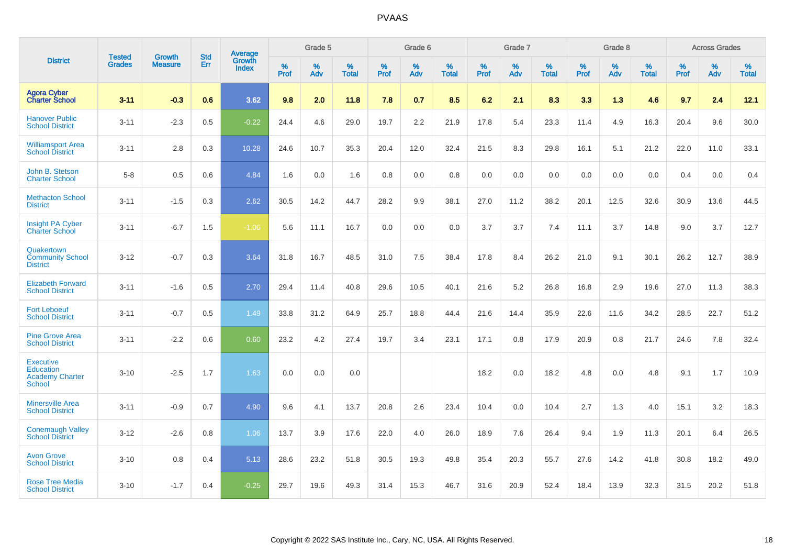|                                                                          | <b>Tested</b> | <b>Growth</b>  | <b>Std</b> | Average                |              | Grade 5  |                   |           | Grade 6  |                   |           | Grade 7  |                   |           | Grade 8  |                   |              | <b>Across Grades</b> |                   |
|--------------------------------------------------------------------------|---------------|----------------|------------|------------------------|--------------|----------|-------------------|-----------|----------|-------------------|-----------|----------|-------------------|-----------|----------|-------------------|--------------|----------------------|-------------------|
| <b>District</b>                                                          | <b>Grades</b> | <b>Measure</b> | Err        | Growth<br><b>Index</b> | $\%$<br>Prof | %<br>Adv | %<br><b>Total</b> | %<br>Prof | %<br>Adv | %<br><b>Total</b> | %<br>Prof | %<br>Adv | %<br><b>Total</b> | %<br>Prof | %<br>Adv | %<br><b>Total</b> | $\%$<br>Prof | $\%$<br>Adv          | %<br><b>Total</b> |
| <b>Agora Cyber</b><br><b>Charter School</b>                              | $3 - 11$      | $-0.3$         | 0.6        | 3.62                   | 9.8          | 2.0      | 11.8              | 7.8       | 0.7      | 8.5               | 6.2       | 2.1      | 8.3               | 3.3       | 1.3      | 4.6               | 9.7          | 2.4                  | 12.1              |
| <b>Hanover Public</b><br><b>School District</b>                          | $3 - 11$      | $-2.3$         | 0.5        | $-0.22$                | 24.4         | 4.6      | 29.0              | 19.7      | 2.2      | 21.9              | 17.8      | 5.4      | 23.3              | 11.4      | 4.9      | 16.3              | 20.4         | 9.6                  | 30.0              |
| <b>Williamsport Area</b><br><b>School District</b>                       | $3 - 11$      | 2.8            | 0.3        | 10.28                  | 24.6         | 10.7     | 35.3              | 20.4      | 12.0     | 32.4              | 21.5      | 8.3      | 29.8              | 16.1      | 5.1      | 21.2              | 22.0         | 11.0                 | 33.1              |
| John B. Stetson<br><b>Charter School</b>                                 | $5-8$         | 0.5            | 0.6        | 4.84                   | 1.6          | 0.0      | 1.6               | 0.8       | 0.0      | 0.8               | 0.0       | 0.0      | 0.0               | 0.0       | 0.0      | 0.0               | 0.4          | 0.0                  | 0.4               |
| <b>Methacton School</b><br><b>District</b>                               | $3 - 11$      | $-1.5$         | 0.3        | 2.62                   | 30.5         | 14.2     | 44.7              | 28.2      | 9.9      | 38.1              | 27.0      | 11.2     | 38.2              | 20.1      | 12.5     | 32.6              | 30.9         | 13.6                 | 44.5              |
| <b>Insight PA Cyber</b><br><b>Charter School</b>                         | $3 - 11$      | $-6.7$         | 1.5        | $-1.06$                | 5.6          | 11.1     | 16.7              | 0.0       | 0.0      | 0.0               | 3.7       | 3.7      | 7.4               | 11.1      | 3.7      | 14.8              | 9.0          | 3.7                  | 12.7              |
| Quakertown<br><b>Community School</b><br><b>District</b>                 | $3 - 12$      | $-0.7$         | 0.3        | 3.64                   | 31.8         | 16.7     | 48.5              | 31.0      | 7.5      | 38.4              | 17.8      | 8.4      | 26.2              | 21.0      | 9.1      | 30.1              | 26.2         | 12.7                 | 38.9              |
| <b>Elizabeth Forward</b><br><b>School District</b>                       | $3 - 11$      | $-1.6$         | 0.5        | 2.70                   | 29.4         | 11.4     | 40.8              | 29.6      | 10.5     | 40.1              | 21.6      | 5.2      | 26.8              | 16.8      | 2.9      | 19.6              | 27.0         | 11.3                 | 38.3              |
| <b>Fort Leboeuf</b><br><b>School District</b>                            | $3 - 11$      | $-0.7$         | 0.5        | 1.49                   | 33.8         | 31.2     | 64.9              | 25.7      | 18.8     | 44.4              | 21.6      | 14.4     | 35.9              | 22.6      | 11.6     | 34.2              | 28.5         | 22.7                 | 51.2              |
| <b>Pine Grove Area</b><br><b>School District</b>                         | $3 - 11$      | $-2.2$         | 0.6        | 0.60                   | 23.2         | 4.2      | 27.4              | 19.7      | 3.4      | 23.1              | 17.1      | 0.8      | 17.9              | 20.9      | 0.8      | 21.7              | 24.6         | 7.8                  | 32.4              |
| <b>Executive</b><br>Education<br><b>Academy Charter</b><br><b>School</b> | $3 - 10$      | $-2.5$         | 1.7        | 1.63                   | 0.0          | 0.0      | 0.0               |           |          |                   | 18.2      | 0.0      | 18.2              | 4.8       | 0.0      | 4.8               | 9.1          | 1.7                  | 10.9              |
| <b>Minersville Area</b><br><b>School District</b>                        | $3 - 11$      | $-0.9$         | 0.7        | 4.90                   | 9.6          | 4.1      | 13.7              | 20.8      | 2.6      | 23.4              | 10.4      | 0.0      | 10.4              | 2.7       | 1.3      | 4.0               | 15.1         | 3.2                  | 18.3              |
| <b>Conemaugh Valley</b><br><b>School District</b>                        | $3 - 12$      | $-2.6$         | 0.8        | 1.06                   | 13.7         | 3.9      | 17.6              | 22.0      | 4.0      | 26.0              | 18.9      | 7.6      | 26.4              | 9.4       | 1.9      | 11.3              | 20.1         | 6.4                  | 26.5              |
| <b>Avon Grove</b><br><b>School District</b>                              | $3 - 10$      | 0.8            | 0.4        | 5.13                   | 28.6         | 23.2     | 51.8              | 30.5      | 19.3     | 49.8              | 35.4      | 20.3     | 55.7              | 27.6      | 14.2     | 41.8              | 30.8         | 18.2                 | 49.0              |
| <b>Rose Tree Media</b><br><b>School District</b>                         | $3 - 10$      | $-1.7$         | 0.4        | $-0.25$                | 29.7         | 19.6     | 49.3              | 31.4      | 15.3     | 46.7              | 31.6      | 20.9     | 52.4              | 18.4      | 13.9     | 32.3              | 31.5         | 20.2                 | 51.8              |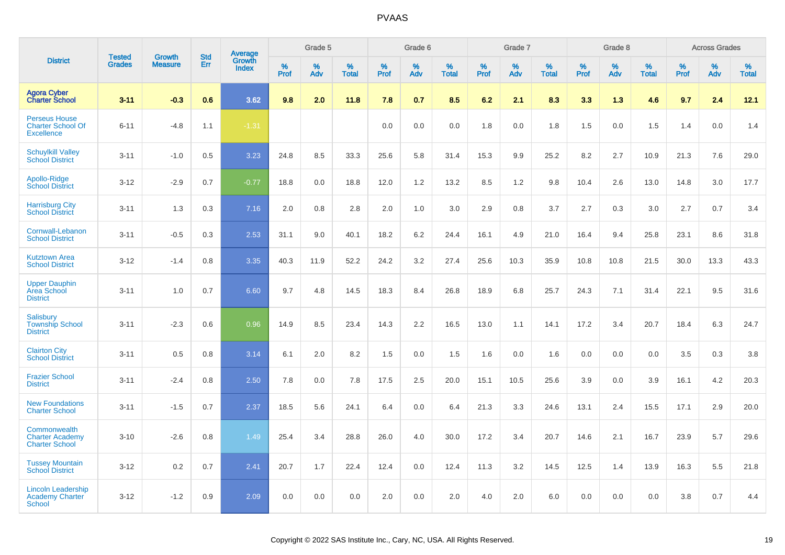|                                                                       |                                | <b>Growth</b>  | <b>Std</b> | Average                |                  | Grade 5  |                   |                  | Grade 6  |                   |                  | Grade 7  |                   |           | Grade 8  |                   |                  | <b>Across Grades</b> |                   |
|-----------------------------------------------------------------------|--------------------------------|----------------|------------|------------------------|------------------|----------|-------------------|------------------|----------|-------------------|------------------|----------|-------------------|-----------|----------|-------------------|------------------|----------------------|-------------------|
| <b>District</b>                                                       | <b>Tested</b><br><b>Grades</b> | <b>Measure</b> | Err        | Growth<br><b>Index</b> | %<br><b>Prof</b> | %<br>Adv | %<br><b>Total</b> | %<br><b>Prof</b> | %<br>Adv | %<br><b>Total</b> | %<br><b>Prof</b> | %<br>Adv | %<br><b>Total</b> | %<br>Prof | %<br>Adv | %<br><b>Total</b> | %<br><b>Prof</b> | %<br>Adv             | %<br><b>Total</b> |
| <b>Agora Cyber</b><br><b>Charter School</b>                           | $3 - 11$                       | $-0.3$         | 0.6        | 3.62                   | 9.8              | 2.0      | 11.8              | 7.8              | 0.7      | 8.5               | 6.2              | 2.1      | 8.3               | 3.3       | 1.3      | 4.6               | 9.7              | 2.4                  | 12.1              |
| <b>Perseus House</b><br><b>Charter School Of</b><br><b>Excellence</b> | $6 - 11$                       | $-4.8$         | 1.1        | $-1.31$                |                  |          |                   | 0.0              | 0.0      | 0.0               | 1.8              | 0.0      | 1.8               | 1.5       | 0.0      | 1.5               | 1.4              | 0.0                  | 1.4               |
| <b>Schuylkill Valley</b><br><b>School District</b>                    | $3 - 11$                       | $-1.0$         | 0.5        | 3.23                   | 24.8             | 8.5      | 33.3              | 25.6             | 5.8      | 31.4              | 15.3             | 9.9      | 25.2              | 8.2       | 2.7      | 10.9              | 21.3             | 7.6                  | 29.0              |
| Apollo-Ridge<br><b>School District</b>                                | $3-12$                         | $-2.9$         | 0.7        | $-0.77$                | 18.8             | 0.0      | 18.8              | 12.0             | 1.2      | 13.2              | 8.5              | 1.2      | 9.8               | 10.4      | 2.6      | 13.0              | 14.8             | 3.0                  | 17.7              |
| <b>Harrisburg City</b><br><b>School District</b>                      | $3 - 11$                       | 1.3            | 0.3        | 7.16                   | 2.0              | 0.8      | 2.8               | 2.0              | 1.0      | 3.0               | 2.9              | 0.8      | 3.7               | 2.7       | 0.3      | 3.0               | 2.7              | 0.7                  | 3.4               |
| Cornwall-Lebanon<br><b>School District</b>                            | $3 - 11$                       | $-0.5$         | 0.3        | 2.53                   | 31.1             | 9.0      | 40.1              | 18.2             | 6.2      | 24.4              | 16.1             | 4.9      | 21.0              | 16.4      | 9.4      | 25.8              | 23.1             | 8.6                  | 31.8              |
| <b>Kutztown Area</b><br><b>School District</b>                        | $3 - 12$                       | $-1.4$         | 0.8        | 3.35                   | 40.3             | 11.9     | 52.2              | 24.2             | 3.2      | 27.4              | 25.6             | 10.3     | 35.9              | 10.8      | 10.8     | 21.5              | 30.0             | 13.3                 | 43.3              |
| <b>Upper Dauphin</b><br><b>Area School</b><br><b>District</b>         | $3 - 11$                       | 1.0            | 0.7        | 6.60                   | 9.7              | 4.8      | 14.5              | 18.3             | 8.4      | 26.8              | 18.9             | 6.8      | 25.7              | 24.3      | 7.1      | 31.4              | 22.1             | 9.5                  | 31.6              |
| Salisbury<br><b>Township School</b><br><b>District</b>                | $3 - 11$                       | $-2.3$         | 0.6        | 0.96                   | 14.9             | 8.5      | 23.4              | 14.3             | 2.2      | 16.5              | 13.0             | 1.1      | 14.1              | 17.2      | 3.4      | 20.7              | 18.4             | 6.3                  | 24.7              |
| <b>Clairton City</b><br><b>School District</b>                        | $3 - 11$                       | 0.5            | 0.8        | 3.14                   | 6.1              | 2.0      | 8.2               | 1.5              | 0.0      | 1.5               | 1.6              | 0.0      | 1.6               | 0.0       | 0.0      | 0.0               | 3.5              | 0.3                  | 3.8               |
| <b>Frazier School</b><br><b>District</b>                              | $3 - 11$                       | $-2.4$         | 0.8        | 2.50                   | 7.8              | 0.0      | 7.8               | 17.5             | 2.5      | 20.0              | 15.1             | 10.5     | 25.6              | 3.9       | 0.0      | 3.9               | 16.1             | 4.2                  | 20.3              |
| <b>New Foundations</b><br><b>Charter School</b>                       | $3 - 11$                       | $-1.5$         | 0.7        | 2.37                   | 18.5             | 5.6      | 24.1              | 6.4              | 0.0      | 6.4               | 21.3             | 3.3      | 24.6              | 13.1      | 2.4      | 15.5              | 17.1             | 2.9                  | 20.0              |
| Commonwealth<br><b>Charter Academy</b><br><b>Charter School</b>       | $3 - 10$                       | $-2.6$         | 0.8        | 1.49                   | 25.4             | 3.4      | 28.8              | 26.0             | 4.0      | 30.0              | 17.2             | 3.4      | 20.7              | 14.6      | 2.1      | 16.7              | 23.9             | 5.7                  | 29.6              |
| <b>Tussey Mountain</b><br><b>School District</b>                      | $3 - 12$                       | 0.2            | 0.7        | 2.41                   | 20.7             | 1.7      | 22.4              | 12.4             | 0.0      | 12.4              | 11.3             | 3.2      | 14.5              | 12.5      | 1.4      | 13.9              | 16.3             | 5.5                  | 21.8              |
| <b>Lincoln Leadership</b><br><b>Academy Charter</b><br>School         | $3 - 12$                       | $-1.2$         | 0.9        | 2.09                   | 0.0              | 0.0      | 0.0               | 2.0              | 0.0      | 2.0               | 4.0              | 2.0      | 6.0               | 0.0       | 0.0      | 0.0               | 3.8              | 0.7                  | 4.4               |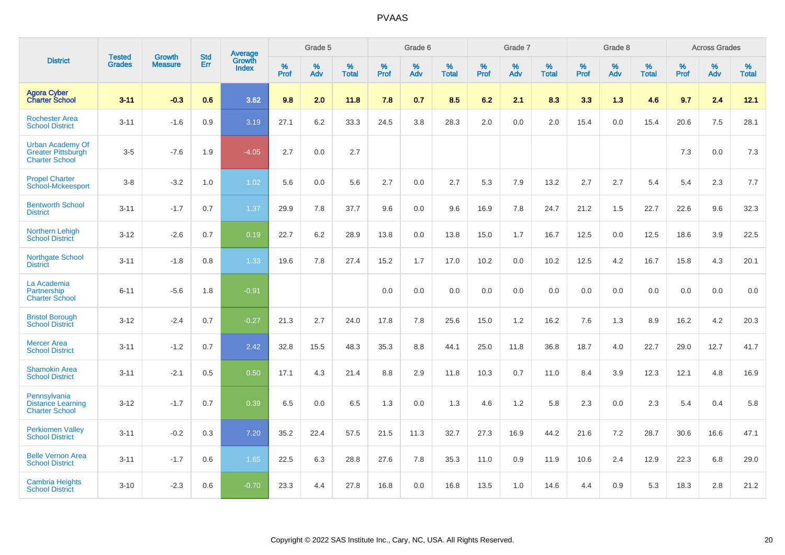|                                                                               | <b>Tested</b> | <b>Growth</b>  | <b>Std</b> | Average                |           | Grade 5  |                   |           | Grade 6  |                   |           | Grade 7  |                   |           | Grade 8  |                   |           | <b>Across Grades</b> |                   |
|-------------------------------------------------------------------------------|---------------|----------------|------------|------------------------|-----------|----------|-------------------|-----------|----------|-------------------|-----------|----------|-------------------|-----------|----------|-------------------|-----------|----------------------|-------------------|
| <b>District</b>                                                               | <b>Grades</b> | <b>Measure</b> | Err        | Growth<br><b>Index</b> | %<br>Prof | %<br>Adv | %<br><b>Total</b> | %<br>Prof | %<br>Adv | %<br><b>Total</b> | %<br>Prof | %<br>Adv | %<br><b>Total</b> | %<br>Prof | %<br>Adv | %<br><b>Total</b> | %<br>Prof | %<br>Adv             | %<br><b>Total</b> |
| <b>Agora Cyber</b><br><b>Charter School</b>                                   | $3 - 11$      | $-0.3$         | 0.6        | 3.62                   | 9.8       | 2.0      | 11.8              | 7.8       | 0.7      | 8.5               | 6.2       | 2.1      | 8.3               | 3.3       | 1.3      | 4.6               | 9.7       | 2.4                  | 12.1              |
| <b>Rochester Area</b><br><b>School District</b>                               | $3 - 11$      | $-1.6$         | 0.9        | 3.19                   | 27.1      | 6.2      | 33.3              | 24.5      | 3.8      | 28.3              | 2.0       | 0.0      | 2.0               | 15.4      | 0.0      | 15.4              | 20.6      | $7.5\,$              | 28.1              |
| <b>Urban Academy Of</b><br><b>Greater Pittsburgh</b><br><b>Charter School</b> | $3-5$         | $-7.6$         | 1.9        | $-4.05$                | 2.7       | 0.0      | 2.7               |           |          |                   |           |          |                   |           |          |                   | 7.3       | 0.0                  | 7.3               |
| <b>Propel Charter</b><br><b>School-Mckeesport</b>                             | $3 - 8$       | $-3.2$         | 1.0        | 1.02                   | 5.6       | 0.0      | 5.6               | 2.7       | 0.0      | 2.7               | 5.3       | 7.9      | 13.2              | 2.7       | 2.7      | 5.4               | 5.4       | 2.3                  | 7.7               |
| <b>Bentworth School</b><br><b>District</b>                                    | $3 - 11$      | $-1.7$         | 0.7        | 1.37                   | 29.9      | 7.8      | 37.7              | 9.6       | 0.0      | 9.6               | 16.9      | 7.8      | 24.7              | 21.2      | 1.5      | 22.7              | 22.6      | 9.6                  | 32.3              |
| <b>Northern Lehigh</b><br><b>School District</b>                              | $3 - 12$      | $-2.6$         | 0.7        | 0.19                   | 22.7      | 6.2      | 28.9              | 13.8      | 0.0      | 13.8              | 15.0      | 1.7      | 16.7              | 12.5      | 0.0      | 12.5              | 18.6      | 3.9                  | 22.5              |
| <b>Northgate School</b><br><b>District</b>                                    | $3 - 11$      | $-1.8$         | 0.8        | 1.33                   | 19.6      | 7.8      | 27.4              | 15.2      | 1.7      | 17.0              | 10.2      | 0.0      | 10.2              | 12.5      | 4.2      | 16.7              | 15.8      | 4.3                  | 20.1              |
| La Academia<br>Partnership<br><b>Charter School</b>                           | $6 - 11$      | $-5.6$         | 1.8        | $-0.91$                |           |          |                   | 0.0       | 0.0      | 0.0               | 0.0       | 0.0      | 0.0               | 0.0       | 0.0      | 0.0               | 0.0       | 0.0                  | 0.0               |
| <b>Bristol Borough</b><br><b>School District</b>                              | $3 - 12$      | $-2.4$         | 0.7        | $-0.27$                | 21.3      | 2.7      | 24.0              | 17.8      | 7.8      | 25.6              | 15.0      | 1.2      | 16.2              | 7.6       | 1.3      | 8.9               | 16.2      | 4.2                  | 20.3              |
| <b>Mercer Area</b><br><b>School District</b>                                  | $3 - 11$      | $-1.2$         | 0.7        | 2.42                   | 32.8      | 15.5     | 48.3              | 35.3      | 8.8      | 44.1              | 25.0      | 11.8     | 36.8              | 18.7      | 4.0      | 22.7              | 29.0      | 12.7                 | 41.7              |
| <b>Shamokin Area</b><br><b>School District</b>                                | $3 - 11$      | $-2.1$         | 0.5        | 0.50                   | 17.1      | 4.3      | 21.4              | 8.8       | 2.9      | 11.8              | 10.3      | 0.7      | 11.0              | 8.4       | 3.9      | 12.3              | 12.1      | 4.8                  | 16.9              |
| Pennsylvania<br><b>Distance Learning</b><br><b>Charter School</b>             | $3 - 12$      | $-1.7$         | 0.7        | 0.39                   | 6.5       | 0.0      | 6.5               | 1.3       | 0.0      | 1.3               | 4.6       | 1.2      | 5.8               | 2.3       | 0.0      | 2.3               | 5.4       | 0.4                  | 5.8               |
| <b>Perkiomen Valley</b><br><b>School District</b>                             | $3 - 11$      | $-0.2$         | 0.3        | 7.20                   | 35.2      | 22.4     | 57.5              | 21.5      | 11.3     | 32.7              | 27.3      | 16.9     | 44.2              | 21.6      | 7.2      | 28.7              | 30.6      | 16.6                 | 47.1              |
| <b>Belle Vernon Area</b><br><b>School District</b>                            | $3 - 11$      | $-1.7$         | 0.6        | 1.65                   | 22.5      | 6.3      | 28.8              | 27.6      | 7.8      | 35.3              | 11.0      | 0.9      | 11.9              | 10.6      | 2.4      | 12.9              | 22.3      | 6.8                  | 29.0              |
| <b>Cambria Heights</b><br><b>School District</b>                              | $3 - 10$      | $-2.3$         | 0.6        | $-0.70$                | 23.3      | 4.4      | 27.8              | 16.8      | 0.0      | 16.8              | 13.5      | 1.0      | 14.6              | 4.4       | 0.9      | 5.3               | 18.3      | 2.8                  | 21.2              |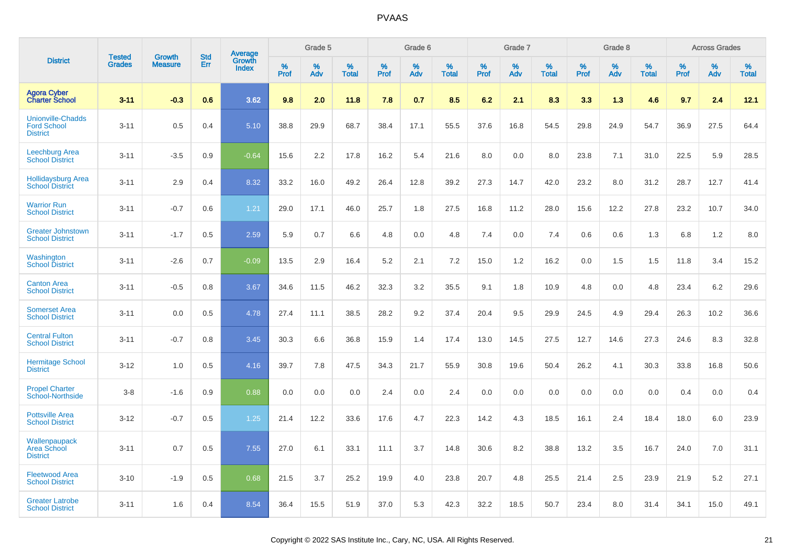|                                                                   | <b>Tested</b> |                                 | <b>Std</b> | Average                |              | Grade 5  |                   |              | Grade 6  |                   |              | Grade 7  |                   |              | Grade 8  |                   |              | <b>Across Grades</b> |                   |
|-------------------------------------------------------------------|---------------|---------------------------------|------------|------------------------|--------------|----------|-------------------|--------------|----------|-------------------|--------------|----------|-------------------|--------------|----------|-------------------|--------------|----------------------|-------------------|
| <b>District</b>                                                   | <b>Grades</b> | <b>Growth</b><br><b>Measure</b> | Err        | Growth<br><b>Index</b> | $\%$<br>Prof | %<br>Adv | %<br><b>Total</b> | $\%$<br>Prof | %<br>Adv | %<br><b>Total</b> | $\%$<br>Prof | %<br>Adv | %<br><b>Total</b> | $\%$<br>Prof | %<br>Adv | %<br><b>Total</b> | $\%$<br>Prof | %<br>Adv             | %<br><b>Total</b> |
| <b>Agora Cyber</b><br><b>Charter School</b>                       | $3 - 11$      | $-0.3$                          | 0.6        | 3.62                   | 9.8          | 2.0      | 11.8              | 7.8          | 0.7      | 8.5               | 6.2          | 2.1      | 8.3               | 3.3          | 1.3      | 4.6               | 9.7          | 2.4                  | 12.1              |
| <b>Unionville-Chadds</b><br><b>Ford School</b><br><b>District</b> | $3 - 11$      | 0.5                             | 0.4        | 5.10                   | 38.8         | 29.9     | 68.7              | 38.4         | 17.1     | 55.5              | 37.6         | 16.8     | 54.5              | 29.8         | 24.9     | 54.7              | 36.9         | 27.5                 | 64.4              |
| <b>Leechburg Area</b><br><b>School District</b>                   | $3 - 11$      | $-3.5$                          | 0.9        | $-0.64$                | 15.6         | 2.2      | 17.8              | 16.2         | 5.4      | 21.6              | 8.0          | 0.0      | 8.0               | 23.8         | 7.1      | 31.0              | 22.5         | 5.9                  | 28.5              |
| <b>Hollidaysburg Area</b><br><b>School District</b>               | $3 - 11$      | 2.9                             | 0.4        | 8.32                   | 33.2         | 16.0     | 49.2              | 26.4         | 12.8     | 39.2              | 27.3         | 14.7     | 42.0              | 23.2         | 8.0      | 31.2              | 28.7         | 12.7                 | 41.4              |
| <b>Warrior Run</b><br><b>School District</b>                      | $3 - 11$      | $-0.7$                          | 0.6        | 1.21                   | 29.0         | 17.1     | 46.0              | 25.7         | 1.8      | 27.5              | 16.8         | 11.2     | 28.0              | 15.6         | 12.2     | 27.8              | 23.2         | 10.7                 | 34.0              |
| <b>Greater Johnstown</b><br><b>School District</b>                | $3 - 11$      | $-1.7$                          | 0.5        | 2.59                   | 5.9          | 0.7      | 6.6               | 4.8          | 0.0      | 4.8               | 7.4          | 0.0      | 7.4               | 0.6          | 0.6      | 1.3               | 6.8          | 1.2                  | 8.0               |
| Washington<br><b>School District</b>                              | $3 - 11$      | $-2.6$                          | 0.7        | $-0.09$                | 13.5         | 2.9      | 16.4              | 5.2          | 2.1      | 7.2               | 15.0         | 1.2      | 16.2              | 0.0          | 1.5      | 1.5               | 11.8         | 3.4                  | 15.2              |
| <b>Canton Area</b><br><b>School District</b>                      | $3 - 11$      | $-0.5$                          | 0.8        | 3.67                   | 34.6         | 11.5     | 46.2              | 32.3         | 3.2      | 35.5              | 9.1          | 1.8      | 10.9              | 4.8          | 0.0      | 4.8               | 23.4         | 6.2                  | 29.6              |
| <b>Somerset Area</b><br><b>School District</b>                    | $3 - 11$      | 0.0                             | 0.5        | 4.78                   | 27.4         | 11.1     | 38.5              | 28.2         | 9.2      | 37.4              | 20.4         | 9.5      | 29.9              | 24.5         | 4.9      | 29.4              | 26.3         | 10.2                 | 36.6              |
| <b>Central Fulton</b><br><b>School District</b>                   | $3 - 11$      | $-0.7$                          | 0.8        | 3.45                   | 30.3         | 6.6      | 36.8              | 15.9         | 1.4      | 17.4              | 13.0         | 14.5     | 27.5              | 12.7         | 14.6     | 27.3              | 24.6         | 8.3                  | 32.8              |
| <b>Hermitage School</b><br><b>District</b>                        | $3 - 12$      | 1.0                             | 0.5        | 4.16                   | 39.7         | 7.8      | 47.5              | 34.3         | 21.7     | 55.9              | 30.8         | 19.6     | 50.4              | 26.2         | 4.1      | 30.3              | 33.8         | 16.8                 | 50.6              |
| <b>Propel Charter</b><br><b>School-Northside</b>                  | $3 - 8$       | $-1.6$                          | 0.9        | 0.88                   | 0.0          | 0.0      | 0.0               | 2.4          | 0.0      | 2.4               | 0.0          | 0.0      | 0.0               | 0.0          | 0.0      | 0.0               | 0.4          | 0.0                  | 0.4               |
| <b>Pottsville Area</b><br><b>School District</b>                  | $3 - 12$      | $-0.7$                          | 0.5        | 1.25                   | 21.4         | 12.2     | 33.6              | 17.6         | 4.7      | 22.3              | 14.2         | 4.3      | 18.5              | 16.1         | 2.4      | 18.4              | 18.0         | 6.0                  | 23.9              |
| Wallenpaupack<br><b>Area School</b><br><b>District</b>            | $3 - 11$      | 0.7                             | 0.5        | 7.55                   | 27.0         | 6.1      | 33.1              | 11.1         | 3.7      | 14.8              | 30.6         | 8.2      | 38.8              | 13.2         | 3.5      | 16.7              | 24.0         | 7.0                  | 31.1              |
| <b>Fleetwood Area</b><br><b>School District</b>                   | $3 - 10$      | $-1.9$                          | 0.5        | 0.68                   | 21.5         | 3.7      | 25.2              | 19.9         | 4.0      | 23.8              | 20.7         | 4.8      | 25.5              | 21.4         | 2.5      | 23.9              | 21.9         | 5.2                  | 27.1              |
| <b>Greater Latrobe</b><br><b>School District</b>                  | $3 - 11$      | 1.6                             | 0.4        | 8.54                   | 36.4         | 15.5     | 51.9              | 37.0         | 5.3      | 42.3              | 32.2         | 18.5     | 50.7              | 23.4         | 8.0      | 31.4              | 34.1         | 15.0                 | 49.1              |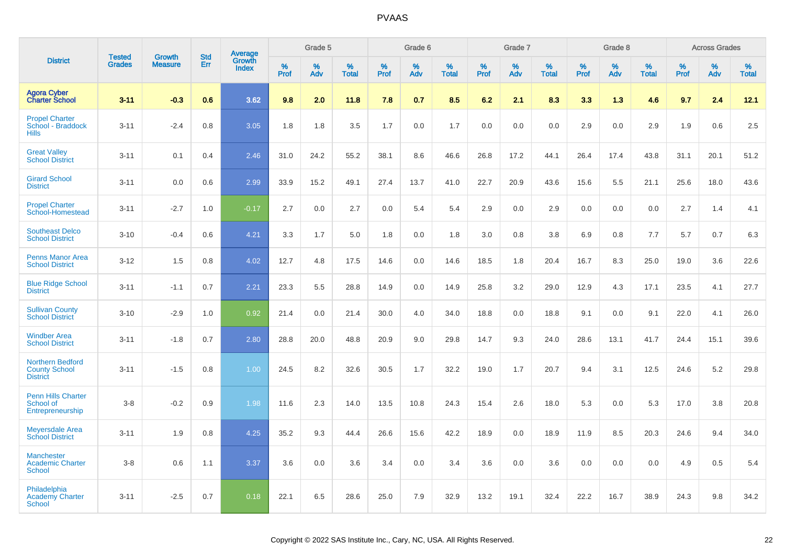|                                                                    |                                |                                 | <b>Std</b> | Average                |                  | Grade 5  |                   |                  | Grade 6  |                   |                  | Grade 7  |                   |           | Grade 8  |                   |                  | <b>Across Grades</b> |                   |
|--------------------------------------------------------------------|--------------------------------|---------------------------------|------------|------------------------|------------------|----------|-------------------|------------------|----------|-------------------|------------------|----------|-------------------|-----------|----------|-------------------|------------------|----------------------|-------------------|
| <b>District</b>                                                    | <b>Tested</b><br><b>Grades</b> | <b>Growth</b><br><b>Measure</b> | Err        | Growth<br><b>Index</b> | %<br><b>Prof</b> | %<br>Adv | %<br><b>Total</b> | %<br><b>Prof</b> | %<br>Adv | %<br><b>Total</b> | %<br><b>Prof</b> | %<br>Adv | %<br><b>Total</b> | %<br>Prof | %<br>Adv | %<br><b>Total</b> | %<br><b>Prof</b> | %<br>Adv             | %<br><b>Total</b> |
| <b>Agora Cyber</b><br><b>Charter School</b>                        | $3 - 11$                       | $-0.3$                          | 0.6        | 3.62                   | 9.8              | 2.0      | 11.8              | 7.8              | 0.7      | 8.5               | 6.2              | 2.1      | 8.3               | 3.3       | 1.3      | 4.6               | 9.7              | 2.4                  | 12.1              |
| <b>Propel Charter</b><br>School - Braddock<br><b>Hills</b>         | $3 - 11$                       | $-2.4$                          | 0.8        | 3.05                   | 1.8              | 1.8      | 3.5               | 1.7              | 0.0      | 1.7               | 0.0              | 0.0      | 0.0               | 2.9       | 0.0      | 2.9               | 1.9              | 0.6                  | 2.5               |
| <b>Great Valley</b><br><b>School District</b>                      | $3 - 11$                       | 0.1                             | 0.4        | 2.46                   | 31.0             | 24.2     | 55.2              | 38.1             | 8.6      | 46.6              | 26.8             | 17.2     | 44.1              | 26.4      | 17.4     | 43.8              | 31.1             | 20.1                 | 51.2              |
| <b>Girard School</b><br><b>District</b>                            | $3 - 11$                       | 0.0                             | 0.6        | 2.99                   | 33.9             | 15.2     | 49.1              | 27.4             | 13.7     | 41.0              | 22.7             | 20.9     | 43.6              | 15.6      | 5.5      | 21.1              | 25.6             | 18.0                 | 43.6              |
| <b>Propel Charter</b><br>School-Homestead                          | $3 - 11$                       | $-2.7$                          | 1.0        | $-0.17$                | 2.7              | 0.0      | 2.7               | 0.0              | 5.4      | 5.4               | 2.9              | 0.0      | 2.9               | 0.0       | 0.0      | 0.0               | 2.7              | 1.4                  | 4.1               |
| <b>Southeast Delco</b><br><b>School District</b>                   | $3 - 10$                       | $-0.4$                          | 0.6        | 4.21                   | 3.3              | 1.7      | 5.0               | 1.8              | 0.0      | 1.8               | 3.0              | 0.8      | 3.8               | 6.9       | 0.8      | 7.7               | 5.7              | 0.7                  | 6.3               |
| <b>Penns Manor Area</b><br><b>School District</b>                  | $3 - 12$                       | 1.5                             | 0.8        | 4.02                   | 12.7             | 4.8      | 17.5              | 14.6             | 0.0      | 14.6              | 18.5             | 1.8      | 20.4              | 16.7      | 8.3      | 25.0              | 19.0             | 3.6                  | 22.6              |
| <b>Blue Ridge School</b><br><b>District</b>                        | $3 - 11$                       | $-1.1$                          | 0.7        | 2.21                   | 23.3             | 5.5      | 28.8              | 14.9             | 0.0      | 14.9              | 25.8             | 3.2      | 29.0              | 12.9      | 4.3      | 17.1              | 23.5             | 4.1                  | 27.7              |
| <b>Sullivan County</b><br><b>School District</b>                   | $3 - 10$                       | $-2.9$                          | 1.0        | 0.92                   | 21.4             | 0.0      | 21.4              | 30.0             | 4.0      | 34.0              | 18.8             | 0.0      | 18.8              | 9.1       | 0.0      | 9.1               | 22.0             | 4.1                  | 26.0              |
| <b>Windber Area</b><br><b>School District</b>                      | $3 - 11$                       | $-1.8$                          | 0.7        | 2.80                   | 28.8             | 20.0     | 48.8              | 20.9             | 9.0      | 29.8              | 14.7             | 9.3      | 24.0              | 28.6      | 13.1     | 41.7              | 24.4             | 15.1                 | 39.6              |
| <b>Northern Bedford</b><br><b>County School</b><br><b>District</b> | $3 - 11$                       | $-1.5$                          | 0.8        | 1.00                   | 24.5             | 8.2      | 32.6              | 30.5             | 1.7      | 32.2              | 19.0             | 1.7      | 20.7              | 9.4       | 3.1      | 12.5              | 24.6             | 5.2                  | 29.8              |
| <b>Penn Hills Charter</b><br>School of<br>Entrepreneurship         | $3-8$                          | $-0.2$                          | 0.9        | 1.98                   | 11.6             | 2.3      | 14.0              | 13.5             | 10.8     | 24.3              | 15.4             | 2.6      | 18.0              | 5.3       | 0.0      | 5.3               | 17.0             | 3.8                  | 20.8              |
| <b>Meyersdale Area</b><br><b>School District</b>                   | $3 - 11$                       | 1.9                             | 0.8        | 4.25                   | 35.2             | 9.3      | 44.4              | 26.6             | 15.6     | 42.2              | 18.9             | 0.0      | 18.9              | 11.9      | 8.5      | 20.3              | 24.6             | 9.4                  | 34.0              |
| <b>Manchester</b><br><b>Academic Charter</b><br><b>School</b>      | $3-8$                          | 0.6                             | 1.1        | 3.37                   | 3.6              | 0.0      | 3.6               | 3.4              | 0.0      | 3.4               | 3.6              | 0.0      | 3.6               | 0.0       | 0.0      | 0.0               | 4.9              | 0.5                  | 5.4               |
| Philadelphia<br><b>Academy Charter</b><br><b>School</b>            | $3 - 11$                       | $-2.5$                          | 0.7        | 0.18                   | 22.1             | 6.5      | 28.6              | 25.0             | 7.9      | 32.9              | 13.2             | 19.1     | 32.4              | 22.2      | 16.7     | 38.9              | 24.3             | 9.8                  | 34.2              |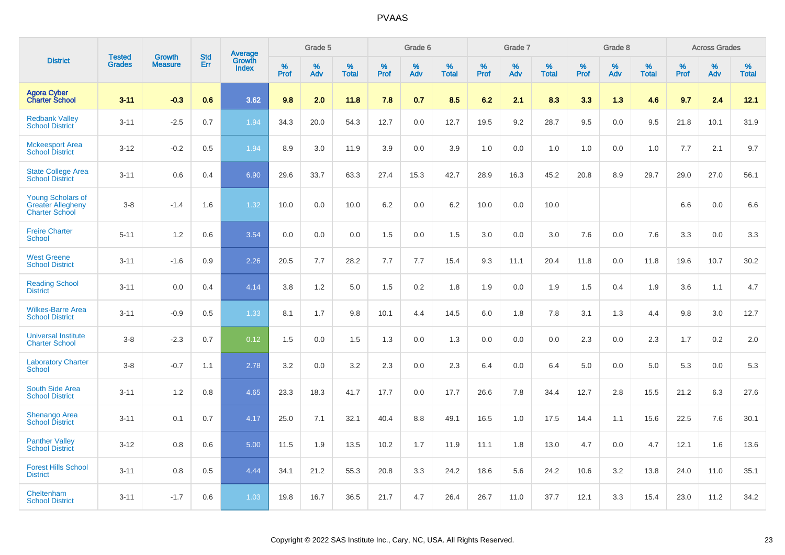|                                                                               | <b>Tested</b> | <b>Growth</b>  | <b>Std</b> |                            |                     | Grade 5  |                      |                     | Grade 6  |                      |              | Grade 7  |                      |                     | Grade 8  |                      |                     | <b>Across Grades</b> |                      |
|-------------------------------------------------------------------------------|---------------|----------------|------------|----------------------------|---------------------|----------|----------------------|---------------------|----------|----------------------|--------------|----------|----------------------|---------------------|----------|----------------------|---------------------|----------------------|----------------------|
| <b>District</b>                                                               | <b>Grades</b> | <b>Measure</b> | Err        | Average<br>Growth<br>Index | $\%$<br><b>Prof</b> | %<br>Adv | $\%$<br><b>Total</b> | $\%$<br><b>Prof</b> | %<br>Adv | $\%$<br><b>Total</b> | $\%$<br>Prof | %<br>Adv | $\%$<br><b>Total</b> | $\%$<br><b>Prof</b> | %<br>Adv | $\%$<br><b>Total</b> | $\%$<br><b>Prof</b> | $\%$<br>Adv          | $\%$<br><b>Total</b> |
| <b>Agora Cyber</b><br><b>Charter School</b>                                   | $3 - 11$      | $-0.3$         | 0.6        | 3.62                       | 9.8                 | 2.0      | 11.8                 | 7.8                 | 0.7      | 8.5                  | 6.2          | 2.1      | 8.3                  | 3.3                 | 1.3      | 4.6                  | 9.7                 | 2.4                  | 12.1                 |
| <b>Redbank Valley</b><br><b>School District</b>                               | $3 - 11$      | $-2.5$         | 0.7        | 1.94                       | 34.3                | 20.0     | 54.3                 | 12.7                | 0.0      | 12.7                 | 19.5         | 9.2      | 28.7                 | 9.5                 | 0.0      | 9.5                  | 21.8                | 10.1                 | 31.9                 |
| <b>Mckeesport Area</b><br><b>School District</b>                              | $3 - 12$      | $-0.2$         | 0.5        | 1.94                       | 8.9                 | 3.0      | 11.9                 | 3.9                 | 0.0      | 3.9                  | 1.0          | 0.0      | 1.0                  | 1.0                 | 0.0      | 1.0                  | 7.7                 | 2.1                  | 9.7                  |
| <b>State College Area</b><br><b>School District</b>                           | $3 - 11$      | 0.6            | 0.4        | 6.90                       | 29.6                | 33.7     | 63.3                 | 27.4                | 15.3     | 42.7                 | 28.9         | 16.3     | 45.2                 | 20.8                | 8.9      | 29.7                 | 29.0                | 27.0                 | 56.1                 |
| <b>Young Scholars of</b><br><b>Greater Allegheny</b><br><b>Charter School</b> | $3 - 8$       | $-1.4$         | 1.6        | 1.32                       | 10.0                | 0.0      | 10.0                 | 6.2                 | 0.0      | 6.2                  | 10.0         | 0.0      | 10.0                 |                     |          |                      | 6.6                 | 0.0                  | 6.6                  |
| <b>Freire Charter</b><br><b>School</b>                                        | $5 - 11$      | 1.2            | 0.6        | 3.54                       | 0.0                 | 0.0      | 0.0                  | 1.5                 | 0.0      | 1.5                  | 3.0          | 0.0      | 3.0                  | 7.6                 | 0.0      | 7.6                  | 3.3                 | 0.0                  | 3.3                  |
| <b>West Greene</b><br><b>School District</b>                                  | $3 - 11$      | $-1.6$         | 0.9        | 2.26                       | 20.5                | 7.7      | 28.2                 | 7.7                 | 7.7      | 15.4                 | 9.3          | 11.1     | 20.4                 | 11.8                | 0.0      | 11.8                 | 19.6                | 10.7                 | 30.2                 |
| <b>Reading School</b><br><b>District</b>                                      | $3 - 11$      | 0.0            | 0.4        | 4.14                       | 3.8                 | 1.2      | 5.0                  | 1.5                 | 0.2      | 1.8                  | 1.9          | 0.0      | 1.9                  | 1.5                 | 0.4      | 1.9                  | 3.6                 | 1.1                  | 4.7                  |
| <b>Wilkes-Barre Area</b><br><b>School District</b>                            | $3 - 11$      | $-0.9$         | 0.5        | 1.33                       | 8.1                 | 1.7      | 9.8                  | 10.1                | 4.4      | 14.5                 | $6.0\,$      | 1.8      | 7.8                  | 3.1                 | 1.3      | 4.4                  | 9.8                 | 3.0                  | 12.7                 |
| <b>Universal Institute</b><br><b>Charter School</b>                           | $3 - 8$       | $-2.3$         | 0.7        | 0.12                       | 1.5                 | 0.0      | 1.5                  | 1.3                 | 0.0      | 1.3                  | 0.0          | 0.0      | 0.0                  | 2.3                 | 0.0      | 2.3                  | 1.7                 | $0.2\,$              | 2.0                  |
| <b>Laboratory Charter</b><br><b>School</b>                                    | $3 - 8$       | $-0.7$         | 1.1        | 2.78                       | 3.2                 | 0.0      | 3.2                  | 2.3                 | 0.0      | 2.3                  | 6.4          | 0.0      | 6.4                  | 5.0                 | 0.0      | 5.0                  | 5.3                 | 0.0                  | 5.3                  |
| <b>South Side Area</b><br><b>School District</b>                              | $3 - 11$      | 1.2            | 0.8        | 4.65                       | 23.3                | 18.3     | 41.7                 | 17.7                | 0.0      | 17.7                 | 26.6         | 7.8      | 34.4                 | 12.7                | 2.8      | 15.5                 | 21.2                | 6.3                  | 27.6                 |
| <b>Shenango Area</b><br><b>School District</b>                                | $3 - 11$      | 0.1            | 0.7        | 4.17                       | 25.0                | 7.1      | 32.1                 | 40.4                | 8.8      | 49.1                 | 16.5         | 1.0      | 17.5                 | 14.4                | 1.1      | 15.6                 | 22.5                | 7.6                  | 30.1                 |
| <b>Panther Valley</b><br><b>School District</b>                               | $3 - 12$      | 0.8            | 0.6        | 5.00                       | 11.5                | 1.9      | 13.5                 | 10.2                | 1.7      | 11.9                 | 11.1         | 1.8      | 13.0                 | 4.7                 | 0.0      | 4.7                  | 12.1                | 1.6                  | 13.6                 |
| <b>Forest Hills School</b><br><b>District</b>                                 | $3 - 11$      | 0.8            | 0.5        | 4.44                       | 34.1                | 21.2     | 55.3                 | 20.8                | 3.3      | 24.2                 | 18.6         | 5.6      | 24.2                 | 10.6                | 3.2      | 13.8                 | 24.0                | 11.0                 | 35.1                 |
| Cheltenham<br><b>School District</b>                                          | $3 - 11$      | $-1.7$         | 0.6        | 1.03                       | 19.8                | 16.7     | 36.5                 | 21.7                | 4.7      | 26.4                 | 26.7         | 11.0     | 37.7                 | 12.1                | 3.3      | 15.4                 | 23.0                | 11.2                 | 34.2                 |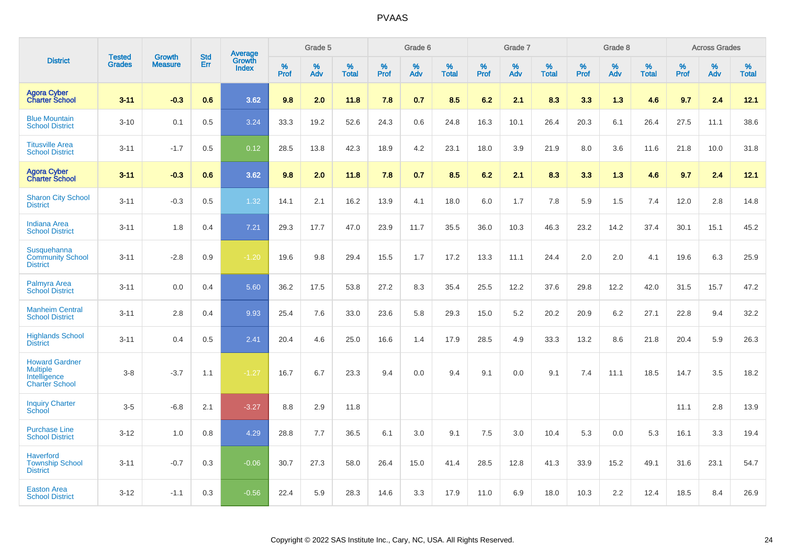|                                                                                   |                                |                                 | <b>Std</b> | Average                |              | Grade 5  |                   |           | Grade 6  |                   |              | Grade 7  |                   |              | Grade 8  |                   |              | <b>Across Grades</b> |                   |
|-----------------------------------------------------------------------------------|--------------------------------|---------------------------------|------------|------------------------|--------------|----------|-------------------|-----------|----------|-------------------|--------------|----------|-------------------|--------------|----------|-------------------|--------------|----------------------|-------------------|
| <b>District</b>                                                                   | <b>Tested</b><br><b>Grades</b> | <b>Growth</b><br><b>Measure</b> | Err        | Growth<br><b>Index</b> | $\%$<br>Prof | %<br>Adv | %<br><b>Total</b> | %<br>Prof | %<br>Adv | %<br><b>Total</b> | $\%$<br>Prof | %<br>Adv | %<br><b>Total</b> | $\%$<br>Prof | %<br>Adv | %<br><b>Total</b> | $\%$<br>Prof | %<br>Adv             | %<br><b>Total</b> |
| <b>Agora Cyber</b><br><b>Charter School</b>                                       | $3 - 11$                       | $-0.3$                          | 0.6        | 3.62                   | 9.8          | 2.0      | 11.8              | 7.8       | 0.7      | 8.5               | 6.2          | 2.1      | 8.3               | 3.3          | 1.3      | 4.6               | 9.7          | 2.4                  | 12.1              |
| <b>Blue Mountain</b><br><b>School District</b>                                    | $3 - 10$                       | 0.1                             | 0.5        | 3.24                   | 33.3         | 19.2     | 52.6              | 24.3      | 0.6      | 24.8              | 16.3         | 10.1     | 26.4              | 20.3         | 6.1      | 26.4              | 27.5         | 11.1                 | 38.6              |
| <b>Titusville Area</b><br><b>School District</b>                                  | $3 - 11$                       | $-1.7$                          | 0.5        | 0.12                   | 28.5         | 13.8     | 42.3              | 18.9      | 4.2      | 23.1              | 18.0         | 3.9      | 21.9              | 8.0          | 3.6      | 11.6              | 21.8         | 10.0                 | 31.8              |
| <b>Agora Cyber</b><br><b>Charter School</b>                                       | $3 - 11$                       | $-0.3$                          | 0.6        | 3.62                   | 9.8          | 2.0      | 11.8              | 7.8       | 0.7      | 8.5               | 6.2          | 2.1      | 8.3               | 3.3          | 1.3      | 4.6               | 9.7          | 2.4                  | 12.1              |
| <b>Sharon City School</b><br><b>District</b>                                      | $3 - 11$                       | $-0.3$                          | 0.5        | 1.32                   | 14.1         | 2.1      | 16.2              | 13.9      | 4.1      | 18.0              | 6.0          | 1.7      | 7.8               | 5.9          | 1.5      | 7.4               | 12.0         | 2.8                  | 14.8              |
| <b>Indiana Area</b><br><b>School District</b>                                     | $3 - 11$                       | 1.8                             | 0.4        | 7.21                   | 29.3         | 17.7     | 47.0              | 23.9      | 11.7     | 35.5              | 36.0         | 10.3     | 46.3              | 23.2         | 14.2     | 37.4              | 30.1         | 15.1                 | 45.2              |
| Susquehanna<br><b>Community School</b><br><b>District</b>                         | $3 - 11$                       | $-2.8$                          | 0.9        | $-1.20$                | 19.6         | 9.8      | 29.4              | 15.5      | 1.7      | 17.2              | 13.3         | 11.1     | 24.4              | 2.0          | 2.0      | 4.1               | 19.6         | 6.3                  | 25.9              |
| Palmyra Area<br><b>School District</b>                                            | $3 - 11$                       | 0.0                             | 0.4        | 5.60                   | 36.2         | 17.5     | 53.8              | 27.2      | 8.3      | 35.4              | 25.5         | 12.2     | 37.6              | 29.8         | 12.2     | 42.0              | 31.5         | 15.7                 | 47.2              |
| <b>Manheim Central</b><br><b>School District</b>                                  | $3 - 11$                       | 2.8                             | 0.4        | 9.93                   | 25.4         | 7.6      | 33.0              | 23.6      | 5.8      | 29.3              | 15.0         | 5.2      | 20.2              | 20.9         | 6.2      | 27.1              | 22.8         | 9.4                  | 32.2              |
| <b>Highlands School</b><br><b>District</b>                                        | $3 - 11$                       | 0.4                             | 0.5        | 2.41                   | 20.4         | 4.6      | 25.0              | 16.6      | 1.4      | 17.9              | 28.5         | 4.9      | 33.3              | 13.2         | 8.6      | 21.8              | 20.4         | 5.9                  | 26.3              |
| <b>Howard Gardner</b><br><b>Multiple</b><br>Intelligence<br><b>Charter School</b> | $3-8$                          | $-3.7$                          | 1.1        | $-1.27$                | 16.7         | 6.7      | 23.3              | 9.4       | 0.0      | 9.4               | 9.1          | 0.0      | 9.1               | 7.4          | 11.1     | 18.5              | 14.7         | 3.5                  | 18.2              |
| <b>Inquiry Charter</b><br>School                                                  | $3-5$                          | $-6.8$                          | 2.1        | $-3.27$                | 8.8          | 2.9      | 11.8              |           |          |                   |              |          |                   |              |          |                   | 11.1         | 2.8                  | 13.9              |
| <b>Purchase Line</b><br><b>School District</b>                                    | $3 - 12$                       | 1.0                             | 0.8        | 4.29                   | 28.8         | 7.7      | 36.5              | 6.1       | 3.0      | 9.1               | 7.5          | 3.0      | 10.4              | 5.3          | 0.0      | 5.3               | 16.1         | 3.3                  | 19.4              |
| <b>Haverford</b><br><b>Township School</b><br><b>District</b>                     | $3 - 11$                       | $-0.7$                          | 0.3        | $-0.06$                | 30.7         | 27.3     | 58.0              | 26.4      | 15.0     | 41.4              | 28.5         | 12.8     | 41.3              | 33.9         | 15.2     | 49.1              | 31.6         | 23.1                 | 54.7              |
| <b>Easton Area</b><br><b>School District</b>                                      | $3 - 12$                       | $-1.1$                          | 0.3        | $-0.56$                | 22.4         | 5.9      | 28.3              | 14.6      | 3.3      | 17.9              | 11.0         | 6.9      | 18.0              | 10.3         | 2.2      | 12.4              | 18.5         | 8.4                  | 26.9              |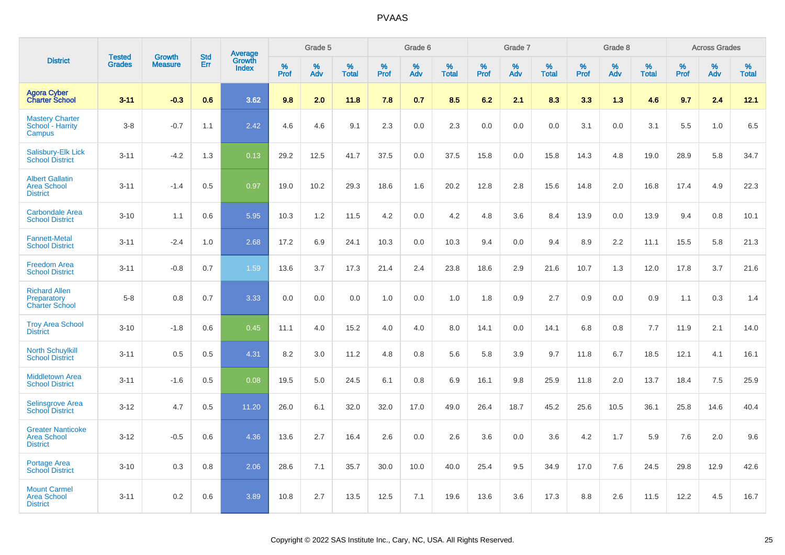|                                                                   |                                |                                 |                   |                                   |                     | Grade 5  |                   |                  | Grade 6  |                   |                  | Grade 7  |                   |           | Grade 8  |                   |              | <b>Across Grades</b> |                   |
|-------------------------------------------------------------------|--------------------------------|---------------------------------|-------------------|-----------------------------------|---------------------|----------|-------------------|------------------|----------|-------------------|------------------|----------|-------------------|-----------|----------|-------------------|--------------|----------------------|-------------------|
| <b>District</b>                                                   | <b>Tested</b><br><b>Grades</b> | <b>Growth</b><br><b>Measure</b> | <b>Std</b><br>Err | <b>Average</b><br>Growth<br>Index | $\%$<br><b>Prof</b> | %<br>Adv | %<br><b>Total</b> | %<br><b>Prof</b> | %<br>Adv | %<br><b>Total</b> | %<br><b>Prof</b> | %<br>Adv | %<br><b>Total</b> | %<br>Prof | %<br>Adv | %<br><b>Total</b> | $\%$<br>Prof | %<br>Adv             | %<br><b>Total</b> |
| <b>Agora Cyber</b><br><b>Charter School</b>                       | $3 - 11$                       | $-0.3$                          | 0.6               | 3.62                              | 9.8                 | 2.0      | 11.8              | 7.8              | 0.7      | 8.5               | 6.2              | 2.1      | 8.3               | 3.3       | 1.3      | 4.6               | 9.7          | 2.4                  | 12.1              |
| <b>Mastery Charter</b><br>School - Harrity<br>Campus              | $3-8$                          | $-0.7$                          | 1.1               | 2.42                              | 4.6                 | 4.6      | 9.1               | 2.3              | 0.0      | 2.3               | 0.0              | 0.0      | 0.0               | 3.1       | 0.0      | 3.1               | 5.5          | 1.0                  | 6.5               |
| Salisbury-Elk Lick<br><b>School District</b>                      | $3 - 11$                       | $-4.2$                          | 1.3               | 0.13                              | 29.2                | 12.5     | 41.7              | 37.5             | 0.0      | 37.5              | 15.8             | 0.0      | 15.8              | 14.3      | 4.8      | 19.0              | 28.9         | 5.8                  | 34.7              |
| <b>Albert Gallatin</b><br><b>Area School</b><br><b>District</b>   | $3 - 11$                       | $-1.4$                          | 0.5               | 0.97                              | 19.0                | 10.2     | 29.3              | 18.6             | 1.6      | 20.2              | 12.8             | 2.8      | 15.6              | 14.8      | 2.0      | 16.8              | 17.4         | 4.9                  | 22.3              |
| <b>Carbondale Area</b><br><b>School District</b>                  | $3 - 10$                       | 1.1                             | 0.6               | 5.95                              | 10.3                | 1.2      | 11.5              | 4.2              | 0.0      | 4.2               | 4.8              | 3.6      | 8.4               | 13.9      | 0.0      | 13.9              | 9.4          | 0.8                  | 10.1              |
| <b>Fannett-Metal</b><br><b>School District</b>                    | $3 - 11$                       | $-2.4$                          | 1.0               | 2.68                              | 17.2                | 6.9      | 24.1              | 10.3             | 0.0      | 10.3              | 9.4              | 0.0      | 9.4               | 8.9       | 2.2      | 11.1              | 15.5         | 5.8                  | 21.3              |
| <b>Freedom Area</b><br><b>School District</b>                     | $3 - 11$                       | $-0.8$                          | 0.7               | 1.59                              | 13.6                | 3.7      | 17.3              | 21.4             | 2.4      | 23.8              | 18.6             | 2.9      | 21.6              | 10.7      | 1.3      | 12.0              | 17.8         | 3.7                  | 21.6              |
| <b>Richard Allen</b><br>Preparatory<br><b>Charter School</b>      | $5-8$                          | 0.8                             | 0.7               | 3.33                              | 0.0                 | 0.0      | 0.0               | 1.0              | 0.0      | 1.0               | 1.8              | 0.9      | 2.7               | 0.9       | 0.0      | 0.9               | 1.1          | 0.3                  | 1.4               |
| <b>Troy Area School</b><br><b>District</b>                        | $3 - 10$                       | $-1.8$                          | 0.6               | 0.45                              | 11.1                | 4.0      | 15.2              | 4.0              | 4.0      | 8.0               | 14.1             | 0.0      | 14.1              | 6.8       | 0.8      | 7.7               | 11.9         | 2.1                  | 14.0              |
| <b>North Schuylkill</b><br><b>School District</b>                 | $3 - 11$                       | 0.5                             | 0.5               | 4.31                              | 8.2                 | 3.0      | 11.2              | 4.8              | 0.8      | 5.6               | 5.8              | 3.9      | 9.7               | 11.8      | 6.7      | 18.5              | 12.1         | 4.1                  | 16.1              |
| <b>Middletown Area</b><br><b>School District</b>                  | $3 - 11$                       | $-1.6$                          | 0.5               | 0.08                              | 19.5                | 5.0      | 24.5              | 6.1              | 0.8      | 6.9               | 16.1             | 9.8      | 25.9              | 11.8      | 2.0      | 13.7              | 18.4         | 7.5                  | 25.9              |
| <b>Selinsgrove Area</b><br><b>School District</b>                 | $3 - 12$                       | 4.7                             | 0.5               | 11.20                             | 26.0                | 6.1      | 32.0              | 32.0             | 17.0     | 49.0              | 26.4             | 18.7     | 45.2              | 25.6      | 10.5     | 36.1              | 25.8         | 14.6                 | 40.4              |
| <b>Greater Nanticoke</b><br><b>Area School</b><br><b>District</b> | $3 - 12$                       | $-0.5$                          | 0.6               | 4.36                              | 13.6                | 2.7      | 16.4              | 2.6              | 0.0      | 2.6               | 3.6              | 0.0      | 3.6               | 4.2       | 1.7      | 5.9               | 7.6          | 2.0                  | 9.6               |
| Portage Area<br><b>School District</b>                            | $3 - 10$                       | 0.3                             | 0.8               | 2.06                              | 28.6                | 7.1      | 35.7              | 30.0             | 10.0     | 40.0              | 25.4             | 9.5      | 34.9              | 17.0      | 7.6      | 24.5              | 29.8         | 12.9                 | 42.6              |
| <b>Mount Carmel</b><br><b>Area School</b><br><b>District</b>      | $3 - 11$                       | 0.2                             | 0.6               | 3.89                              | 10.8                | 2.7      | 13.5              | 12.5             | 7.1      | 19.6              | 13.6             | 3.6      | 17.3              | 8.8       | 2.6      | 11.5              | 12.2         | 4.5                  | 16.7              |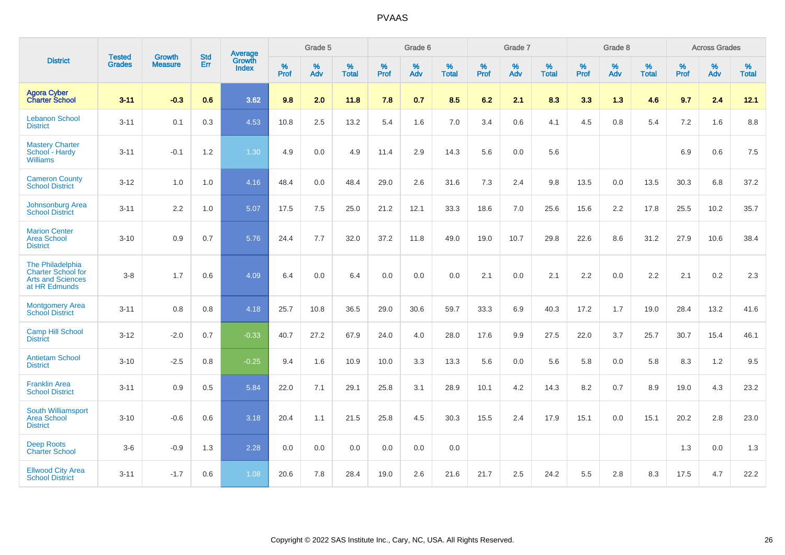|                                                                                            | <b>Tested</b> | <b>Growth</b>    | <b>Std</b> | Average                |                     | Grade 5  |                   |                     | Grade 6  |                   |              | Grade 7  |                   |                     | Grade 8  |                   |                     | <b>Across Grades</b> |                   |
|--------------------------------------------------------------------------------------------|---------------|------------------|------------|------------------------|---------------------|----------|-------------------|---------------------|----------|-------------------|--------------|----------|-------------------|---------------------|----------|-------------------|---------------------|----------------------|-------------------|
| <b>District</b>                                                                            | <b>Grades</b> | <b>Measure</b>   | <b>Err</b> | Growth<br><b>Index</b> | $\%$<br><b>Prof</b> | %<br>Adv | %<br><b>Total</b> | $\%$<br><b>Prof</b> | %<br>Adv | %<br><b>Total</b> | $\%$<br>Prof | %<br>Adv | %<br><b>Total</b> | $\%$<br><b>Prof</b> | %<br>Adv | %<br><b>Total</b> | $\%$<br><b>Prof</b> | %<br>Adv             | %<br><b>Total</b> |
| <b>Agora Cyber</b><br><b>Charter School</b>                                                | $3 - 11$      | $-0.3$           | 0.6        | 3.62                   | 9.8                 | 2.0      | 11.8              | 7.8                 | 0.7      | 8.5               | 6.2          | 2.1      | 8.3               | 3.3                 | 1.3      | 4.6               | 9.7                 | 2.4                  | 12.1              |
| <b>Lebanon School</b><br><b>District</b>                                                   | $3 - 11$      | 0.1              | 0.3        | 4.53                   | 10.8                | 2.5      | 13.2              | 5.4                 | 1.6      | 7.0               | 3.4          | 0.6      | 4.1               | 4.5                 | 0.8      | 5.4               | 7.2                 | 1.6                  | 8.8               |
| <b>Mastery Charter</b><br>School - Hardy<br><b>Williams</b>                                | $3 - 11$      | $-0.1$           | $1.2$      | 1.30                   | 4.9                 | 0.0      | 4.9               | 11.4                | 2.9      | 14.3              | 5.6          | 0.0      | 5.6               |                     |          |                   | 6.9                 | 0.6                  | 7.5               |
| <b>Cameron County</b><br><b>School District</b>                                            | $3 - 12$      | 1.0              | 1.0        | 4.16                   | 48.4                | 0.0      | 48.4              | 29.0                | 2.6      | 31.6              | 7.3          | 2.4      | 9.8               | 13.5                | $0.0\,$  | 13.5              | 30.3                | 6.8                  | 37.2              |
| Johnsonburg Area<br><b>School District</b>                                                 | $3 - 11$      | $2.2\phantom{0}$ | 1.0        | 5.07                   | 17.5                | 7.5      | 25.0              | 21.2                | 12.1     | 33.3              | 18.6         | 7.0      | 25.6              | 15.6                | 2.2      | 17.8              | 25.5                | 10.2                 | 35.7              |
| <b>Marion Center</b><br><b>Area School</b><br><b>District</b>                              | $3 - 10$      | 0.9              | 0.7        | 5.76                   | 24.4                | 7.7      | 32.0              | 37.2                | 11.8     | 49.0              | 19.0         | 10.7     | 29.8              | 22.6                | 8.6      | 31.2              | 27.9                | 10.6                 | 38.4              |
| The Philadelphia<br><b>Charter School for</b><br><b>Arts and Sciences</b><br>at HR Edmunds | $3 - 8$       | 1.7              | 0.6        | 4.09                   | 6.4                 | 0.0      | 6.4               | 0.0                 | 0.0      | 0.0               | 2.1          | 0.0      | 2.1               | 2.2                 | 0.0      | 2.2               | 2.1                 | 0.2                  | 2.3               |
| <b>Montgomery Area</b><br><b>School District</b>                                           | $3 - 11$      | 0.8              | 0.8        | 4.18                   | 25.7                | 10.8     | 36.5              | 29.0                | 30.6     | 59.7              | 33.3         | 6.9      | 40.3              | 17.2                | 1.7      | 19.0              | 28.4                | 13.2                 | 41.6              |
| <b>Camp Hill School</b><br><b>District</b>                                                 | $3 - 12$      | $-2.0$           | 0.7        | $-0.33$                | 40.7                | 27.2     | 67.9              | 24.0                | 4.0      | 28.0              | 17.6         | 9.9      | 27.5              | 22.0                | 3.7      | 25.7              | 30.7                | 15.4                 | 46.1              |
| <b>Antietam School</b><br><b>District</b>                                                  | $3 - 10$      | $-2.5$           | 0.8        | $-0.25$                | 9.4                 | 1.6      | 10.9              | 10.0                | 3.3      | 13.3              | 5.6          | 0.0      | 5.6               | 5.8                 | 0.0      | 5.8               | 8.3                 | 1.2                  | 9.5               |
| <b>Franklin Area</b><br><b>School District</b>                                             | $3 - 11$      | 0.9              | 0.5        | 5.84                   | 22.0                | 7.1      | 29.1              | 25.8                | 3.1      | 28.9              | 10.1         | 4.2      | 14.3              | 8.2                 | 0.7      | 8.9               | 19.0                | 4.3                  | 23.2              |
| South Williamsport<br><b>Area School</b><br><b>District</b>                                | $3 - 10$      | $-0.6$           | 0.6        | 3.18                   | 20.4                | 1.1      | 21.5              | 25.8                | 4.5      | 30.3              | 15.5         | 2.4      | 17.9              | 15.1                | 0.0      | 15.1              | 20.2                | 2.8                  | 23.0              |
| <b>Deep Roots</b><br><b>Charter School</b>                                                 | $3-6$         | $-0.9$           | 1.3        | 2.28                   | 0.0                 | 0.0      | 0.0               | 0.0                 | 0.0      | 0.0               |              |          |                   |                     |          |                   | 1.3                 | 0.0                  | 1.3               |
| <b>Ellwood City Area</b><br><b>School District</b>                                         | $3 - 11$      | $-1.7$           | 0.6        | 1.08                   | 20.6                | 7.8      | 28.4              | 19.0                | 2.6      | 21.6              | 21.7         | 2.5      | 24.2              | 5.5                 | 2.8      | 8.3               | 17.5                | 4.7                  | 22.2              |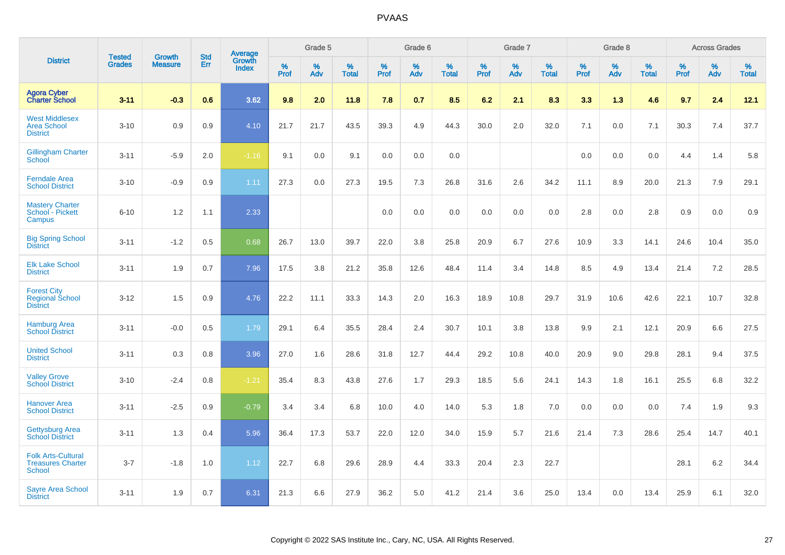|                                                                 |                                |                                 | <b>Std</b> | Average                |                     | Grade 5  |                   |                  | Grade 6  |                   |              | Grade 7  |                   |              | Grade 8  |                   |                     | <b>Across Grades</b> |                   |
|-----------------------------------------------------------------|--------------------------------|---------------------------------|------------|------------------------|---------------------|----------|-------------------|------------------|----------|-------------------|--------------|----------|-------------------|--------------|----------|-------------------|---------------------|----------------------|-------------------|
| <b>District</b>                                                 | <b>Tested</b><br><b>Grades</b> | <b>Growth</b><br><b>Measure</b> | Err        | Growth<br><b>Index</b> | $\%$<br><b>Prof</b> | %<br>Adv | %<br><b>Total</b> | %<br><b>Prof</b> | %<br>Adv | %<br><b>Total</b> | $\%$<br>Prof | %<br>Adv | %<br><b>Total</b> | $\%$<br>Prof | %<br>Adv | %<br><b>Total</b> | $\%$<br><b>Prof</b> | $\%$<br>Adv          | %<br><b>Total</b> |
| <b>Agora Cyber</b><br><b>Charter School</b>                     | $3 - 11$                       | $-0.3$                          | 0.6        | 3.62                   | 9.8                 | 2.0      | 11.8              | 7.8              | 0.7      | 8.5               | 6.2          | 2.1      | 8.3               | 3.3          | 1.3      | 4.6               | 9.7                 | 2.4                  | 12.1              |
| <b>West Middlesex</b><br><b>Area School</b><br><b>District</b>  | $3 - 10$                       | 0.9                             | 0.9        | 4.10                   | 21.7                | 21.7     | 43.5              | 39.3             | 4.9      | 44.3              | 30.0         | 2.0      | 32.0              | 7.1          | 0.0      | 7.1               | 30.3                | 7.4                  | 37.7              |
| <b>Gillingham Charter</b><br>School                             | $3 - 11$                       | $-5.9$                          | 2.0        | $-1.16$                | 9.1                 | 0.0      | 9.1               | 0.0              | 0.0      | 0.0               |              |          |                   | 0.0          | 0.0      | 0.0               | 4.4                 | 1.4                  | 5.8               |
| <b>Ferndale Area</b><br><b>School District</b>                  | $3 - 10$                       | $-0.9$                          | 0.9        | 1.11                   | 27.3                | 0.0      | 27.3              | 19.5             | 7.3      | 26.8              | 31.6         | 2.6      | 34.2              | 11.1         | 8.9      | 20.0              | 21.3                | 7.9                  | 29.1              |
| <b>Mastery Charter</b><br>School - Pickett<br>Campus            | $6 - 10$                       | 1.2                             | 1.1        | 2.33                   |                     |          |                   | 0.0              | 0.0      | 0.0               | 0.0          | 0.0      | 0.0               | 2.8          | 0.0      | 2.8               | 0.9                 | 0.0                  | 0.9               |
| <b>Big Spring School</b><br><b>District</b>                     | $3 - 11$                       | $-1.2$                          | 0.5        | 0.68                   | 26.7                | 13.0     | 39.7              | 22.0             | 3.8      | 25.8              | 20.9         | 6.7      | 27.6              | 10.9         | 3.3      | 14.1              | 24.6                | 10.4                 | 35.0              |
| <b>Elk Lake School</b><br><b>District</b>                       | $3 - 11$                       | 1.9                             | 0.7        | 7.96                   | 17.5                | 3.8      | 21.2              | 35.8             | 12.6     | 48.4              | 11.4         | 3.4      | 14.8              | 8.5          | 4.9      | 13.4              | 21.4                | 7.2                  | 28.5              |
| <b>Forest City</b><br><b>Regional School</b><br><b>District</b> | $3 - 12$                       | 1.5                             | 0.9        | 4.76                   | 22.2                | 11.1     | 33.3              | 14.3             | 2.0      | 16.3              | 18.9         | 10.8     | 29.7              | 31.9         | 10.6     | 42.6              | 22.1                | 10.7                 | 32.8              |
| <b>Hamburg Area</b><br><b>School District</b>                   | $3 - 11$                       | $-0.0$                          | 0.5        | 1.79                   | 29.1                | 6.4      | 35.5              | 28.4             | 2.4      | 30.7              | 10.1         | 3.8      | 13.8              | 9.9          | 2.1      | 12.1              | 20.9                | 6.6                  | 27.5              |
| <b>United School</b><br><b>District</b>                         | $3 - 11$                       | 0.3                             | 0.8        | 3.96                   | 27.0                | 1.6      | 28.6              | 31.8             | 12.7     | 44.4              | 29.2         | 10.8     | 40.0              | 20.9         | 9.0      | 29.8              | 28.1                | 9.4                  | 37.5              |
| <b>Valley Grove</b><br><b>School District</b>                   | $3 - 10$                       | $-2.4$                          | 0.8        | $-1.21$                | 35.4                | 8.3      | 43.8              | 27.6             | 1.7      | 29.3              | 18.5         | 5.6      | 24.1              | 14.3         | 1.8      | 16.1              | 25.5                | 6.8                  | 32.2              |
| <b>Hanover Area</b><br><b>School District</b>                   | $3 - 11$                       | $-2.5$                          | 0.9        | $-0.79$                | 3.4                 | 3.4      | 6.8               | 10.0             | 4.0      | 14.0              | 5.3          | 1.8      | 7.0               | 0.0          | 0.0      | 0.0               | 7.4                 | 1.9                  | 9.3               |
| <b>Gettysburg Area</b><br><b>School District</b>                | $3 - 11$                       | 1.3                             | 0.4        | 5.96                   | 36.4                | 17.3     | 53.7              | 22.0             | 12.0     | 34.0              | 15.9         | 5.7      | 21.6              | 21.4         | 7.3      | 28.6              | 25.4                | 14.7                 | 40.1              |
| <b>Folk Arts-Cultural</b><br><b>Treasures Charter</b><br>School | $3 - 7$                        | $-1.8$                          | 1.0        | 1.12                   | 22.7                | 6.8      | 29.6              | 28.9             | 4.4      | 33.3              | 20.4         | 2.3      | 22.7              |              |          |                   | 28.1                | 6.2                  | 34.4              |
| <b>Sayre Area School</b><br><b>District</b>                     | $3 - 11$                       | 1.9                             | 0.7        | 6.31                   | 21.3                | 6.6      | 27.9              | 36.2             | 5.0      | 41.2              | 21.4         | 3.6      | 25.0              | 13.4         | 0.0      | 13.4              | 25.9                | 6.1                  | 32.0              |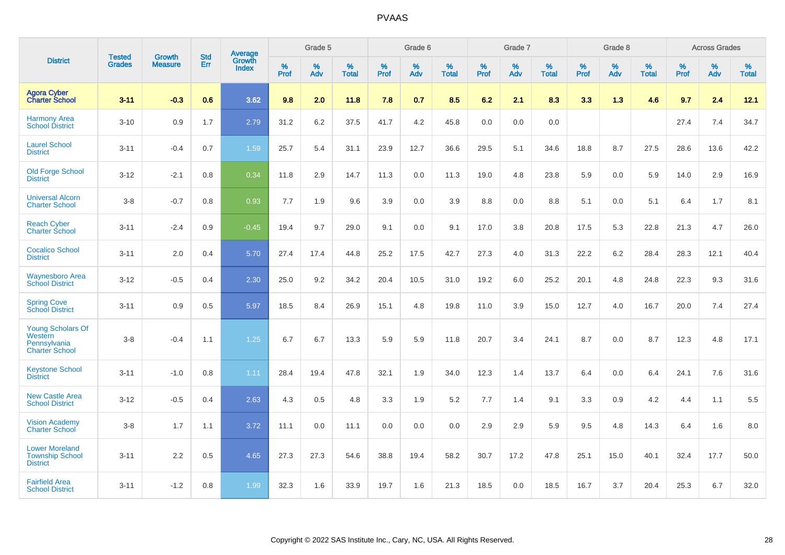|                                                                              |                                |                                 | <b>Std</b> | Average                       |           | Grade 5  |                   |           | Grade 6  |                   |           | Grade 7  |                   |           | Grade 8  |                   |           | <b>Across Grades</b> |                   |
|------------------------------------------------------------------------------|--------------------------------|---------------------------------|------------|-------------------------------|-----------|----------|-------------------|-----------|----------|-------------------|-----------|----------|-------------------|-----------|----------|-------------------|-----------|----------------------|-------------------|
| <b>District</b>                                                              | <b>Tested</b><br><b>Grades</b> | <b>Growth</b><br><b>Measure</b> | Err        | <b>Growth</b><br><b>Index</b> | %<br>Prof | %<br>Adv | %<br><b>Total</b> | %<br>Prof | %<br>Adv | %<br><b>Total</b> | %<br>Prof | %<br>Adv | %<br><b>Total</b> | %<br>Prof | %<br>Adv | %<br><b>Total</b> | %<br>Prof | %<br>Adv             | %<br><b>Total</b> |
| <b>Agora Cyber</b><br><b>Charter School</b>                                  | $3 - 11$                       | $-0.3$                          | 0.6        | 3.62                          | 9.8       | 2.0      | 11.8              | 7.8       | 0.7      | 8.5               | 6.2       | 2.1      | 8.3               | 3.3       | 1.3      | 4.6               | 9.7       | 2.4                  | 12.1              |
| <b>Harmony Area</b><br><b>School District</b>                                | $3 - 10$                       | 0.9                             | 1.7        | 2.79                          | 31.2      | 6.2      | 37.5              | 41.7      | 4.2      | 45.8              | 0.0       | 0.0      | 0.0               |           |          |                   | 27.4      | 7.4                  | 34.7              |
| <b>Laurel School</b><br><b>District</b>                                      | $3 - 11$                       | $-0.4$                          | 0.7        | 1.59                          | 25.7      | 5.4      | 31.1              | 23.9      | 12.7     | 36.6              | 29.5      | 5.1      | 34.6              | 18.8      | 8.7      | 27.5              | 28.6      | 13.6                 | 42.2              |
| <b>Old Forge School</b><br><b>District</b>                                   | $3 - 12$                       | $-2.1$                          | 0.8        | 0.34                          | 11.8      | 2.9      | 14.7              | 11.3      | 0.0      | 11.3              | 19.0      | 4.8      | 23.8              | 5.9       | 0.0      | 5.9               | 14.0      | 2.9                  | 16.9              |
| <b>Universal Alcorn</b><br><b>Charter School</b>                             | $3 - 8$                        | $-0.7$                          | 0.8        | 0.93                          | 7.7       | 1.9      | 9.6               | 3.9       | 0.0      | 3.9               | 8.8       | 0.0      | 8.8               | 5.1       | 0.0      | 5.1               | 6.4       | 1.7                  | 8.1               |
| <b>Reach Cyber</b><br><b>Charter School</b>                                  | $3 - 11$                       | $-2.4$                          | 0.9        | $-0.45$                       | 19.4      | 9.7      | 29.0              | 9.1       | 0.0      | 9.1               | 17.0      | 3.8      | 20.8              | 17.5      | 5.3      | 22.8              | 21.3      | 4.7                  | 26.0              |
| <b>Cocalico School</b><br><b>District</b>                                    | $3 - 11$                       | 2.0                             | 0.4        | 5.70                          | 27.4      | 17.4     | 44.8              | 25.2      | 17.5     | 42.7              | 27.3      | 4.0      | 31.3              | 22.2      | $6.2\,$  | 28.4              | 28.3      | 12.1                 | 40.4              |
| <b>Waynesboro Area</b><br><b>School District</b>                             | $3 - 12$                       | $-0.5$                          | 0.4        | 2.30                          | 25.0      | 9.2      | 34.2              | 20.4      | 10.5     | 31.0              | 19.2      | 6.0      | 25.2              | 20.1      | 4.8      | 24.8              | 22.3      | 9.3                  | 31.6              |
| <b>Spring Cove</b><br><b>School District</b>                                 | $3 - 11$                       | 0.9                             | 0.5        | 5.97                          | 18.5      | 8.4      | 26.9              | 15.1      | 4.8      | 19.8              | 11.0      | 3.9      | 15.0              | 12.7      | 4.0      | 16.7              | 20.0      | 7.4                  | 27.4              |
| <b>Young Scholars Of</b><br>Western<br>Pennsylvania<br><b>Charter School</b> | $3 - 8$                        | $-0.4$                          | 1.1        | 1.25                          | 6.7       | 6.7      | 13.3              | 5.9       | 5.9      | 11.8              | 20.7      | 3.4      | 24.1              | 8.7       | 0.0      | 8.7               | 12.3      | 4.8                  | 17.1              |
| <b>Keystone School</b><br><b>District</b>                                    | $3 - 11$                       | $-1.0$                          | 0.8        | 1.11                          | 28.4      | 19.4     | 47.8              | 32.1      | 1.9      | 34.0              | 12.3      | 1.4      | 13.7              | 6.4       | 0.0      | 6.4               | 24.1      | 7.6                  | 31.6              |
| <b>New Castle Area</b><br><b>School District</b>                             | $3 - 12$                       | $-0.5$                          | 0.4        | 2.63                          | 4.3       | 0.5      | 4.8               | 3.3       | 1.9      | 5.2               | 7.7       | 1.4      | 9.1               | 3.3       | 0.9      | 4.2               | 4.4       | 1.1                  | 5.5               |
| <b>Vision Academy</b><br>Charter School                                      | $3 - 8$                        | 1.7                             | 1.1        | 3.72                          | 11.1      | 0.0      | 11.1              | 0.0       | 0.0      | 0.0               | 2.9       | 2.9      | 5.9               | 9.5       | 4.8      | 14.3              | 6.4       | 1.6                  | 8.0               |
| <b>Lower Moreland</b><br><b>Township School</b><br><b>District</b>           | $3 - 11$                       | 2.2                             | 0.5        | 4.65                          | 27.3      | 27.3     | 54.6              | 38.8      | 19.4     | 58.2              | 30.7      | 17.2     | 47.8              | 25.1      | 15.0     | 40.1              | 32.4      | 17.7                 | 50.0              |
| <b>Fairfield Area</b><br><b>School District</b>                              | $3 - 11$                       | $-1.2$                          | 0.8        | 1.99                          | 32.3      | 1.6      | 33.9              | 19.7      | 1.6      | 21.3              | 18.5      | 0.0      | 18.5              | 16.7      | 3.7      | 20.4              | 25.3      | 6.7                  | 32.0              |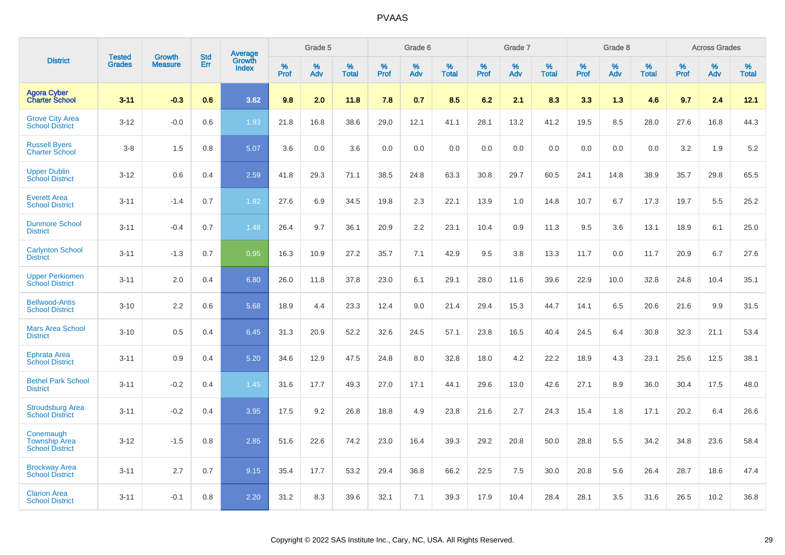|                                                             |                         | <b>Growth</b>  | <b>Std</b> | Average                |              | Grade 5     |                      |                     | Grade 6     |                      |              | Grade 7     |                      |              | Grade 8     |                      |                     | <b>Across Grades</b> |                      |
|-------------------------------------------------------------|-------------------------|----------------|------------|------------------------|--------------|-------------|----------------------|---------------------|-------------|----------------------|--------------|-------------|----------------------|--------------|-------------|----------------------|---------------------|----------------------|----------------------|
| <b>District</b>                                             | Tested<br><b>Grades</b> | <b>Measure</b> | Err        | Growth<br><b>Index</b> | $\%$<br>Prof | $\%$<br>Adv | $\%$<br><b>Total</b> | $\%$<br><b>Prof</b> | $\%$<br>Adv | $\%$<br><b>Total</b> | $\%$<br>Prof | $\%$<br>Adv | $\%$<br><b>Total</b> | $\%$<br>Prof | $\%$<br>Adv | $\%$<br><b>Total</b> | $\%$<br><b>Prof</b> | $\%$<br>Adv          | $\%$<br><b>Total</b> |
| <b>Agora Cyber<br/>Charter School</b>                       | $3 - 11$                | $-0.3$         | 0.6        | 3.62                   | 9.8          | 2.0         | 11.8                 | 7.8                 | 0.7         | 8.5                  | 6.2          | 2.1         | 8.3                  | 3.3          | 1.3         | 4.6                  | 9.7                 | 2.4                  | 12.1                 |
| <b>Grove City Area</b><br><b>School District</b>            | $3 - 12$                | $-0.0$         | 0.6        | 1.93                   | 21.8         | 16.8        | 38.6                 | 29.0                | 12.1        | 41.1                 | 28.1         | 13.2        | 41.2                 | 19.5         | 8.5         | 28.0                 | 27.6                | 16.8                 | 44.3                 |
| <b>Russell Byers</b><br><b>Charter School</b>               | $3 - 8$                 | 1.5            | 0.8        | 5.07                   | 3.6          | 0.0         | 3.6                  | 0.0                 | 0.0         | 0.0                  | 0.0          | 0.0         | 0.0                  | 0.0          | 0.0         | 0.0                  | 3.2                 | 1.9                  | 5.2                  |
| <b>Upper Dublin</b><br><b>School District</b>               | $3 - 12$                | 0.6            | 0.4        | 2.59                   | 41.8         | 29.3        | 71.1                 | 38.5                | 24.8        | 63.3                 | 30.8         | 29.7        | 60.5                 | 24.1         | 14.8        | 38.9                 | 35.7                | 29.8                 | 65.5                 |
| <b>Everett Area</b><br><b>School District</b>               | $3 - 11$                | $-1.4$         | 0.7        | 1.92                   | 27.6         | 6.9         | 34.5                 | 19.8                | 2.3         | 22.1                 | 13.9         | 1.0         | 14.8                 | 10.7         | 6.7         | 17.3                 | 19.7                | 5.5                  | 25.2                 |
| <b>Dunmore School</b><br><b>District</b>                    | $3 - 11$                | $-0.4$         | 0.7        | 1.48                   | 26.4         | 9.7         | 36.1                 | 20.9                | 2.2         | 23.1                 | 10.4         | 0.9         | 11.3                 | 9.5          | 3.6         | 13.1                 | 18.9                | 6.1                  | 25.0                 |
| <b>Carlynton School</b><br><b>District</b>                  | $3 - 11$                | $-1.3$         | 0.7        | 0.95                   | 16.3         | 10.9        | 27.2                 | 35.7                | 7.1         | 42.9                 | 9.5          | 3.8         | 13.3                 | 11.7         | 0.0         | 11.7                 | 20.9                | 6.7                  | 27.6                 |
| <b>Upper Perkiomen</b><br><b>School District</b>            | $3 - 11$                | 2.0            | 0.4        | 6.80                   | 26.0         | 11.8        | 37.8                 | 23.0                | 6.1         | 29.1                 | 28.0         | 11.6        | 39.6                 | 22.9         | 10.0        | 32.8                 | 24.8                | 10.4                 | 35.1                 |
| <b>Bellwood-Antis</b><br><b>School District</b>             | $3 - 10$                | 2.2            | 0.6        | 5.68                   | 18.9         | 4.4         | 23.3                 | 12.4                | 9.0         | 21.4                 | 29.4         | 15.3        | 44.7                 | 14.1         | 6.5         | 20.6                 | 21.6                | 9.9                  | 31.5                 |
| <b>Mars Area School</b><br><b>District</b>                  | $3 - 10$                | 0.5            | 0.4        | 6.45                   | 31.3         | 20.9        | 52.2                 | 32.6                | 24.5        | 57.1                 | 23.8         | 16.5        | 40.4                 | 24.5         | 6.4         | 30.8                 | 32.3                | 21.1                 | 53.4                 |
| Ephrata Area<br><b>School District</b>                      | $3 - 11$                | 0.9            | 0.4        | 5.20                   | 34.6         | 12.9        | 47.5                 | 24.8                | 8.0         | 32.8                 | 18.0         | 4.2         | 22.2                 | 18.9         | 4.3         | 23.1                 | 25.6                | 12.5                 | 38.1                 |
| <b>Bethel Park School</b><br><b>District</b>                | $3 - 11$                | $-0.2$         | 0.4        | 1.45                   | 31.6         | 17.7        | 49.3                 | 27.0                | 17.1        | 44.1                 | 29.6         | 13.0        | 42.6                 | 27.1         | 8.9         | 36.0                 | 30.4                | 17.5                 | 48.0                 |
| <b>Stroudsburg Area</b><br><b>School District</b>           | $3 - 11$                | $-0.2$         | 0.4        | 3.95                   | 17.5         | 9.2         | 26.8                 | 18.8                | 4.9         | 23.8                 | 21.6         | 2.7         | 24.3                 | 15.4         | 1.8         | 17.1                 | 20.2                | 6.4                  | 26.6                 |
| Conemaugh<br><b>Township Area</b><br><b>School District</b> | $3 - 12$                | $-1.5$         | 0.8        | 2.85                   | 51.6         | 22.6        | 74.2                 | 23.0                | 16.4        | 39.3                 | 29.2         | 20.8        | 50.0                 | 28.8         | 5.5         | 34.2                 | 34.8                | 23.6                 | 58.4                 |
| <b>Brockway Area</b><br><b>School District</b>              | $3 - 11$                | 2.7            | 0.7        | 9.15                   | 35.4         | 17.7        | 53.2                 | 29.4                | 36.8        | 66.2                 | 22.5         | 7.5         | 30.0                 | 20.8         | 5.6         | 26.4                 | 28.7                | 18.6                 | 47.4                 |
| <b>Clarion Area</b><br><b>School District</b>               | $3 - 11$                | $-0.1$         | 0.8        | 2.20                   | 31.2         | 8.3         | 39.6                 | 32.1                | 7.1         | 39.3                 | 17.9         | 10.4        | 28.4                 | 28.1         | 3.5         | 31.6                 | 26.5                | 10.2                 | 36.8                 |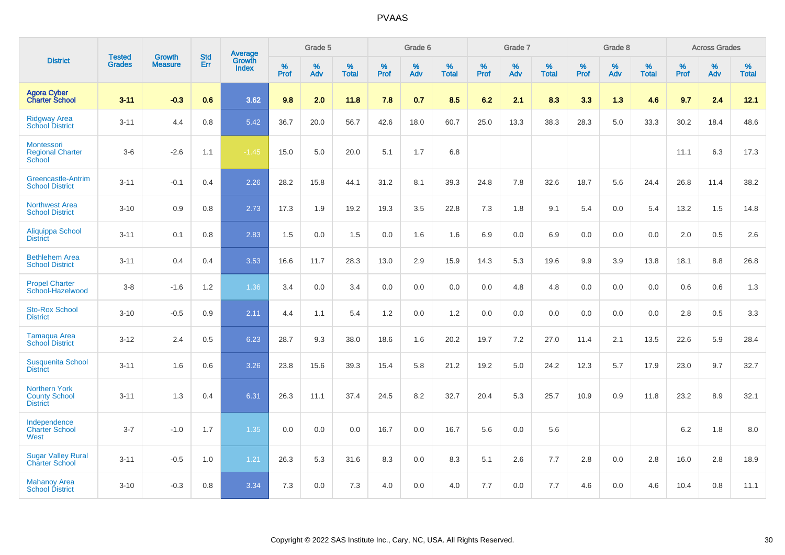|                                                                 | <b>Tested</b> | <b>Growth</b>  | <b>Std</b> | Average                |              | Grade 5  |                   |           | Grade 6  |                   |           | Grade 7  |                   |           | Grade 8  |                   |           | <b>Across Grades</b> |                   |
|-----------------------------------------------------------------|---------------|----------------|------------|------------------------|--------------|----------|-------------------|-----------|----------|-------------------|-----------|----------|-------------------|-----------|----------|-------------------|-----------|----------------------|-------------------|
| <b>District</b>                                                 | <b>Grades</b> | <b>Measure</b> | Err        | Growth<br><b>Index</b> | $\%$<br>Prof | %<br>Adv | %<br><b>Total</b> | %<br>Prof | %<br>Adv | %<br><b>Total</b> | %<br>Prof | %<br>Adv | %<br><b>Total</b> | %<br>Prof | %<br>Adv | %<br><b>Total</b> | %<br>Prof | %<br>Adv             | %<br><b>Total</b> |
| <b>Agora Cyber<br/>Charter School</b>                           | $3 - 11$      | $-0.3$         | 0.6        | 3.62                   | 9.8          | 2.0      | 11.8              | 7.8       | 0.7      | 8.5               | 6.2       | 2.1      | 8.3               | 3.3       | 1.3      | 4.6               | 9.7       | 2.4                  | 12.1              |
| <b>Ridgway Area</b><br><b>School District</b>                   | $3 - 11$      | 4.4            | 0.8        | 5.42                   | 36.7         | 20.0     | 56.7              | 42.6      | 18.0     | 60.7              | 25.0      | 13.3     | 38.3              | 28.3      | 5.0      | 33.3              | 30.2      | 18.4                 | 48.6              |
| Montessori<br><b>Regional Charter</b><br>School                 | $3-6$         | $-2.6$         | 1.1        | $-1.45$                | 15.0         | 5.0      | 20.0              | 5.1       | 1.7      | 6.8               |           |          |                   |           |          |                   | 11.1      | 6.3                  | 17.3              |
| <b>Greencastle-Antrim</b><br><b>School District</b>             | $3 - 11$      | $-0.1$         | 0.4        | 2.26                   | 28.2         | 15.8     | 44.1              | 31.2      | 8.1      | 39.3              | 24.8      | 7.8      | 32.6              | 18.7      | 5.6      | 24.4              | 26.8      | 11.4                 | 38.2              |
| <b>Northwest Area</b><br><b>School District</b>                 | $3 - 10$      | 0.9            | 0.8        | 2.73                   | 17.3         | 1.9      | 19.2              | 19.3      | 3.5      | 22.8              | 7.3       | 1.8      | 9.1               | 5.4       | 0.0      | 5.4               | 13.2      | 1.5                  | 14.8              |
| <b>Aliquippa School</b><br><b>District</b>                      | $3 - 11$      | 0.1            | 0.8        | 2.83                   | 1.5          | 0.0      | 1.5               | 0.0       | 1.6      | 1.6               | 6.9       | 0.0      | 6.9               | 0.0       | 0.0      | 0.0               | 2.0       | 0.5                  | 2.6               |
| <b>Bethlehem Area</b><br><b>School District</b>                 | $3 - 11$      | 0.4            | 0.4        | 3.53                   | 16.6         | 11.7     | 28.3              | 13.0      | 2.9      | 15.9              | 14.3      | 5.3      | 19.6              | 9.9       | 3.9      | 13.8              | 18.1      | 8.8                  | 26.8              |
| <b>Propel Charter</b><br>School-Hazelwood                       | $3 - 8$       | $-1.6$         | 1.2        | 1.36                   | 3.4          | 0.0      | 3.4               | 0.0       | 0.0      | 0.0               | 0.0       | 4.8      | 4.8               | 0.0       | 0.0      | 0.0               | 0.6       | 0.6                  | 1.3               |
| <b>Sto-Rox School</b><br><b>District</b>                        | $3 - 10$      | $-0.5$         | 0.9        | 2.11                   | 4.4          | 1.1      | 5.4               | 1.2       | 0.0      | 1.2               | 0.0       | 0.0      | 0.0               | 0.0       | 0.0      | 0.0               | 2.8       | 0.5                  | 3.3               |
| <b>Tamaqua Area</b><br><b>School District</b>                   | $3 - 12$      | 2.4            | 0.5        | 6.23                   | 28.7         | 9.3      | 38.0              | 18.6      | 1.6      | 20.2              | 19.7      | 7.2      | 27.0              | 11.4      | 2.1      | 13.5              | 22.6      | 5.9                  | 28.4              |
| <b>Susquenita School</b><br><b>District</b>                     | $3 - 11$      | 1.6            | 0.6        | 3.26                   | 23.8         | 15.6     | 39.3              | 15.4      | 5.8      | 21.2              | 19.2      | 5.0      | 24.2              | 12.3      | 5.7      | 17.9              | 23.0      | 9.7                  | 32.7              |
| <b>Northern York</b><br><b>County School</b><br><b>District</b> | $3 - 11$      | 1.3            | 0.4        | 6.31                   | 26.3         | 11.1     | 37.4              | 24.5      | 8.2      | 32.7              | 20.4      | 5.3      | 25.7              | 10.9      | 0.9      | 11.8              | 23.2      | 8.9                  | 32.1              |
| Independence<br><b>Charter School</b><br>West                   | $3 - 7$       | $-1.0$         | 1.7        | 1.35                   | 0.0          | 0.0      | 0.0               | 16.7      | 0.0      | 16.7              | 5.6       | 0.0      | 5.6               |           |          |                   | 6.2       | 1.8                  | 8.0               |
| <b>Sugar Valley Rural</b><br><b>Charter School</b>              | $3 - 11$      | $-0.5$         | 1.0        | 1.21                   | 26.3         | 5.3      | 31.6              | 8.3       | 0.0      | 8.3               | 5.1       | 2.6      | 7.7               | 2.8       | 0.0      | 2.8               | 16.0      | 2.8                  | 18.9              |
| <b>Mahanoy Area</b><br><b>School District</b>                   | $3 - 10$      | $-0.3$         | 0.8        | 3.34                   | 7.3          | 0.0      | 7.3               | 4.0       | 0.0      | 4.0               | 7.7       | 0.0      | 7.7               | 4.6       | 0.0      | 4.6               | 10.4      | 0.8                  | 11.1              |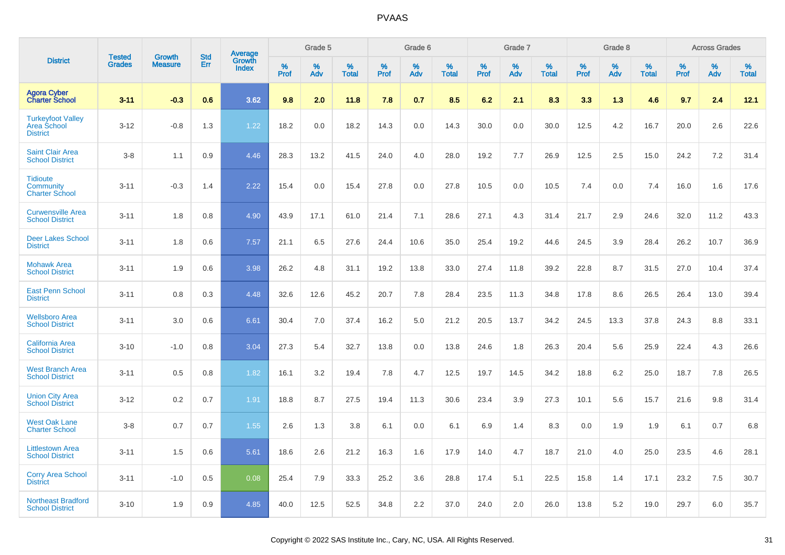|                                                                   |                                |                                 | <b>Std</b> |                                          |              | Grade 5  |                   |           | Grade 6  |                   |              | Grade 7  |                   |              | Grade 8  |                   |              | <b>Across Grades</b> |                   |
|-------------------------------------------------------------------|--------------------------------|---------------------------------|------------|------------------------------------------|--------------|----------|-------------------|-----------|----------|-------------------|--------------|----------|-------------------|--------------|----------|-------------------|--------------|----------------------|-------------------|
| <b>District</b>                                                   | <b>Tested</b><br><b>Grades</b> | <b>Growth</b><br><b>Measure</b> | Err        | <b>Average</b><br>Growth<br><b>Index</b> | $\%$<br>Prof | %<br>Adv | %<br><b>Total</b> | %<br>Prof | %<br>Adv | %<br><b>Total</b> | $\%$<br>Prof | %<br>Adv | %<br><b>Total</b> | $\%$<br>Prof | %<br>Adv | %<br><b>Total</b> | $\%$<br>Prof | %<br>Adv             | %<br><b>Total</b> |
| <b>Agora Cyber</b><br><b>Charter School</b>                       | $3 - 11$                       | $-0.3$                          | 0.6        | 3.62                                     | 9.8          | 2.0      | 11.8              | 7.8       | 0.7      | 8.5               | 6.2          | 2.1      | 8.3               | 3.3          | 1.3      | 4.6               | 9.7          | 2.4                  | 12.1              |
| <b>Turkeyfoot Valley</b><br><b>Area School</b><br><b>District</b> | $3 - 12$                       | $-0.8$                          | 1.3        | 1.22                                     | 18.2         | 0.0      | 18.2              | 14.3      | 0.0      | 14.3              | 30.0         | 0.0      | 30.0              | 12.5         | 4.2      | 16.7              | 20.0         | 2.6                  | 22.6              |
| <b>Saint Clair Area</b><br><b>School District</b>                 | $3 - 8$                        | 1.1                             | 0.9        | 4.46                                     | 28.3         | 13.2     | 41.5              | 24.0      | 4.0      | 28.0              | 19.2         | 7.7      | 26.9              | 12.5         | 2.5      | 15.0              | 24.2         | 7.2                  | 31.4              |
| <b>Tidioute</b><br><b>Community</b><br><b>Charter School</b>      | $3 - 11$                       | $-0.3$                          | 1.4        | 2.22                                     | 15.4         | 0.0      | 15.4              | 27.8      | 0.0      | 27.8              | 10.5         | 0.0      | 10.5              | 7.4          | 0.0      | 7.4               | 16.0         | 1.6                  | 17.6              |
| <b>Curwensville Area</b><br><b>School District</b>                | $3 - 11$                       | 1.8                             | 0.8        | 4.90                                     | 43.9         | 17.1     | 61.0              | 21.4      | 7.1      | 28.6              | 27.1         | 4.3      | 31.4              | 21.7         | 2.9      | 24.6              | 32.0         | 11.2                 | 43.3              |
| <b>Deer Lakes School</b><br><b>District</b>                       | $3 - 11$                       | 1.8                             | 0.6        | 7.57                                     | 21.1         | 6.5      | 27.6              | 24.4      | 10.6     | 35.0              | 25.4         | 19.2     | 44.6              | 24.5         | 3.9      | 28.4              | 26.2         | 10.7                 | 36.9              |
| <b>Mohawk Area</b><br><b>School District</b>                      | $3 - 11$                       | 1.9                             | 0.6        | 3.98                                     | 26.2         | 4.8      | 31.1              | 19.2      | 13.8     | 33.0              | 27.4         | 11.8     | 39.2              | 22.8         | 8.7      | 31.5              | 27.0         | 10.4                 | 37.4              |
| <b>East Penn School</b><br><b>District</b>                        | $3 - 11$                       | 0.8                             | 0.3        | 4.48                                     | 32.6         | 12.6     | 45.2              | 20.7      | 7.8      | 28.4              | 23.5         | 11.3     | 34.8              | 17.8         | 8.6      | 26.5              | 26.4         | 13.0                 | 39.4              |
| <b>Wellsboro Area</b><br><b>School District</b>                   | $3 - 11$                       | 3.0                             | 0.6        | 6.61                                     | 30.4         | 7.0      | 37.4              | 16.2      | 5.0      | 21.2              | 20.5         | 13.7     | 34.2              | 24.5         | 13.3     | 37.8              | 24.3         | 8.8                  | 33.1              |
| <b>California Area</b><br><b>School District</b>                  | $3 - 10$                       | $-1.0$                          | 0.8        | 3.04                                     | 27.3         | 5.4      | 32.7              | 13.8      | 0.0      | 13.8              | 24.6         | 1.8      | 26.3              | 20.4         | 5.6      | 25.9              | 22.4         | 4.3                  | 26.6              |
| <b>West Branch Area</b><br><b>School District</b>                 | $3 - 11$                       | 0.5                             | 0.8        | 1.82                                     | 16.1         | 3.2      | 19.4              | 7.8       | 4.7      | 12.5              | 19.7         | 14.5     | 34.2              | 18.8         | 6.2      | 25.0              | 18.7         | 7.8                  | 26.5              |
| <b>Union City Area</b><br><b>School District</b>                  | $3 - 12$                       | 0.2                             | 0.7        | 1.91                                     | 18.8         | 8.7      | 27.5              | 19.4      | 11.3     | 30.6              | 23.4         | 3.9      | 27.3              | 10.1         | 5.6      | 15.7              | 21.6         | 9.8                  | 31.4              |
| <b>West Oak Lane</b><br><b>Charter School</b>                     | $3 - 8$                        | 0.7                             | 0.7        | 1.55                                     | 2.6          | 1.3      | 3.8               | 6.1       | 0.0      | 6.1               | 6.9          | 1.4      | 8.3               | 0.0          | 1.9      | 1.9               | 6.1          | 0.7                  | 6.8               |
| <b>Littlestown Area</b><br><b>School District</b>                 | $3 - 11$                       | 1.5                             | 0.6        | 5.61                                     | 18.6         | 2.6      | 21.2              | 16.3      | 1.6      | 17.9              | 14.0         | 4.7      | 18.7              | 21.0         | 4.0      | 25.0              | 23.5         | 4.6                  | 28.1              |
| <b>Corry Area School</b><br><b>District</b>                       | $3 - 11$                       | $-1.0$                          | 0.5        | 0.08                                     | 25.4         | 7.9      | 33.3              | 25.2      | 3.6      | 28.8              | 17.4         | 5.1      | 22.5              | 15.8         | 1.4      | 17.1              | 23.2         | 7.5                  | 30.7              |
| <b>Northeast Bradford</b><br><b>School District</b>               | $3 - 10$                       | 1.9                             | 0.9        | 4.85                                     | 40.0         | 12.5     | 52.5              | 34.8      | 2.2      | 37.0              | 24.0         | 2.0      | 26.0              | 13.8         | 5.2      | 19.0              | 29.7         | 6.0                  | 35.7              |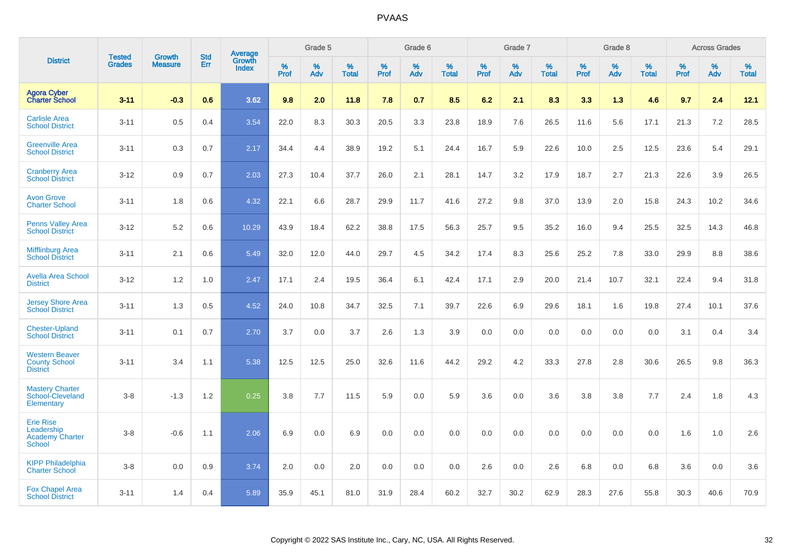|                                                                           |                                | <b>Growth</b>  | <b>Std</b> | Average                |              | Grade 5  |                   |           | Grade 6  |                   |           | Grade 7  |                   |           | Grade 8  |                   |           | <b>Across Grades</b> |                   |
|---------------------------------------------------------------------------|--------------------------------|----------------|------------|------------------------|--------------|----------|-------------------|-----------|----------|-------------------|-----------|----------|-------------------|-----------|----------|-------------------|-----------|----------------------|-------------------|
| <b>District</b>                                                           | <b>Tested</b><br><b>Grades</b> | <b>Measure</b> | Err        | Growth<br><b>Index</b> | $\%$<br>Prof | %<br>Adv | %<br><b>Total</b> | %<br>Prof | %<br>Adv | %<br><b>Total</b> | %<br>Prof | %<br>Adv | %<br><b>Total</b> | %<br>Prof | %<br>Adv | %<br><b>Total</b> | %<br>Prof | $\%$<br>Adv          | %<br><b>Total</b> |
| <b>Agora Cyber</b><br><b>Charter School</b>                               | $3 - 11$                       | $-0.3$         | 0.6        | 3.62                   | 9.8          | 2.0      | 11.8              | 7.8       | 0.7      | 8.5               | 6.2       | 2.1      | 8.3               | 3.3       | 1.3      | 4.6               | 9.7       | 2.4                  | 12.1              |
| <b>Carlisle Area</b><br><b>School District</b>                            | $3 - 11$                       | 0.5            | 0.4        | 3.54                   | 22.0         | 8.3      | 30.3              | 20.5      | 3.3      | 23.8              | 18.9      | 7.6      | 26.5              | 11.6      | 5.6      | 17.1              | 21.3      | 7.2                  | 28.5              |
| <b>Greenville Area</b><br><b>School District</b>                          | $3 - 11$                       | 0.3            | 0.7        | 2.17                   | 34.4         | 4.4      | 38.9              | 19.2      | 5.1      | 24.4              | 16.7      | 5.9      | 22.6              | 10.0      | 2.5      | 12.5              | 23.6      | 5.4                  | 29.1              |
| <b>Cranberry Area</b><br><b>School District</b>                           | $3 - 12$                       | 0.9            | 0.7        | 2.03                   | 27.3         | 10.4     | 37.7              | 26.0      | 2.1      | 28.1              | 14.7      | 3.2      | 17.9              | 18.7      | 2.7      | 21.3              | 22.6      | 3.9                  | 26.5              |
| <b>Avon Grove</b><br><b>Charter School</b>                                | $3 - 11$                       | 1.8            | 0.6        | 4.32                   | 22.1         | 6.6      | 28.7              | 29.9      | 11.7     | 41.6              | 27.2      | 9.8      | 37.0              | 13.9      | 2.0      | 15.8              | 24.3      | 10.2                 | 34.6              |
| <b>Penns Valley Area</b><br><b>School District</b>                        | $3 - 12$                       | 5.2            | 0.6        | 10.29                  | 43.9         | 18.4     | 62.2              | 38.8      | 17.5     | 56.3              | 25.7      | 9.5      | 35.2              | 16.0      | 9.4      | 25.5              | 32.5      | 14.3                 | 46.8              |
| <b>Mifflinburg Area</b><br><b>School District</b>                         | $3 - 11$                       | 2.1            | 0.6        | 5.49                   | 32.0         | 12.0     | 44.0              | 29.7      | 4.5      | 34.2              | 17.4      | 8.3      | 25.6              | 25.2      | 7.8      | 33.0              | 29.9      | 8.8                  | 38.6              |
| <b>Avella Area School</b><br><b>District</b>                              | $3 - 12$                       | 1.2            | 1.0        | 2.47                   | 17.1         | 2.4      | 19.5              | 36.4      | 6.1      | 42.4              | 17.1      | 2.9      | 20.0              | 21.4      | 10.7     | 32.1              | 22.4      | 9.4                  | 31.8              |
| <b>Jersey Shore Area</b><br><b>School District</b>                        | $3 - 11$                       | 1.3            | 0.5        | 4.52                   | 24.0         | 10.8     | 34.7              | 32.5      | 7.1      | 39.7              | 22.6      | 6.9      | 29.6              | 18.1      | 1.6      | 19.8              | 27.4      | 10.1                 | 37.6              |
| <b>Chester-Upland</b><br><b>School District</b>                           | $3 - 11$                       | 0.1            | 0.7        | 2.70                   | 3.7          | 0.0      | 3.7               | 2.6       | 1.3      | 3.9               | 0.0       | 0.0      | 0.0               | 0.0       | 0.0      | 0.0               | 3.1       | 0.4                  | 3.4               |
| <b>Western Beaver</b><br><b>County School</b><br><b>District</b>          | $3 - 11$                       | 3.4            | 1.1        | 5.38                   | 12.5         | 12.5     | 25.0              | 32.6      | 11.6     | 44.2              | 29.2      | 4.2      | 33.3              | 27.8      | 2.8      | 30.6              | 26.5      | 9.8                  | 36.3              |
| <b>Mastery Charter</b><br>School-Cleveland<br>Elementary                  | $3 - 8$                        | $-1.3$         | 1.2        | 0.25                   | 3.8          | 7.7      | 11.5              | 5.9       | 0.0      | 5.9               | 3.6       | 0.0      | 3.6               | 3.8       | 3.8      | 7.7               | 2.4       | 1.8                  | 4.3               |
| <b>Erie Rise</b><br>Leadership<br><b>Academy Charter</b><br><b>School</b> | $3 - 8$                        | $-0.6$         | 1.1        | 2.06                   | 6.9          | 0.0      | 6.9               | 0.0       | 0.0      | 0.0               | 0.0       | 0.0      | 0.0               | 0.0       | 0.0      | 0.0               | 1.6       | 1.0                  | 2.6               |
| <b>KIPP Philadelphia</b><br><b>Charter School</b>                         | $3 - 8$                        | 0.0            | 0.9        | 3.74                   | 2.0          | 0.0      | 2.0               | 0.0       | 0.0      | 0.0               | 2.6       | 0.0      | 2.6               | 6.8       | 0.0      | 6.8               | 3.6       | 0.0                  | 3.6               |
| <b>Fox Chapel Area</b><br><b>School District</b>                          | $3 - 11$                       | 1.4            | 0.4        | 5.89                   | 35.9         | 45.1     | 81.0              | 31.9      | 28.4     | 60.2              | 32.7      | 30.2     | 62.9              | 28.3      | 27.6     | 55.8              | 30.3      | 40.6                 | 70.9              |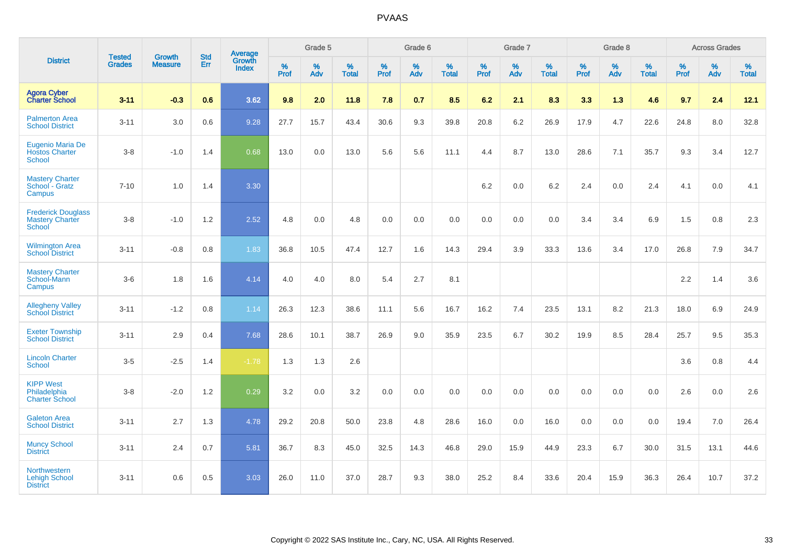|                                                                      | <b>Tested</b> | <b>Growth</b>  | <b>Std</b> | Average                |                     | Grade 5  |                   |              | Grade 6  |                   |              | Grade 7  |                   |              | Grade 8  |                   |              | <b>Across Grades</b> |                   |
|----------------------------------------------------------------------|---------------|----------------|------------|------------------------|---------------------|----------|-------------------|--------------|----------|-------------------|--------------|----------|-------------------|--------------|----------|-------------------|--------------|----------------------|-------------------|
| <b>District</b>                                                      | <b>Grades</b> | <b>Measure</b> | Err        | Growth<br><b>Index</b> | $\%$<br><b>Prof</b> | %<br>Adv | %<br><b>Total</b> | $\%$<br>Prof | %<br>Adv | %<br><b>Total</b> | $\%$<br>Prof | %<br>Adv | %<br><b>Total</b> | $\%$<br>Prof | %<br>Adv | %<br><b>Total</b> | $\%$<br>Prof | %<br>Adv             | %<br><b>Total</b> |
| <b>Agora Cyber</b><br><b>Charter School</b>                          | $3 - 11$      | $-0.3$         | 0.6        | 3.62                   | 9.8                 | 2.0      | 11.8              | 7.8          | 0.7      | 8.5               | 6.2          | 2.1      | 8.3               | 3.3          | 1.3      | 4.6               | 9.7          | 2.4                  | 12.1              |
| <b>Palmerton Area</b><br><b>School District</b>                      | $3 - 11$      | 3.0            | 0.6        | 9.28                   | 27.7                | 15.7     | 43.4              | 30.6         | 9.3      | 39.8              | 20.8         | 6.2      | 26.9              | 17.9         | 4.7      | 22.6              | 24.8         | 8.0                  | 32.8              |
| Eugenio Maria De<br><b>Hostos Charter</b><br><b>School</b>           | $3-8$         | $-1.0$         | 1.4        | 0.68                   | 13.0                | 0.0      | 13.0              | 5.6          | 5.6      | 11.1              | 4.4          | 8.7      | 13.0              | 28.6         | 7.1      | 35.7              | 9.3          | 3.4                  | 12.7              |
| <b>Mastery Charter</b><br>School - Gratz<br>Campus                   | $7 - 10$      | 1.0            | 1.4        | 3.30                   |                     |          |                   |              |          |                   | 6.2          | $0.0\,$  | $6.2\,$           | 2.4          | $0.0\,$  | 2.4               | 4.1          | $0.0\,$              | 4.1               |
| <b>Frederick Douglass</b><br><b>Mastery Charter</b><br><b>School</b> | $3-8$         | $-1.0$         | 1.2        | 2.52                   | 4.8                 | 0.0      | 4.8               | 0.0          | 0.0      | 0.0               | 0.0          | 0.0      | 0.0               | 3.4          | 3.4      | 6.9               | 1.5          | 0.8                  | $2.3\,$           |
| <b>Wilmington Area</b><br><b>School District</b>                     | $3 - 11$      | $-0.8$         | 0.8        | 1.83                   | 36.8                | 10.5     | 47.4              | 12.7         | 1.6      | 14.3              | 29.4         | 3.9      | 33.3              | 13.6         | 3.4      | 17.0              | 26.8         | 7.9                  | 34.7              |
| <b>Mastery Charter</b><br>School-Mann<br>Campus                      | $3-6$         | 1.8            | 1.6        | 4.14                   | 4.0                 | 4.0      | 8.0               | 5.4          | 2.7      | 8.1               |              |          |                   |              |          |                   | 2.2          | 1.4                  | 3.6               |
| <b>Allegheny Valley</b><br><b>School District</b>                    | $3 - 11$      | $-1.2$         | 0.8        | 1.14                   | 26.3                | 12.3     | 38.6              | 11.1         | 5.6      | 16.7              | 16.2         | 7.4      | 23.5              | 13.1         | 8.2      | 21.3              | 18.0         | 6.9                  | 24.9              |
| <b>Exeter Township</b><br><b>School District</b>                     | $3 - 11$      | 2.9            | 0.4        | 7.68                   | 28.6                | 10.1     | 38.7              | 26.9         | 9.0      | 35.9              | 23.5         | 6.7      | 30.2              | 19.9         | 8.5      | 28.4              | 25.7         | 9.5                  | 35.3              |
| <b>Lincoln Charter</b><br>School                                     | $3-5$         | $-2.5$         | 1.4        | $-1.78$                | 1.3                 | 1.3      | 2.6               |              |          |                   |              |          |                   |              |          |                   | 3.6          | 0.8                  | 4.4               |
| <b>KIPP West</b><br>Philadelphia<br><b>Charter School</b>            | $3-8$         | $-2.0$         | 1.2        | 0.29                   | 3.2                 | 0.0      | 3.2               | 0.0          | 0.0      | 0.0               | 0.0          | 0.0      | 0.0               | 0.0          | 0.0      | 0.0               | 2.6          | 0.0                  | 2.6               |
| <b>Galeton Area</b><br><b>School District</b>                        | $3 - 11$      | 2.7            | 1.3        | 4.78                   | 29.2                | 20.8     | 50.0              | 23.8         | 4.8      | 28.6              | 16.0         | 0.0      | 16.0              | 0.0          | 0.0      | 0.0               | 19.4         | 7.0                  | 26.4              |
| <b>Muncy School</b><br><b>District</b>                               | $3 - 11$      | 2.4            | 0.7        | 5.81                   | 36.7                | 8.3      | 45.0              | 32.5         | 14.3     | 46.8              | 29.0         | 15.9     | 44.9              | 23.3         | 6.7      | 30.0              | 31.5         | 13.1                 | 44.6              |
| <b>Northwestern</b><br><b>Lehigh School</b><br><b>District</b>       | $3 - 11$      | 0.6            | 0.5        | 3.03                   | 26.0                | 11.0     | 37.0              | 28.7         | 9.3      | 38.0              | 25.2         | 8.4      | 33.6              | 20.4         | 15.9     | 36.3              | 26.4         | 10.7                 | 37.2              |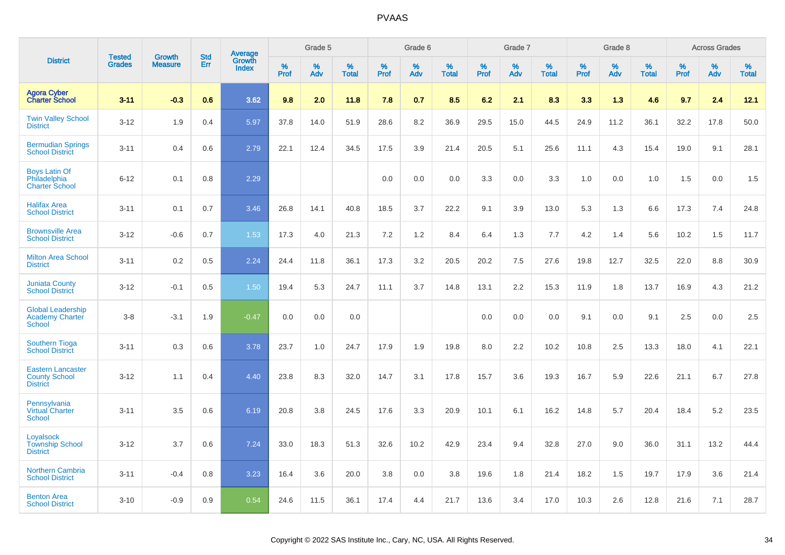|                                                                     | <b>Tested</b> | <b>Growth</b>  | <b>Std</b> |                                          |           | Grade 5  |                   |           | Grade 6  |                   |           | Grade 7  |                   |           | Grade 8  |                   |              | <b>Across Grades</b> |                   |
|---------------------------------------------------------------------|---------------|----------------|------------|------------------------------------------|-----------|----------|-------------------|-----------|----------|-------------------|-----------|----------|-------------------|-----------|----------|-------------------|--------------|----------------------|-------------------|
| <b>District</b>                                                     | <b>Grades</b> | <b>Measure</b> | <b>Err</b> | <b>Average</b><br>Growth<br><b>Index</b> | %<br>Prof | %<br>Adv | %<br><b>Total</b> | %<br>Prof | %<br>Adv | %<br><b>Total</b> | %<br>Prof | %<br>Adv | %<br><b>Total</b> | %<br>Prof | %<br>Adv | %<br><b>Total</b> | $\%$<br>Prof | %<br>Adv             | %<br><b>Total</b> |
| <b>Agora Cyber</b><br><b>Charter School</b>                         | $3 - 11$      | $-0.3$         | 0.6        | 3.62                                     | 9.8       | 2.0      | 11.8              | 7.8       | 0.7      | 8.5               | 6.2       | 2.1      | 8.3               | 3.3       | 1.3      | 4.6               | 9.7          | 2.4                  | 12.1              |
| <b>Twin Valley School</b><br><b>District</b>                        | $3 - 12$      | 1.9            | 0.4        | 5.97                                     | 37.8      | 14.0     | 51.9              | 28.6      | 8.2      | 36.9              | 29.5      | 15.0     | 44.5              | 24.9      | 11.2     | 36.1              | 32.2         | 17.8                 | 50.0              |
| <b>Bermudian Springs</b><br><b>School District</b>                  | $3 - 11$      | 0.4            | 0.6        | 2.79                                     | 22.1      | 12.4     | 34.5              | 17.5      | 3.9      | 21.4              | 20.5      | 5.1      | 25.6              | 11.1      | 4.3      | 15.4              | 19.0         | 9.1                  | 28.1              |
| <b>Boys Latin Of</b><br>Philadelphia<br><b>Charter School</b>       | $6 - 12$      | 0.1            | 0.8        | 2.29                                     |           |          |                   | 0.0       | 0.0      | 0.0               | 3.3       | 0.0      | 3.3               | 1.0       | 0.0      | 1.0               | 1.5          | 0.0                  | 1.5               |
| <b>Halifax Area</b><br><b>School District</b>                       | $3 - 11$      | 0.1            | 0.7        | 3.46                                     | 26.8      | 14.1     | 40.8              | 18.5      | 3.7      | 22.2              | 9.1       | 3.9      | 13.0              | 5.3       | 1.3      | 6.6               | 17.3         | 7.4                  | 24.8              |
| <b>Brownsville Area</b><br><b>School District</b>                   | $3 - 12$      | $-0.6$         | 0.7        | 1.53                                     | 17.3      | 4.0      | 21.3              | 7.2       | $1.2$    | 8.4               | 6.4       | 1.3      | 7.7               | 4.2       | 1.4      | 5.6               | 10.2         | 1.5                  | 11.7              |
| <b>Milton Area School</b><br><b>District</b>                        | $3 - 11$      | 0.2            | 0.5        | 2.24                                     | 24.4      | 11.8     | 36.1              | 17.3      | 3.2      | 20.5              | 20.2      | 7.5      | 27.6              | 19.8      | 12.7     | 32.5              | 22.0         | 8.8                  | 30.9              |
| <b>Juniata County</b><br><b>School District</b>                     | $3 - 12$      | $-0.1$         | 0.5        | 1.50                                     | 19.4      | 5.3      | 24.7              | 11.1      | 3.7      | 14.8              | 13.1      | 2.2      | 15.3              | 11.9      | 1.8      | 13.7              | 16.9         | 4.3                  | 21.2              |
| <b>Global Leadership</b><br>Academy Charter<br>School               | $3 - 8$       | $-3.1$         | 1.9        | $-0.47$                                  | 0.0       | 0.0      | 0.0               |           |          |                   | 0.0       | 0.0      | 0.0               | 9.1       | 0.0      | 9.1               | 2.5          | 0.0                  | 2.5               |
| <b>Southern Tioga</b><br><b>School District</b>                     | $3 - 11$      | 0.3            | 0.6        | 3.78                                     | 23.7      | 1.0      | 24.7              | 17.9      | 1.9      | 19.8              | 8.0       | 2.2      | 10.2              | 10.8      | 2.5      | 13.3              | 18.0         | 4.1                  | 22.1              |
| <b>Eastern Lancaster</b><br><b>County School</b><br><b>District</b> | $3 - 12$      | 1.1            | 0.4        | 4.40                                     | 23.8      | 8.3      | 32.0              | 14.7      | 3.1      | 17.8              | 15.7      | 3.6      | 19.3              | 16.7      | 5.9      | 22.6              | 21.1         | 6.7                  | 27.8              |
| Pennsylvania<br><b>Virtual Charter</b><br><b>School</b>             | $3 - 11$      | 3.5            | 0.6        | 6.19                                     | 20.8      | 3.8      | 24.5              | 17.6      | 3.3      | 20.9              | 10.1      | 6.1      | 16.2              | 14.8      | 5.7      | 20.4              | 18.4         | 5.2                  | 23.5              |
| Loyalsock<br><b>Township School</b><br><b>District</b>              | $3 - 12$      | 3.7            | 0.6        | 7.24                                     | 33.0      | 18.3     | 51.3              | 32.6      | 10.2     | 42.9              | 23.4      | 9.4      | 32.8              | 27.0      | 9.0      | 36.0              | 31.1         | 13.2                 | 44.4              |
| <b>Northern Cambria</b><br><b>School District</b>                   | $3 - 11$      | $-0.4$         | 0.8        | 3.23                                     | 16.4      | 3.6      | 20.0              | 3.8       | 0.0      | 3.8               | 19.6      | 1.8      | 21.4              | 18.2      | 1.5      | 19.7              | 17.9         | 3.6                  | 21.4              |
| <b>Benton Area</b><br><b>School District</b>                        | $3 - 10$      | $-0.9$         | 0.9        | 0.54                                     | 24.6      | 11.5     | 36.1              | 17.4      | 4.4      | 21.7              | 13.6      | 3.4      | 17.0              | 10.3      | 2.6      | 12.8              | 21.6         | 7.1                  | 28.7              |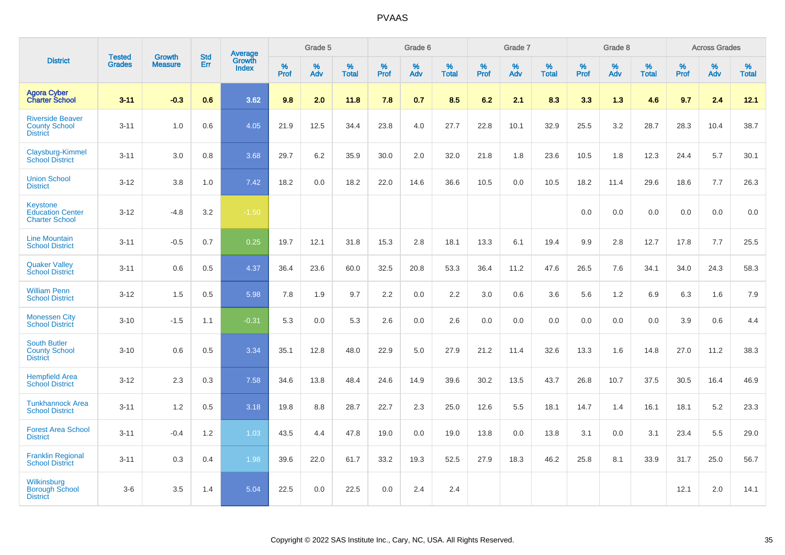|                                                                    |                                | <b>Growth</b>  | <b>Std</b> | <b>Average</b>                |                  | Grade 5  |                   |                  | Grade 6  |                   |                  | Grade 7  |                   |                  | Grade 8  |                   |                  | <b>Across Grades</b> |                   |
|--------------------------------------------------------------------|--------------------------------|----------------|------------|-------------------------------|------------------|----------|-------------------|------------------|----------|-------------------|------------------|----------|-------------------|------------------|----------|-------------------|------------------|----------------------|-------------------|
| <b>District</b>                                                    | <b>Tested</b><br><b>Grades</b> | <b>Measure</b> | Err        | <b>Growth</b><br><b>Index</b> | %<br><b>Prof</b> | %<br>Adv | %<br><b>Total</b> | %<br><b>Prof</b> | %<br>Adv | %<br><b>Total</b> | %<br><b>Prof</b> | %<br>Adv | %<br><b>Total</b> | %<br><b>Prof</b> | %<br>Adv | %<br><b>Total</b> | %<br><b>Prof</b> | %<br>Adv             | %<br><b>Total</b> |
| <b>Agora Cyber</b><br><b>Charter School</b>                        | $3 - 11$                       | $-0.3$         | 0.6        | 3.62                          | 9.8              | 2.0      | 11.8              | 7.8              | 0.7      | 8.5               | 6.2              | 2.1      | 8.3               | 3.3              | 1.3      | 4.6               | 9.7              | 2.4                  | 12.1              |
| <b>Riverside Beaver</b><br><b>County School</b><br><b>District</b> | $3 - 11$                       | 1.0            | 0.6        | 4.05                          | 21.9             | 12.5     | 34.4              | 23.8             | 4.0      | 27.7              | 22.8             | 10.1     | 32.9              | 25.5             | 3.2      | 28.7              | 28.3             | 10.4                 | 38.7              |
| Claysburg-Kimmel<br><b>School District</b>                         | $3 - 11$                       | 3.0            | 0.8        | 3.68                          | 29.7             | 6.2      | 35.9              | 30.0             | 2.0      | 32.0              | 21.8             | 1.8      | 23.6              | 10.5             | 1.8      | 12.3              | 24.4             | 5.7                  | 30.1              |
| <b>Union School</b><br><b>District</b>                             | $3 - 12$                       | 3.8            | 1.0        | 7.42                          | 18.2             | 0.0      | 18.2              | 22.0             | 14.6     | 36.6              | 10.5             | 0.0      | 10.5              | 18.2             | 11.4     | 29.6              | 18.6             | 7.7                  | 26.3              |
| Keystone<br><b>Education Center</b><br><b>Charter School</b>       | $3 - 12$                       | $-4.8$         | 3.2        | $-1.50$                       |                  |          |                   |                  |          |                   |                  |          |                   | 0.0              | 0.0      | 0.0               | 0.0              | 0.0                  | 0.0               |
| <b>Line Mountain</b><br><b>School District</b>                     | $3 - 11$                       | $-0.5$         | 0.7        | 0.25                          | 19.7             | 12.1     | 31.8              | 15.3             | 2.8      | 18.1              | 13.3             | 6.1      | 19.4              | 9.9              | 2.8      | 12.7              | 17.8             | 7.7                  | 25.5              |
| <b>Quaker Valley</b><br><b>School District</b>                     | $3 - 11$                       | 0.6            | 0.5        | 4.37                          | 36.4             | 23.6     | 60.0              | 32.5             | 20.8     | 53.3              | 36.4             | 11.2     | 47.6              | 26.5             | 7.6      | 34.1              | 34.0             | 24.3                 | 58.3              |
| <b>William Penn</b><br><b>School District</b>                      | $3 - 12$                       | 1.5            | 0.5        | 5.98                          | 7.8              | 1.9      | 9.7               | 2.2              | 0.0      | 2.2               | 3.0              | 0.6      | 3.6               | 5.6              | 1.2      | 6.9               | 6.3              | 1.6                  | 7.9               |
| <b>Monessen City</b><br><b>School District</b>                     | $3 - 10$                       | $-1.5$         | 1.1        | $-0.31$                       | 5.3              | 0.0      | 5.3               | 2.6              | 0.0      | 2.6               | 0.0              | 0.0      | 0.0               | 0.0              | 0.0      | 0.0               | 3.9              | 0.6                  | 4.4               |
| <b>South Butler</b><br><b>County School</b><br><b>District</b>     | $3 - 10$                       | 0.6            | 0.5        | 3.34                          | 35.1             | 12.8     | 48.0              | 22.9             | 5.0      | 27.9              | 21.2             | 11.4     | 32.6              | 13.3             | 1.6      | 14.8              | 27.0             | 11.2                 | 38.3              |
| <b>Hempfield Area</b><br><b>School District</b>                    | $3 - 12$                       | 2.3            | 0.3        | 7.58                          | 34.6             | 13.8     | 48.4              | 24.6             | 14.9     | 39.6              | 30.2             | 13.5     | 43.7              | 26.8             | 10.7     | 37.5              | 30.5             | 16.4                 | 46.9              |
| <b>Tunkhannock Area</b><br><b>School District</b>                  | $3 - 11$                       | 1.2            | 0.5        | 3.18                          | 19.8             | 8.8      | 28.7              | 22.7             | 2.3      | 25.0              | 12.6             | 5.5      | 18.1              | 14.7             | 1.4      | 16.1              | 18.1             | 5.2                  | 23.3              |
| <b>Forest Area School</b><br><b>District</b>                       | $3 - 11$                       | $-0.4$         | 1.2        | 1.03                          | 43.5             | 4.4      | 47.8              | 19.0             | 0.0      | 19.0              | 13.8             | 0.0      | 13.8              | 3.1              | 0.0      | 3.1               | 23.4             | 5.5                  | 29.0              |
| <b>Franklin Regional</b><br><b>School District</b>                 | $3 - 11$                       | 0.3            | 0.4        | 1.98                          | 39.6             | 22.0     | 61.7              | 33.2             | 19.3     | 52.5              | 27.9             | 18.3     | 46.2              | 25.8             | 8.1      | 33.9              | 31.7             | 25.0                 | 56.7              |
| Wilkinsburg<br><b>Borough School</b><br><b>District</b>            | $3-6$                          | 3.5            | 1.4        | 5.04                          | 22.5             | 0.0      | 22.5              | 0.0              | 2.4      | 2.4               |                  |          |                   |                  |          |                   | 12.1             | 2.0                  | 14.1              |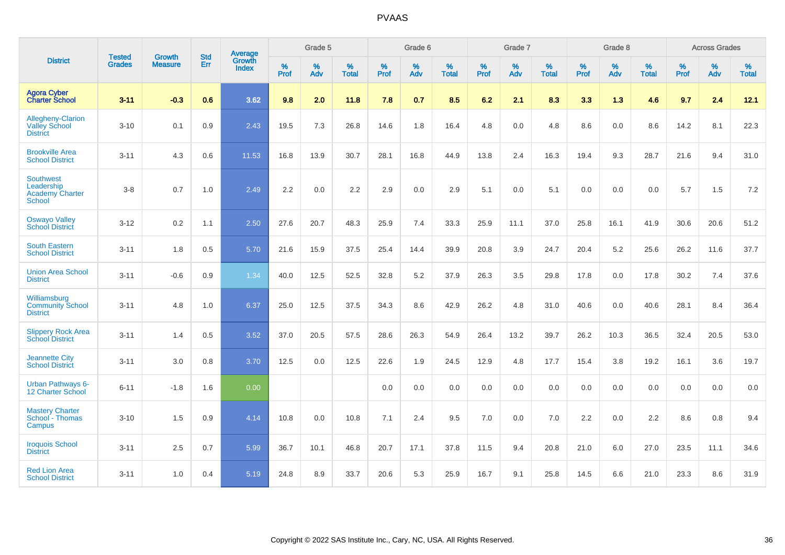|                                                                    | <b>Tested</b> | <b>Growth</b>  | <b>Std</b> | Average                |              | Grade 5  |                      |              | Grade 6  |                      |              | Grade 7  |                      |              | Grade 8  |                      |              | <b>Across Grades</b> |                   |
|--------------------------------------------------------------------|---------------|----------------|------------|------------------------|--------------|----------|----------------------|--------------|----------|----------------------|--------------|----------|----------------------|--------------|----------|----------------------|--------------|----------------------|-------------------|
| <b>District</b>                                                    | <b>Grades</b> | <b>Measure</b> | <b>Err</b> | Growth<br><b>Index</b> | $\%$<br>Prof | %<br>Adv | $\%$<br><b>Total</b> | $\%$<br>Prof | %<br>Adv | $\%$<br><b>Total</b> | $\%$<br>Prof | %<br>Adv | $\%$<br><b>Total</b> | $\%$<br>Prof | %<br>Adv | $\%$<br><b>Total</b> | $\%$<br>Prof | %<br>Adv             | %<br><b>Total</b> |
| <b>Agora Cyber<br/>Charter School</b>                              | $3 - 11$      | $-0.3$         | 0.6        | 3.62                   | 9.8          | 2.0      | 11.8                 | 7.8          | 0.7      | 8.5                  | 6.2          | 2.1      | 8.3                  | 3.3          | 1.3      | 4.6                  | 9.7          | 2.4                  | 12.1              |
| Allegheny-Clarion<br><b>Valley School</b><br><b>District</b>       | $3 - 10$      | 0.1            | 0.9        | 2.43                   | 19.5         | 7.3      | 26.8                 | 14.6         | 1.8      | 16.4                 | 4.8          | 0.0      | 4.8                  | 8.6          | 0.0      | 8.6                  | 14.2         | 8.1                  | 22.3              |
| <b>Brookville Area</b><br><b>School District</b>                   | $3 - 11$      | 4.3            | 0.6        | 11.53                  | 16.8         | 13.9     | 30.7                 | 28.1         | 16.8     | 44.9                 | 13.8         | 2.4      | 16.3                 | 19.4         | 9.3      | 28.7                 | 21.6         | 9.4                  | 31.0              |
| <b>Southwest</b><br>Leadership<br><b>Academy Charter</b><br>School | $3 - 8$       | 0.7            | 1.0        | 2.49                   | 2.2          | 0.0      | 2.2                  | 2.9          | 0.0      | 2.9                  | 5.1          | 0.0      | 5.1                  | 0.0          | 0.0      | 0.0                  | 5.7          | 1.5                  | $7.2\,$           |
| <b>Oswayo Valley</b><br><b>School District</b>                     | $3 - 12$      | 0.2            | 1.1        | 2.50                   | 27.6         | 20.7     | 48.3                 | 25.9         | 7.4      | 33.3                 | 25.9         | 11.1     | 37.0                 | 25.8         | 16.1     | 41.9                 | 30.6         | 20.6                 | 51.2              |
| <b>South Eastern</b><br><b>School District</b>                     | $3 - 11$      | 1.8            | 0.5        | 5.70                   | 21.6         | 15.9     | 37.5                 | 25.4         | 14.4     | 39.9                 | 20.8         | 3.9      | 24.7                 | 20.4         | 5.2      | 25.6                 | 26.2         | 11.6                 | 37.7              |
| <b>Union Area School</b><br><b>District</b>                        | $3 - 11$      | $-0.6$         | 0.9        | 1.34                   | 40.0         | 12.5     | 52.5                 | 32.8         | 5.2      | 37.9                 | 26.3         | 3.5      | 29.8                 | 17.8         | 0.0      | 17.8                 | 30.2         | 7.4                  | 37.6              |
| Williamsburg<br><b>Community School</b><br><b>District</b>         | $3 - 11$      | 4.8            | 1.0        | 6.37                   | 25.0         | 12.5     | 37.5                 | 34.3         | 8.6      | 42.9                 | 26.2         | 4.8      | 31.0                 | 40.6         | 0.0      | 40.6                 | 28.1         | 8.4                  | 36.4              |
| <b>Slippery Rock Area</b><br><b>School District</b>                | $3 - 11$      | 1.4            | 0.5        | 3.52                   | 37.0         | 20.5     | 57.5                 | 28.6         | 26.3     | 54.9                 | 26.4         | 13.2     | 39.7                 | 26.2         | 10.3     | 36.5                 | 32.4         | 20.5                 | 53.0              |
| <b>Jeannette City</b><br><b>School District</b>                    | $3 - 11$      | 3.0            | 0.8        | 3.70                   | 12.5         | 0.0      | 12.5                 | 22.6         | 1.9      | 24.5                 | 12.9         | 4.8      | 17.7                 | 15.4         | 3.8      | 19.2                 | 16.1         | 3.6                  | 19.7              |
| Urban Pathways 6-<br><b>12 Charter School</b>                      | $6 - 11$      | $-1.8$         | 1.6        | 0.00                   |              |          |                      | 0.0          | 0.0      | 0.0                  | 0.0          | 0.0      | 0.0                  | 0.0          | 0.0      | 0.0                  | 0.0          | 0.0                  | 0.0               |
| <b>Mastery Charter</b><br>School - Thomas<br>Campus                | $3 - 10$      | 1.5            | 0.9        | 4.14                   | 10.8         | 0.0      | 10.8                 | 7.1          | 2.4      | 9.5                  | 7.0          | 0.0      | 7.0                  | 2.2          | 0.0      | 2.2                  | 8.6          | 0.8                  | 9.4               |
| <b>Iroquois School</b><br><b>District</b>                          | $3 - 11$      | 2.5            | 0.7        | 5.99                   | 36.7         | 10.1     | 46.8                 | 20.7         | 17.1     | 37.8                 | 11.5         | 9.4      | 20.8                 | 21.0         | 6.0      | 27.0                 | 23.5         | 11.1                 | 34.6              |
| <b>Red Lion Area</b><br><b>School District</b>                     | $3 - 11$      | 1.0            | 0.4        | 5.19                   | 24.8         | 8.9      | 33.7                 | 20.6         | 5.3      | 25.9                 | 16.7         | 9.1      | 25.8                 | 14.5         | 6.6      | 21.0                 | 23.3         | 8.6                  | 31.9              |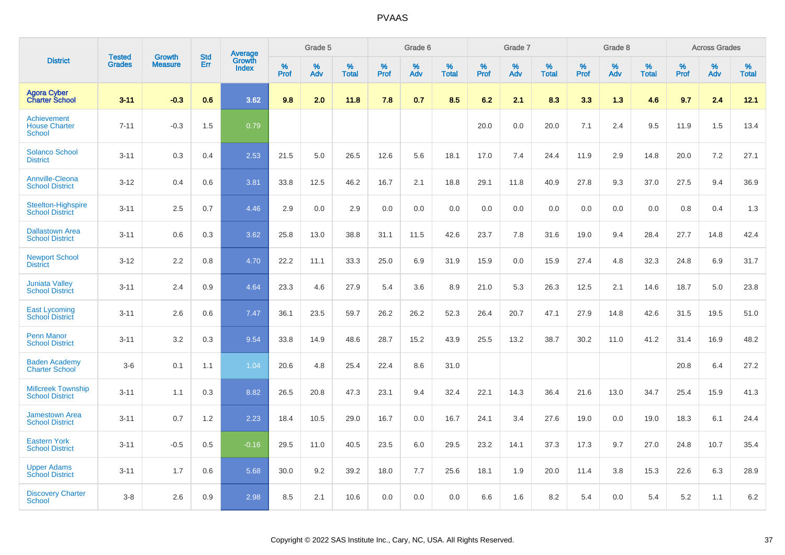|                                                      |                                |                                 | <b>Std</b> | Average                |           | Grade 5  |                      |                  | Grade 6  |                   |           | Grade 7  |                   |           | Grade 8  |                   |           | <b>Across Grades</b> |                   |
|------------------------------------------------------|--------------------------------|---------------------------------|------------|------------------------|-----------|----------|----------------------|------------------|----------|-------------------|-----------|----------|-------------------|-----------|----------|-------------------|-----------|----------------------|-------------------|
| <b>District</b>                                      | <b>Tested</b><br><b>Grades</b> | <b>Growth</b><br><b>Measure</b> | Err        | Growth<br><b>Index</b> | %<br>Prof | %<br>Adv | $\%$<br><b>Total</b> | %<br><b>Prof</b> | %<br>Adv | %<br><b>Total</b> | %<br>Prof | %<br>Adv | %<br><b>Total</b> | %<br>Prof | %<br>Adv | %<br><b>Total</b> | %<br>Prof | %<br>Adv             | %<br><b>Total</b> |
| <b>Agora Cyber</b><br><b>Charter School</b>          | $3 - 11$                       | $-0.3$                          | 0.6        | 3.62                   | 9.8       | 2.0      | 11.8                 | 7.8              | 0.7      | 8.5               | 6.2       | 2.1      | 8.3               | 3.3       | 1.3      | 4.6               | 9.7       | 2.4                  | 12.1              |
| Achievement<br><b>House Charter</b><br><b>School</b> | $7 - 11$                       | $-0.3$                          | 1.5        | 0.79                   |           |          |                      |                  |          |                   | 20.0      | 0.0      | 20.0              | 7.1       | 2.4      | 9.5               | 11.9      | 1.5                  | 13.4              |
| <b>Solanco School</b><br><b>District</b>             | $3 - 11$                       | 0.3                             | 0.4        | 2.53                   | 21.5      | 5.0      | 26.5                 | 12.6             | 5.6      | 18.1              | 17.0      | 7.4      | 24.4              | 11.9      | 2.9      | 14.8              | 20.0      | 7.2                  | 27.1              |
| <b>Annville-Cleona</b><br><b>School District</b>     | $3 - 12$                       | 0.4                             | 0.6        | 3.81                   | 33.8      | 12.5     | 46.2                 | 16.7             | 2.1      | 18.8              | 29.1      | 11.8     | 40.9              | 27.8      | 9.3      | 37.0              | 27.5      | 9.4                  | 36.9              |
| <b>Steelton-Highspire</b><br><b>School District</b>  | $3 - 11$                       | 2.5                             | 0.7        | 4.46                   | 2.9       | 0.0      | 2.9                  | 0.0              | 0.0      | 0.0               | 0.0       | 0.0      | 0.0               | 0.0       | 0.0      | 0.0               | 0.8       | 0.4                  | 1.3               |
| <b>Dallastown Area</b><br><b>School District</b>     | $3 - 11$                       | 0.6                             | 0.3        | 3.62                   | 25.8      | 13.0     | 38.8                 | 31.1             | 11.5     | 42.6              | 23.7      | 7.8      | 31.6              | 19.0      | 9.4      | 28.4              | 27.7      | 14.8                 | 42.4              |
| <b>Newport School</b><br><b>District</b>             | $3 - 12$                       | 2.2                             | 0.8        | 4.70                   | 22.2      | 11.1     | 33.3                 | 25.0             | 6.9      | 31.9              | 15.9      | 0.0      | 15.9              | 27.4      | 4.8      | 32.3              | 24.8      | 6.9                  | 31.7              |
| <b>Juniata Valley</b><br><b>School District</b>      | $3 - 11$                       | 2.4                             | 0.9        | 4.64                   | 23.3      | 4.6      | 27.9                 | 5.4              | 3.6      | 8.9               | 21.0      | 5.3      | 26.3              | 12.5      | 2.1      | 14.6              | 18.7      | 5.0                  | 23.8              |
| <b>East Lycoming</b><br><b>School District</b>       | $3 - 11$                       | 2.6                             | 0.6        | 7.47                   | 36.1      | 23.5     | 59.7                 | 26.2             | 26.2     | 52.3              | 26.4      | 20.7     | 47.1              | 27.9      | 14.8     | 42.6              | 31.5      | 19.5                 | 51.0              |
| <b>Penn Manor</b><br><b>School District</b>          | $3 - 11$                       | 3.2                             | 0.3        | 9.54                   | 33.8      | 14.9     | 48.6                 | 28.7             | 15.2     | 43.9              | 25.5      | 13.2     | 38.7              | 30.2      | 11.0     | 41.2              | 31.4      | 16.9                 | 48.2              |
| <b>Baden Academy</b><br><b>Charter School</b>        | $3-6$                          | 0.1                             | 1.1        | 1.04                   | 20.6      | 4.8      | 25.4                 | 22.4             | 8.6      | 31.0              |           |          |                   |           |          |                   | 20.8      | 6.4                  | 27.2              |
| <b>Millcreek Township</b><br><b>School District</b>  | $3 - 11$                       | 1.1                             | 0.3        | 8.82                   | 26.5      | 20.8     | 47.3                 | 23.1             | 9.4      | 32.4              | 22.1      | 14.3     | 36.4              | 21.6      | 13.0     | 34.7              | 25.4      | 15.9                 | 41.3              |
| <b>Jamestown Area</b><br><b>School District</b>      | $3 - 11$                       | 0.7                             | 1.2        | 2.23                   | 18.4      | 10.5     | 29.0                 | 16.7             | 0.0      | 16.7              | 24.1      | 3.4      | 27.6              | 19.0      | 0.0      | 19.0              | 18.3      | 6.1                  | 24.4              |
| <b>Eastern York</b><br><b>School District</b>        | $3 - 11$                       | $-0.5$                          | 0.5        | $-0.16$                | 29.5      | 11.0     | 40.5                 | 23.5             | 6.0      | 29.5              | 23.2      | 14.1     | 37.3              | 17.3      | 9.7      | 27.0              | 24.8      | 10.7                 | 35.4              |
| <b>Upper Adams</b><br><b>School District</b>         | $3 - 11$                       | 1.7                             | 0.6        | 5.68                   | 30.0      | 9.2      | 39.2                 | 18.0             | 7.7      | 25.6              | 18.1      | 1.9      | 20.0              | 11.4      | 3.8      | 15.3              | 22.6      | 6.3                  | 28.9              |
| <b>Discovery Charter</b><br>School                   | $3 - 8$                        | 2.6                             | 0.9        | 2.98                   | 8.5       | 2.1      | 10.6                 | 0.0              | 0.0      | 0.0               | 6.6       | 1.6      | 8.2               | 5.4       | $0.0\,$  | 5.4               | 5.2       | 1.1                  | 6.2               |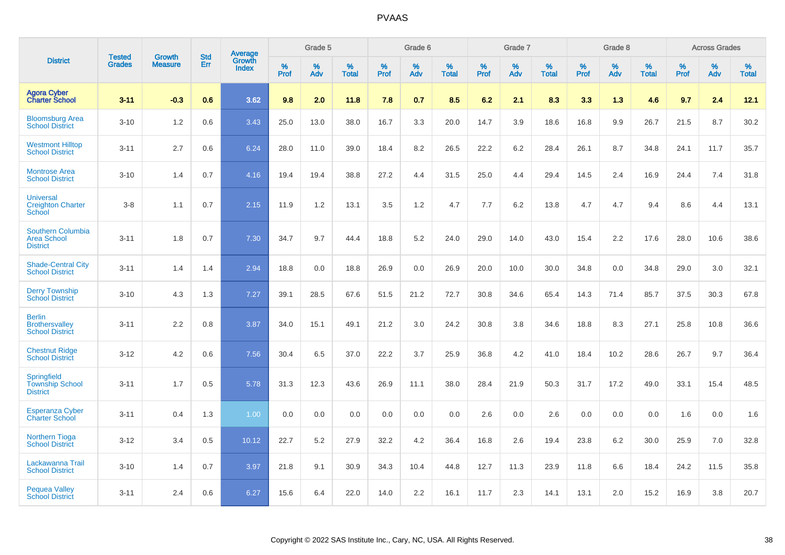|                                                                   | <b>Tested</b> | <b>Growth</b>  | <b>Std</b> | Average         |              | Grade 5  |                   |           | Grade 6  |                   |           | Grade 7  |                   |           | Grade 8  |                   |              | <b>Across Grades</b> |                   |
|-------------------------------------------------------------------|---------------|----------------|------------|-----------------|--------------|----------|-------------------|-----------|----------|-------------------|-----------|----------|-------------------|-----------|----------|-------------------|--------------|----------------------|-------------------|
| <b>District</b>                                                   | <b>Grades</b> | <b>Measure</b> | Err        | Growth<br>Index | $\%$<br>Prof | %<br>Adv | %<br><b>Total</b> | %<br>Prof | %<br>Adv | %<br><b>Total</b> | %<br>Prof | %<br>Adv | %<br><b>Total</b> | %<br>Prof | %<br>Adv | %<br><b>Total</b> | $\%$<br>Prof | $\%$<br>Adv          | %<br><b>Total</b> |
| <b>Agora Cyber</b><br><b>Charter School</b>                       | $3 - 11$      | $-0.3$         | 0.6        | 3.62            | 9.8          | 2.0      | 11.8              | 7.8       | 0.7      | 8.5               | 6.2       | 2.1      | 8.3               | 3.3       | 1.3      | 4.6               | 9.7          | 2.4                  | 12.1              |
| <b>Bloomsburg Area</b><br><b>School District</b>                  | $3 - 10$      | 1.2            | 0.6        | 3.43            | 25.0         | 13.0     | 38.0              | 16.7      | 3.3      | 20.0              | 14.7      | 3.9      | 18.6              | 16.8      | 9.9      | 26.7              | 21.5         | 8.7                  | 30.2              |
| <b>Westmont Hilltop</b><br><b>School District</b>                 | $3 - 11$      | 2.7            | 0.6        | 6.24            | 28.0         | 11.0     | 39.0              | 18.4      | 8.2      | 26.5              | 22.2      | 6.2      | 28.4              | 26.1      | 8.7      | 34.8              | 24.1         | 11.7                 | 35.7              |
| <b>Montrose Area</b><br><b>School District</b>                    | $3 - 10$      | 1.4            | 0.7        | 4.16            | 19.4         | 19.4     | 38.8              | 27.2      | 4.4      | 31.5              | 25.0      | 4.4      | 29.4              | 14.5      | 2.4      | 16.9              | 24.4         | 7.4                  | 31.8              |
| <b>Universal</b><br><b>Creighton Charter</b><br>School            | $3 - 8$       | 1.1            | 0.7        | 2.15            | 11.9         | 1.2      | 13.1              | 3.5       | 1.2      | 4.7               | 7.7       | 6.2      | 13.8              | 4.7       | 4.7      | 9.4               | 8.6          | 4.4                  | 13.1              |
| <b>Southern Columbia</b><br><b>Area School</b><br><b>District</b> | $3 - 11$      | 1.8            | 0.7        | 7.30            | 34.7         | 9.7      | 44.4              | 18.8      | 5.2      | 24.0              | 29.0      | 14.0     | 43.0              | 15.4      | 2.2      | 17.6              | 28.0         | 10.6                 | 38.6              |
| <b>Shade-Central City</b><br><b>School District</b>               | $3 - 11$      | 1.4            | 1.4        | 2.94            | 18.8         | 0.0      | 18.8              | 26.9      | 0.0      | 26.9              | 20.0      | 10.0     | 30.0              | 34.8      | 0.0      | 34.8              | 29.0         | 3.0                  | 32.1              |
| <b>Derry Township</b><br><b>School District</b>                   | $3 - 10$      | 4.3            | 1.3        | 7.27            | 39.1         | 28.5     | 67.6              | 51.5      | 21.2     | 72.7              | 30.8      | 34.6     | 65.4              | 14.3      | 71.4     | 85.7              | 37.5         | 30.3                 | 67.8              |
| <b>Berlin</b><br><b>Brothersvalley</b><br><b>School District</b>  | $3 - 11$      | 2.2            | 0.8        | 3.87            | 34.0         | 15.1     | 49.1              | 21.2      | 3.0      | 24.2              | 30.8      | 3.8      | 34.6              | 18.8      | 8.3      | 27.1              | 25.8         | 10.8                 | 36.6              |
| <b>Chestnut Ridge</b><br><b>School District</b>                   | $3 - 12$      | 4.2            | 0.6        | 7.56            | 30.4         | 6.5      | 37.0              | 22.2      | 3.7      | 25.9              | 36.8      | 4.2      | 41.0              | 18.4      | 10.2     | 28.6              | 26.7         | 9.7                  | 36.4              |
| Springfield<br><b>Township School</b><br><b>District</b>          | $3 - 11$      | 1.7            | 0.5        | 5.78            | 31.3         | 12.3     | 43.6              | 26.9      | 11.1     | 38.0              | 28.4      | 21.9     | 50.3              | 31.7      | 17.2     | 49.0              | 33.1         | 15.4                 | 48.5              |
| <b>Esperanza Cyber</b><br><b>Charter School</b>                   | $3 - 11$      | 0.4            | 1.3        | 1.00            | 0.0          | 0.0      | 0.0               | 0.0       | 0.0      | 0.0               | 2.6       | 0.0      | 2.6               | 0.0       | 0.0      | 0.0               | 1.6          | 0.0                  | 1.6               |
| <b>Northern Tioga</b><br><b>School District</b>                   | $3 - 12$      | 3.4            | 0.5        | 10.12           | 22.7         | 5.2      | 27.9              | 32.2      | 4.2      | 36.4              | 16.8      | 2.6      | 19.4              | 23.8      | 6.2      | 30.0              | 25.9         | 7.0                  | 32.8              |
| Lackawanna Trail<br><b>School District</b>                        | $3 - 10$      | 1.4            | 0.7        | 3.97            | 21.8         | 9.1      | 30.9              | 34.3      | 10.4     | 44.8              | 12.7      | 11.3     | 23.9              | 11.8      | 6.6      | 18.4              | 24.2         | 11.5                 | 35.8              |
| <b>Pequea Valley</b><br><b>School District</b>                    | $3 - 11$      | 2.4            | 0.6        | 6.27            | 15.6         | 6.4      | 22.0              | 14.0      | 2.2      | 16.1              | 11.7      | 2.3      | 14.1              | 13.1      | 2.0      | 15.2              | 16.9         | 3.8                  | 20.7              |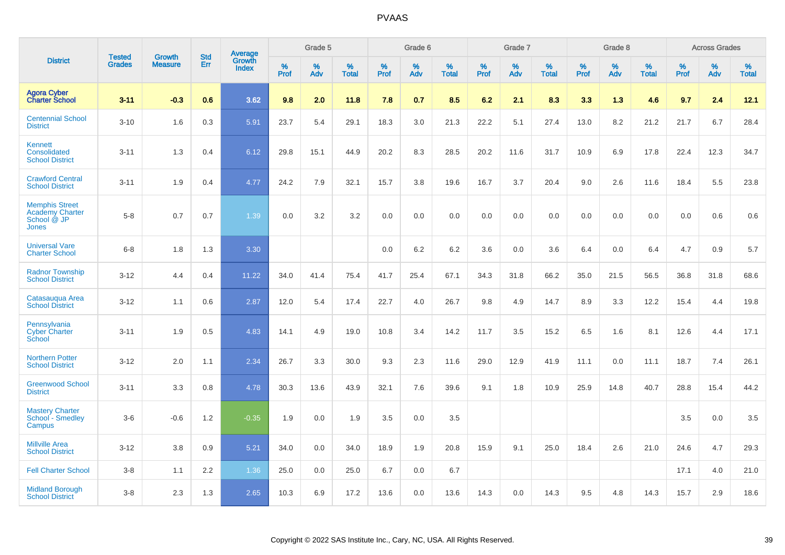|                                                                         |                                |                                 | <b>Std</b> | <b>Average</b>         |           | Grade 5  |                   |           | Grade 6  |                   |           | Grade 7  |                   |           | Grade 8  |                   |           | <b>Across Grades</b> |                   |
|-------------------------------------------------------------------------|--------------------------------|---------------------------------|------------|------------------------|-----------|----------|-------------------|-----------|----------|-------------------|-----------|----------|-------------------|-----------|----------|-------------------|-----------|----------------------|-------------------|
| <b>District</b>                                                         | <b>Tested</b><br><b>Grades</b> | <b>Growth</b><br><b>Measure</b> | Err        | Growth<br><b>Index</b> | %<br>Prof | %<br>Adv | %<br><b>Total</b> | %<br>Prof | %<br>Adv | %<br><b>Total</b> | %<br>Prof | %<br>Adv | %<br><b>Total</b> | %<br>Prof | %<br>Adv | %<br><b>Total</b> | %<br>Prof | %<br>Adv             | %<br><b>Total</b> |
| <b>Agora Cyber</b><br><b>Charter School</b>                             | $3 - 11$                       | $-0.3$                          | 0.6        | 3.62                   | 9.8       | 2.0      | 11.8              | 7.8       | 0.7      | 8.5               | 6.2       | 2.1      | 8.3               | 3.3       | 1.3      | 4.6               | 9.7       | 2.4                  | 12.1              |
| <b>Centennial School</b><br><b>District</b>                             | $3 - 10$                       | 1.6                             | 0.3        | 5.91                   | 23.7      | 5.4      | 29.1              | 18.3      | 3.0      | 21.3              | 22.2      | 5.1      | 27.4              | 13.0      | 8.2      | 21.2              | 21.7      | 6.7                  | 28.4              |
| Kennett<br>Consolidated<br><b>School District</b>                       | $3 - 11$                       | 1.3                             | 0.4        | 6.12                   | 29.8      | 15.1     | 44.9              | 20.2      | 8.3      | 28.5              | 20.2      | 11.6     | 31.7              | 10.9      | 6.9      | 17.8              | 22.4      | 12.3                 | 34.7              |
| <b>Crawford Central</b><br><b>School District</b>                       | $3 - 11$                       | 1.9                             | 0.4        | 4.77                   | 24.2      | 7.9      | 32.1              | 15.7      | 3.8      | 19.6              | 16.7      | 3.7      | 20.4              | 9.0       | 2.6      | 11.6              | 18.4      | 5.5                  | 23.8              |
| <b>Memphis Street</b><br><b>Academy Charter</b><br>School @ JP<br>Jones | $5 - 8$                        | 0.7                             | 0.7        | 1.39                   | 0.0       | 3.2      | 3.2               | $0.0\,$   | 0.0      | 0.0               | 0.0       | 0.0      | 0.0               | 0.0       | 0.0      | 0.0               | 0.0       | 0.6                  | 0.6               |
| <b>Universal Vare</b><br><b>Charter School</b>                          | $6 - 8$                        | 1.8                             | 1.3        | 3.30                   |           |          |                   | 0.0       | 6.2      | 6.2               | 3.6       | 0.0      | 3.6               | 6.4       | 0.0      | 6.4               | 4.7       | 0.9                  | 5.7               |
| <b>Radnor Township</b><br><b>School District</b>                        | $3 - 12$                       | 4.4                             | 0.4        | 11.22                  | 34.0      | 41.4     | 75.4              | 41.7      | 25.4     | 67.1              | 34.3      | 31.8     | 66.2              | 35.0      | 21.5     | 56.5              | 36.8      | 31.8                 | 68.6              |
| Catasaugua Area<br><b>School District</b>                               | $3 - 12$                       | 1.1                             | 0.6        | 2.87                   | 12.0      | 5.4      | 17.4              | 22.7      | 4.0      | 26.7              | 9.8       | 4.9      | 14.7              | 8.9       | 3.3      | 12.2              | 15.4      | 4.4                  | 19.8              |
| Pennsylvania<br><b>Cyber Charter</b><br>School                          | $3 - 11$                       | 1.9                             | 0.5        | 4.83                   | 14.1      | 4.9      | 19.0              | 10.8      | 3.4      | 14.2              | 11.7      | 3.5      | 15.2              | 6.5       | 1.6      | 8.1               | 12.6      | 4.4                  | 17.1              |
| <b>Northern Potter</b><br><b>School District</b>                        | $3 - 12$                       | 2.0                             | 1.1        | 2.34                   | 26.7      | 3.3      | 30.0              | 9.3       | 2.3      | 11.6              | 29.0      | 12.9     | 41.9              | 11.1      | 0.0      | 11.1              | 18.7      | 7.4                  | 26.1              |
| <b>Greenwood School</b><br><b>District</b>                              | $3 - 11$                       | 3.3                             | 0.8        | 4.78                   | 30.3      | 13.6     | 43.9              | 32.1      | 7.6      | 39.6              | 9.1       | 1.8      | 10.9              | 25.9      | 14.8     | 40.7              | 28.8      | 15.4                 | 44.2              |
| <b>Mastery Charter</b><br>School - Smedley<br>Campus                    | $3-6$                          | $-0.6$                          | 1.2        | $-0.35$                | 1.9       | 0.0      | 1.9               | 3.5       | 0.0      | 3.5               |           |          |                   |           |          |                   | 3.5       | 0.0                  | 3.5               |
| <b>Millville Area</b><br><b>School District</b>                         | $3 - 12$                       | 3.8                             | 0.9        | 5.21                   | 34.0      | 0.0      | 34.0              | 18.9      | 1.9      | 20.8              | 15.9      | 9.1      | 25.0              | 18.4      | 2.6      | 21.0              | 24.6      | 4.7                  | 29.3              |
| <b>Fell Charter School</b>                                              | $3 - 8$                        | 1.1                             | 2.2        | 1.36                   | 25.0      | 0.0      | 25.0              | 6.7       | 0.0      | 6.7               |           |          |                   |           |          |                   | 17.1      | 4.0                  | 21.0              |
| <b>Midland Borough</b><br><b>School District</b>                        | $3 - 8$                        | 2.3                             | 1.3        | 2.65                   | 10.3      | 6.9      | 17.2              | 13.6      | 0.0      | 13.6              | 14.3      | 0.0      | 14.3              | 9.5       | 4.8      | 14.3              | 15.7      | 2.9                  | 18.6              |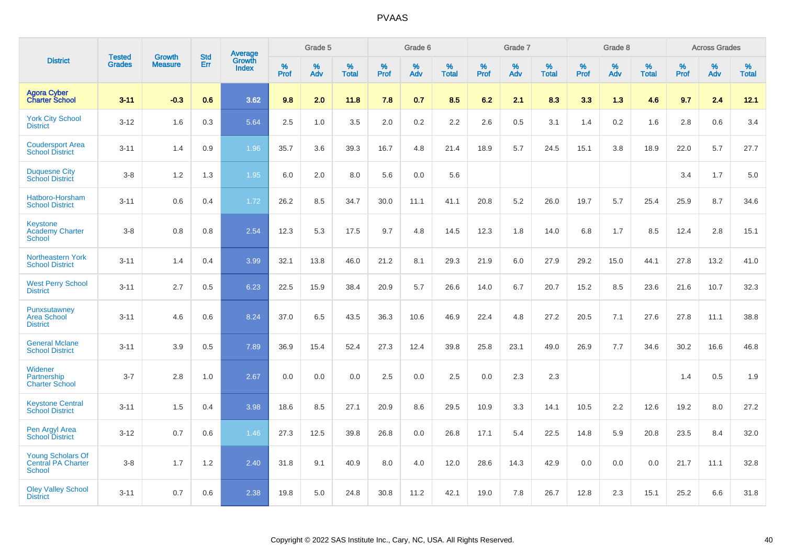|                                                                 |                                | <b>Growth</b>  | <b>Std</b> |                                          |              | Grade 5  |                   |              | Grade 6  |                   |              | Grade 7  |                      |              | Grade 8  |                   |              | <b>Across Grades</b> |                   |
|-----------------------------------------------------------------|--------------------------------|----------------|------------|------------------------------------------|--------------|----------|-------------------|--------------|----------|-------------------|--------------|----------|----------------------|--------------|----------|-------------------|--------------|----------------------|-------------------|
| <b>District</b>                                                 | <b>Tested</b><br><b>Grades</b> | <b>Measure</b> | <b>Err</b> | <b>Average</b><br>Growth<br><b>Index</b> | $\%$<br>Prof | %<br>Adv | %<br><b>Total</b> | $\%$<br>Prof | %<br>Adv | %<br><b>Total</b> | $\%$<br>Prof | %<br>Adv | $\%$<br><b>Total</b> | $\%$<br>Prof | %<br>Adv | %<br><b>Total</b> | $\%$<br>Prof | %<br>Adv             | %<br><b>Total</b> |
| <b>Agora Cyber</b><br><b>Charter School</b>                     | $3 - 11$                       | $-0.3$         | 0.6        | 3.62                                     | 9.8          | 2.0      | 11.8              | 7.8          | 0.7      | 8.5               | 6.2          | 2.1      | 8.3                  | 3.3          | 1.3      | 4.6               | 9.7          | 2.4                  | 12.1              |
| <b>York City School</b><br><b>District</b>                      | $3 - 12$                       | 1.6            | 0.3        | 5.64                                     | 2.5          | 1.0      | 3.5               | 2.0          | 0.2      | 2.2               | 2.6          | 0.5      | 3.1                  | 1.4          | 0.2      | 1.6               | 2.8          | 0.6                  | 3.4               |
| <b>Coudersport Area</b><br><b>School District</b>               | $3 - 11$                       | 1.4            | 0.9        | 1.96                                     | 35.7         | 3.6      | 39.3              | 16.7         | 4.8      | 21.4              | 18.9         | 5.7      | 24.5                 | 15.1         | 3.8      | 18.9              | 22.0         | 5.7                  | 27.7              |
| <b>Duquesne City</b><br><b>School District</b>                  | $3 - 8$                        | 1.2            | 1.3        | 1.95                                     | 6.0          | 2.0      | 8.0               | 5.6          | 0.0      | 5.6               |              |          |                      |              |          |                   | 3.4          | 1.7                  | 5.0               |
| Hatboro-Horsham<br><b>School District</b>                       | $3 - 11$                       | 0.6            | 0.4        | 1.72                                     | 26.2         | 8.5      | 34.7              | 30.0         | 11.1     | 41.1              | 20.8         | 5.2      | 26.0                 | 19.7         | 5.7      | 25.4              | 25.9         | 8.7                  | 34.6              |
| <b>Keystone</b><br><b>Academy Charter</b><br>School             | $3 - 8$                        | 0.8            | 0.8        | 2.54                                     | 12.3         | 5.3      | 17.5              | 9.7          | 4.8      | 14.5              | 12.3         | 1.8      | 14.0                 | 6.8          | 1.7      | 8.5               | 12.4         | 2.8                  | 15.1              |
| Northeastern York<br><b>School District</b>                     | $3 - 11$                       | 1.4            | 0.4        | 3.99                                     | 32.1         | 13.8     | 46.0              | 21.2         | 8.1      | 29.3              | 21.9         | 6.0      | 27.9                 | 29.2         | 15.0     | 44.1              | 27.8         | 13.2                 | 41.0              |
| <b>West Perry School</b><br><b>District</b>                     | $3 - 11$                       | 2.7            | 0.5        | 6.23                                     | 22.5         | 15.9     | 38.4              | 20.9         | 5.7      | 26.6              | 14.0         | 6.7      | 20.7                 | 15.2         | 8.5      | 23.6              | 21.6         | 10.7                 | 32.3              |
| Punxsutawney<br><b>Area School</b><br><b>District</b>           | $3 - 11$                       | 4.6            | 0.6        | 8.24                                     | 37.0         | 6.5      | 43.5              | 36.3         | 10.6     | 46.9              | 22.4         | 4.8      | 27.2                 | 20.5         | 7.1      | 27.6              | 27.8         | 11.1                 | 38.8              |
| <b>General Mclane</b><br><b>School District</b>                 | $3 - 11$                       | 3.9            | 0.5        | 7.89                                     | 36.9         | 15.4     | 52.4              | 27.3         | 12.4     | 39.8              | 25.8         | 23.1     | 49.0                 | 26.9         | 7.7      | 34.6              | 30.2         | 16.6                 | 46.8              |
| Widener<br>Partnership<br><b>Charter School</b>                 | $3 - 7$                        | 2.8            | 1.0        | 2.67                                     | 0.0          | 0.0      | 0.0               | 2.5          | 0.0      | 2.5               | 0.0          | 2.3      | 2.3                  |              |          |                   | 1.4          | 0.5                  | 1.9               |
| <b>Keystone Central</b><br><b>School District</b>               | $3 - 11$                       | 1.5            | 0.4        | 3.98                                     | 18.6         | 8.5      | 27.1              | 20.9         | 8.6      | 29.5              | 10.9         | 3.3      | 14.1                 | 10.5         | 2.2      | 12.6              | 19.2         | 8.0                  | 27.2              |
| Pen Argyl Area<br><b>School District</b>                        | $3 - 12$                       | 0.7            | 0.6        | 1.46                                     | 27.3         | 12.5     | 39.8              | 26.8         | 0.0      | 26.8              | 17.1         | 5.4      | 22.5                 | 14.8         | 5.9      | 20.8              | 23.5         | 8.4                  | 32.0              |
| <b>Young Scholars Of</b><br>Central PA Charter<br><b>School</b> | $3 - 8$                        | 1.7            | $1.2$      | 2.40                                     | 31.8         | 9.1      | 40.9              | 8.0          | 4.0      | 12.0              | 28.6         | 14.3     | 42.9                 | 0.0          | 0.0      | 0.0               | 21.7         | 11.1                 | 32.8              |
| <b>Oley Valley School</b><br><b>District</b>                    | $3 - 11$                       | 0.7            | 0.6        | 2.38                                     | 19.8         | 5.0      | 24.8              | 30.8         | 11.2     | 42.1              | 19.0         | 7.8      | 26.7                 | 12.8         | 2.3      | 15.1              | 25.2         | 6.6                  | 31.8              |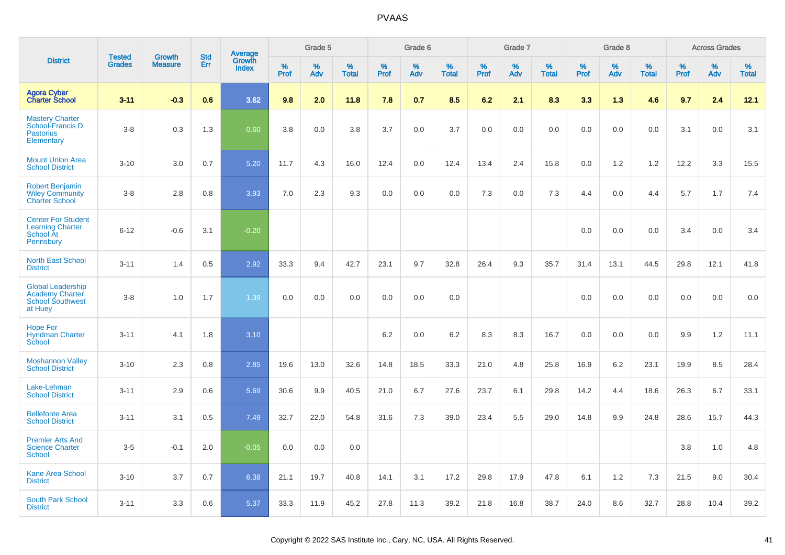|                                                                                          | <b>Tested</b> | <b>Growth</b>  | <b>Std</b> |                                   |                     | Grade 5  |                   |              | Grade 6  |                   |              | Grade 7  |                   |              | Grade 8  |                   |              | <b>Across Grades</b> |                   |
|------------------------------------------------------------------------------------------|---------------|----------------|------------|-----------------------------------|---------------------|----------|-------------------|--------------|----------|-------------------|--------------|----------|-------------------|--------------|----------|-------------------|--------------|----------------------|-------------------|
| <b>District</b>                                                                          | <b>Grades</b> | <b>Measure</b> | Err        | Average<br>Growth<br><b>Index</b> | $\%$<br><b>Prof</b> | %<br>Adv | %<br><b>Total</b> | $\%$<br>Prof | %<br>Adv | %<br><b>Total</b> | $\%$<br>Prof | %<br>Adv | %<br><b>Total</b> | $\%$<br>Prof | %<br>Adv | %<br><b>Total</b> | $\%$<br>Prof | %<br>Adv             | %<br><b>Total</b> |
| <b>Agora Cyber</b><br><b>Charter School</b>                                              | $3 - 11$      | $-0.3$         | 0.6        | 3.62                              | 9.8                 | 2.0      | 11.8              | 7.8          | 0.7      | 8.5               | 6.2          | 2.1      | 8.3               | 3.3          | 1.3      | 4.6               | 9.7          | 2.4                  | 12.1              |
| <b>Mastery Charter</b><br>School-Francis D.<br><b>Pastorius</b><br>Elementary            | $3-8$         | 0.3            | 1.3        | 0.60                              | 3.8                 | 0.0      | 3.8               | 3.7          | 0.0      | 3.7               | 0.0          | 0.0      | 0.0               | 0.0          | 0.0      | 0.0               | 3.1          | 0.0                  | 3.1               |
| <b>Mount Union Area</b><br><b>School District</b>                                        | $3 - 10$      | 3.0            | 0.7        | 5.20                              | 11.7                | 4.3      | 16.0              | 12.4         | 0.0      | 12.4              | 13.4         | 2.4      | 15.8              | 0.0          | 1.2      | 1.2               | 12.2         | 3.3                  | 15.5              |
| <b>Robert Benjamin</b><br><b>Wiley Community</b><br><b>Charter School</b>                | $3-8$         | 2.8            | 0.8        | 3.93                              | 7.0                 | 2.3      | 9.3               | 0.0          | 0.0      | 0.0               | 7.3          | 0.0      | 7.3               | 4.4          | 0.0      | 4.4               | 5.7          | 1.7                  | 7.4               |
| <b>Center For Student</b><br><b>Learning Charter</b><br>School At<br>Pennsbury           | $6 - 12$      | $-0.6$         | 3.1        | $-0.20$                           |                     |          |                   |              |          |                   |              |          |                   | 0.0          | 0.0      | 0.0               | 3.4          | 0.0                  | 3.4               |
| <b>North East School</b><br><b>District</b>                                              | $3 - 11$      | 1.4            | 0.5        | 2.92                              | 33.3                | 9.4      | 42.7              | 23.1         | 9.7      | 32.8              | 26.4         | 9.3      | 35.7              | 31.4         | 13.1     | 44.5              | 29.8         | 12.1                 | 41.8              |
| <b>Global Leadership</b><br><b>Academy Charter</b><br><b>School Southwest</b><br>at Huey | $3-8$         | 1.0            | 1.7        | 1.39                              | 0.0                 | 0.0      | 0.0               | 0.0          | 0.0      | 0.0               |              |          |                   | 0.0          | 0.0      | 0.0               | 0.0          | 0.0                  | 0.0               |
| <b>Hope For</b><br><b>Hyndman Charter</b><br>School                                      | $3 - 11$      | 4.1            | 1.8        | 3.10                              |                     |          |                   | $6.2\,$      | 0.0      | 6.2               | 8.3          | 8.3      | 16.7              | 0.0          | 0.0      | 0.0               | 9.9          | $1.2$                | 11.1              |
| <b>Moshannon Valley</b><br><b>School District</b>                                        | $3 - 10$      | 2.3            | 0.8        | 2.85                              | 19.6                | 13.0     | 32.6              | 14.8         | 18.5     | 33.3              | 21.0         | 4.8      | 25.8              | 16.9         | 6.2      | 23.1              | 19.9         | 8.5                  | 28.4              |
| Lake-Lehman<br><b>School District</b>                                                    | $3 - 11$      | 2.9            | 0.6        | 5.69                              | 30.6                | 9.9      | 40.5              | 21.0         | 6.7      | 27.6              | 23.7         | 6.1      | 29.8              | 14.2         | 4.4      | 18.6              | 26.3         | 6.7                  | 33.1              |
| <b>Bellefonte Area</b><br><b>School District</b>                                         | $3 - 11$      | 3.1            | 0.5        | 7.49                              | 32.7                | 22.0     | 54.8              | 31.6         | 7.3      | 39.0              | 23.4         | 5.5      | 29.0              | 14.8         | 9.9      | 24.8              | 28.6         | 15.7                 | 44.3              |
| <b>Premier Arts And</b><br><b>Science Charter</b><br>School                              | $3-5$         | $-0.1$         | 2.0        | $-0.05$                           | 0.0                 | 0.0      | 0.0               |              |          |                   |              |          |                   |              |          |                   | 3.8          | 1.0                  | 4.8               |
| <b>Kane Area School</b><br><b>District</b>                                               | $3 - 10$      | 3.7            | 0.7        | 6.38                              | 21.1                | 19.7     | 40.8              | 14.1         | 3.1      | 17.2              | 29.8         | 17.9     | 47.8              | 6.1          | 1.2      | 7.3               | 21.5         | 9.0                  | 30.4              |
| <b>South Park School</b><br><b>District</b>                                              | $3 - 11$      | 3.3            | 0.6        | 5.37                              | 33.3                | 11.9     | 45.2              | 27.8         | 11.3     | 39.2              | 21.8         | 16.8     | 38.7              | 24.0         | 8.6      | 32.7              | 28.8         | 10.4                 | 39.2              |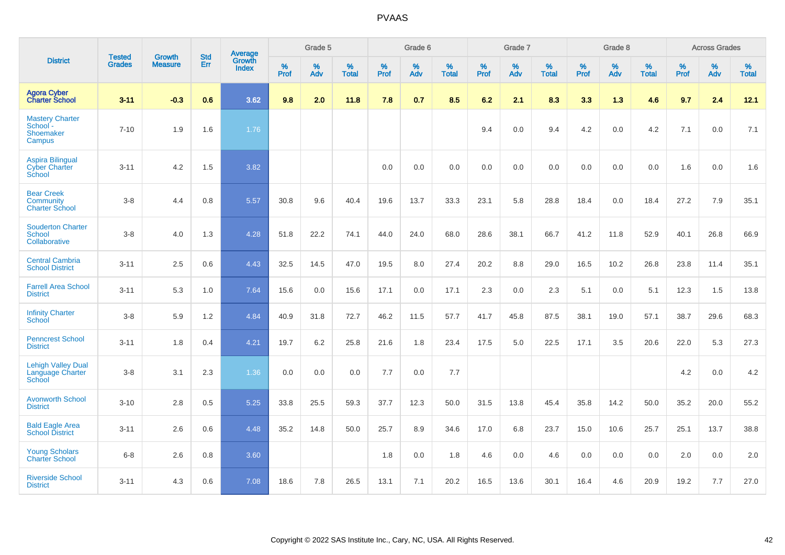|                                                            |                                |                                 | <b>Std</b> | Average                       |              | Grade 5  |                   |           | Grade 6  |                   |           | Grade 7  |                   |           | Grade 8  |                   |           | <b>Across Grades</b> |                   |
|------------------------------------------------------------|--------------------------------|---------------------------------|------------|-------------------------------|--------------|----------|-------------------|-----------|----------|-------------------|-----------|----------|-------------------|-----------|----------|-------------------|-----------|----------------------|-------------------|
| <b>District</b>                                            | <b>Tested</b><br><b>Grades</b> | <b>Growth</b><br><b>Measure</b> | Err        | <b>Growth</b><br><b>Index</b> | $\%$<br>Prof | %<br>Adv | %<br><b>Total</b> | %<br>Prof | %<br>Adv | %<br><b>Total</b> | %<br>Prof | %<br>Adv | %<br><b>Total</b> | %<br>Prof | %<br>Adv | %<br><b>Total</b> | %<br>Prof | %<br>Adv             | %<br><b>Total</b> |
| <b>Agora Cyber<br/>Charter School</b>                      | $3 - 11$                       | $-0.3$                          | 0.6        | 3.62                          | 9.8          | 2.0      | 11.8              | 7.8       | 0.7      | 8.5               | 6.2       | 2.1      | 8.3               | 3.3       | 1.3      | 4.6               | 9.7       | 2.4                  | 12.1              |
| <b>Mastery Charter</b><br>School -<br>Shoemaker<br>Campus  | $7 - 10$                       | 1.9                             | 1.6        | 1.76                          |              |          |                   |           |          |                   | 9.4       | 0.0      | 9.4               | 4.2       | 0.0      | 4.2               | 7.1       | 0.0                  | 7.1               |
| <b>Aspira Bilingual</b><br><b>Cyber Charter</b><br>School  | $3 - 11$                       | 4.2                             | 1.5        | 3.82                          |              |          |                   | 0.0       | 0.0      | 0.0               | 0.0       | 0.0      | 0.0               | 0.0       | 0.0      | 0.0               | 1.6       | 0.0                  | 1.6               |
| <b>Bear Creek</b><br>Community<br><b>Charter School</b>    | $3 - 8$                        | 4.4                             | 0.8        | 5.57                          | 30.8         | 9.6      | 40.4              | 19.6      | 13.7     | 33.3              | 23.1      | 5.8      | 28.8              | 18.4      | 0.0      | 18.4              | 27.2      | 7.9                  | 35.1              |
| <b>Souderton Charter</b><br><b>School</b><br>Collaborative | $3-8$                          | 4.0                             | 1.3        | 4.28                          | 51.8         | 22.2     | 74.1              | 44.0      | 24.0     | 68.0              | 28.6      | 38.1     | 66.7              | 41.2      | 11.8     | 52.9              | 40.1      | 26.8                 | 66.9              |
| <b>Central Cambria</b><br><b>School District</b>           | $3 - 11$                       | 2.5                             | 0.6        | 4.43                          | 32.5         | 14.5     | 47.0              | 19.5      | 8.0      | 27.4              | 20.2      | 8.8      | 29.0              | 16.5      | 10.2     | 26.8              | 23.8      | 11.4                 | 35.1              |
| <b>Farrell Area School</b><br><b>District</b>              | $3 - 11$                       | 5.3                             | 1.0        | 7.64                          | 15.6         | 0.0      | 15.6              | 17.1      | 0.0      | 17.1              | 2.3       | 0.0      | 2.3               | 5.1       | 0.0      | 5.1               | 12.3      | 1.5                  | 13.8              |
| <b>Infinity Charter</b><br>School                          | $3 - 8$                        | 5.9                             | 1.2        | 4.84                          | 40.9         | 31.8     | 72.7              | 46.2      | 11.5     | 57.7              | 41.7      | 45.8     | 87.5              | 38.1      | 19.0     | 57.1              | 38.7      | 29.6                 | 68.3              |
| <b>Penncrest School</b><br><b>District</b>                 | $3 - 11$                       | 1.8                             | 0.4        | 4.21                          | 19.7         | 6.2      | 25.8              | 21.6      | 1.8      | 23.4              | 17.5      | 5.0      | 22.5              | 17.1      | 3.5      | 20.6              | 22.0      | 5.3                  | 27.3              |
| <b>Lehigh Valley Dual</b><br>Language Charter<br>School    | $3 - 8$                        | 3.1                             | 2.3        | 1.36                          | 0.0          | 0.0      | 0.0               | 7.7       | 0.0      | 7.7               |           |          |                   |           |          |                   | 4.2       | 0.0                  | 4.2               |
| <b>Avonworth School</b><br><b>District</b>                 | $3 - 10$                       | 2.8                             | 0.5        | 5.25                          | 33.8         | 25.5     | 59.3              | 37.7      | 12.3     | 50.0              | 31.5      | 13.8     | 45.4              | 35.8      | 14.2     | 50.0              | 35.2      | 20.0                 | 55.2              |
| <b>Bald Eagle Area</b><br><b>School District</b>           | $3 - 11$                       | 2.6                             | 0.6        | 4.48                          | 35.2         | 14.8     | 50.0              | 25.7      | 8.9      | 34.6              | 17.0      | 6.8      | 23.7              | 15.0      | 10.6     | 25.7              | 25.1      | 13.7                 | 38.8              |
| <b>Young Scholars</b><br><b>Charter School</b>             | $6-8$                          | 2.6                             | 0.8        | 3.60                          |              |          |                   | 1.8       | 0.0      | 1.8               | 4.6       | 0.0      | 4.6               | 0.0       | 0.0      | 0.0               | 2.0       | 0.0                  | 2.0               |
| <b>Riverside School</b><br><b>District</b>                 | $3 - 11$                       | 4.3                             | 0.6        | 7.08                          | 18.6         | 7.8      | 26.5              | 13.1      | 7.1      | 20.2              | 16.5      | 13.6     | 30.1              | 16.4      | 4.6      | 20.9              | 19.2      | 7.7                  | 27.0              |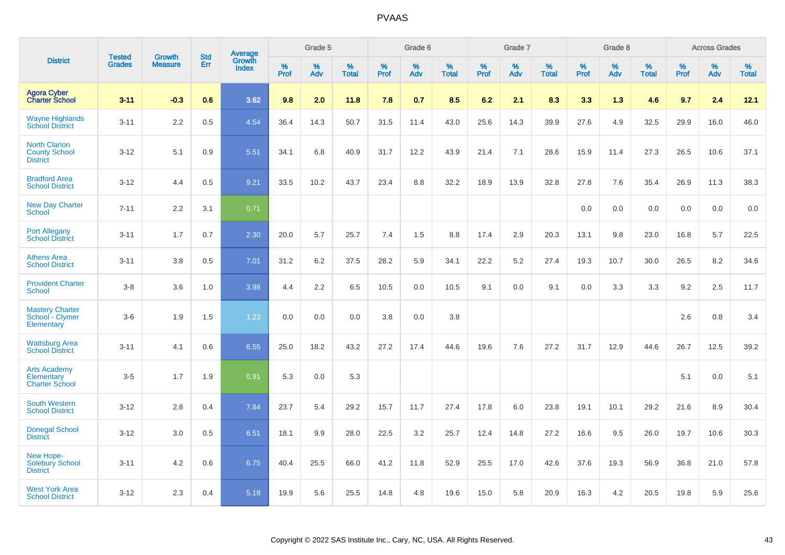|                                                                 |                                | <b>Growth</b>  | <b>Std</b> | Average                |              | Grade 5  |                   |           | Grade 6  |                   |           | Grade 7  |                   |           | Grade 8  |                   |           | <b>Across Grades</b> |                   |
|-----------------------------------------------------------------|--------------------------------|----------------|------------|------------------------|--------------|----------|-------------------|-----------|----------|-------------------|-----------|----------|-------------------|-----------|----------|-------------------|-----------|----------------------|-------------------|
| <b>District</b>                                                 | <b>Tested</b><br><b>Grades</b> | <b>Measure</b> | <b>Err</b> | Growth<br><b>Index</b> | $\%$<br>Prof | %<br>Adv | %<br><b>Total</b> | %<br>Prof | %<br>Adv | %<br><b>Total</b> | %<br>Prof | %<br>Adv | %<br><b>Total</b> | %<br>Prof | %<br>Adv | %<br><b>Total</b> | %<br>Prof | %<br>Adv             | %<br><b>Total</b> |
| <b>Agora Cyber</b><br><b>Charter School</b>                     | $3 - 11$                       | $-0.3$         | 0.6        | 3.62                   | 9.8          | 2.0      | 11.8              | 7.8       | 0.7      | 8.5               | 6.2       | 2.1      | 8.3               | 3.3       | 1.3      | 4.6               | 9.7       | 2.4                  | 12.1              |
| <b>Wayne Highlands</b><br><b>School District</b>                | $3 - 11$                       | 2.2            | 0.5        | 4.54                   | 36.4         | 14.3     | 50.7              | 31.5      | 11.4     | 43.0              | 25.6      | 14.3     | 39.9              | 27.6      | 4.9      | 32.5              | 29.9      | 16.0                 | 46.0              |
| <b>North Clarion</b><br><b>County School</b><br><b>District</b> | $3 - 12$                       | 5.1            | 0.9        | 5.51                   | 34.1         | 6.8      | 40.9              | 31.7      | 12.2     | 43.9              | 21.4      | 7.1      | 28.6              | 15.9      | 11.4     | 27.3              | 26.5      | 10.6                 | 37.1              |
| <b>Bradford Area</b><br><b>School District</b>                  | $3 - 12$                       | 4.4            | 0.5        | 9.21                   | 33.5         | 10.2     | 43.7              | 23.4      | 8.8      | 32.2              | 18.9      | 13.9     | 32.8              | 27.8      | 7.6      | 35.4              | 26.9      | 11.3                 | 38.3              |
| <b>New Day Charter</b><br><b>School</b>                         | $7 - 11$                       | 2.2            | 3.1        | 0.71                   |              |          |                   |           |          |                   |           |          |                   | 0.0       | 0.0      | 0.0               | 0.0       | 0.0                  | 0.0               |
| <b>Port Allegany</b><br><b>School District</b>                  | $3 - 11$                       | 1.7            | 0.7        | 2.30                   | 20.0         | 5.7      | 25.7              | 7.4       | 1.5      | 8.8               | 17.4      | 2.9      | 20.3              | 13.1      | 9.8      | 23.0              | 16.8      | 5.7                  | 22.5              |
| <b>Athens Area</b><br><b>School District</b>                    | $3 - 11$                       | 3.8            | 0.5        | 7.01                   | 31.2         | 6.2      | 37.5              | 28.2      | 5.9      | 34.1              | 22.2      | 5.2      | 27.4              | 19.3      | 10.7     | 30.0              | 26.5      | 8.2                  | 34.6              |
| <b>Provident Charter</b><br><b>School</b>                       | $3 - 8$                        | 3.6            | 1.0        | 3.98                   | 4.4          | 2.2      | 6.5               | 10.5      | 0.0      | 10.5              | 9.1       | 0.0      | 9.1               | 0.0       | 3.3      | 3.3               | 9.2       | 2.5                  | 11.7              |
| <b>Mastery Charter</b><br>School - Clymer<br>Elementary         | $3-6$                          | 1.9            | 1.5        | 1.23                   | 0.0          | 0.0      | 0.0               | 3.8       | 0.0      | 3.8               |           |          |                   |           |          |                   | 2.6       | 0.8                  | 3.4               |
| <b>Wattsburg Area</b><br><b>School District</b>                 | $3 - 11$                       | 4.1            | 0.6        | 6.55                   | 25.0         | 18.2     | 43.2              | 27.2      | 17.4     | 44.6              | 19.6      | 7.6      | 27.2              | 31.7      | 12.9     | 44.6              | 26.7      | 12.5                 | 39.2              |
| <b>Arts Academy</b><br>Elementary<br><b>Charter School</b>      | $3-5$                          | 1.7            | 1.9        | 0.91                   | 5.3          | 0.0      | 5.3               |           |          |                   |           |          |                   |           |          |                   | 5.1       | 0.0                  | 5.1               |
| <b>South Western</b><br><b>School District</b>                  | $3 - 12$                       | 2.8            | 0.4        | 7.84                   | 23.7         | 5.4      | 29.2              | 15.7      | 11.7     | 27.4              | 17.8      | 6.0      | 23.8              | 19.1      | 10.1     | 29.2              | 21.6      | 8.9                  | 30.4              |
| <b>Donegal School</b><br><b>District</b>                        | $3 - 12$                       | 3.0            | 0.5        | 6.51                   | 18.1         | 9.9      | 28.0              | 22.5      | 3.2      | 25.7              | 12.4      | 14.8     | 27.2              | 16.6      | 9.5      | 26.0              | 19.7      | 10.6                 | 30.3              |
| New Hope-<br><b>Solebury School</b><br><b>District</b>          | $3 - 11$                       | 4.2            | 0.6        | 6.75                   | 40.4         | 25.5     | 66.0              | 41.2      | 11.8     | 52.9              | 25.5      | 17.0     | 42.6              | 37.6      | 19.3     | 56.9              | 36.8      | 21.0                 | 57.8              |
| <b>West York Area</b><br><b>School District</b>                 | $3 - 12$                       | 2.3            | 0.4        | 5.18                   | 19.9         | 5.6      | 25.5              | 14.8      | 4.8      | 19.6              | 15.0      | 5.8      | 20.9              | 16.3      | 4.2      | 20.5              | 19.8      | 5.9                  | 25.6              |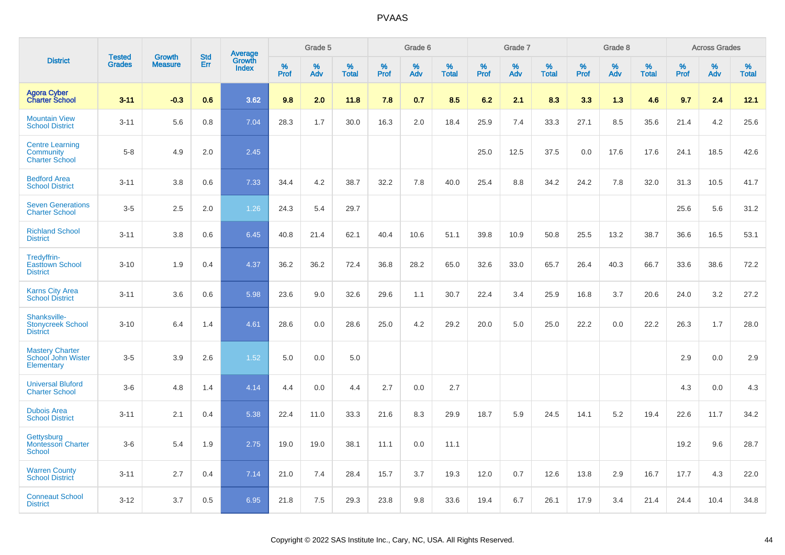|                                                              |                                |                                 | <b>Std</b> |                            |                     | Grade 5  |                   |                     | Grade 6  |                   |              | Grade 7  |                   |                     | Grade 8  |                   |                     | <b>Across Grades</b> |                      |
|--------------------------------------------------------------|--------------------------------|---------------------------------|------------|----------------------------|---------------------|----------|-------------------|---------------------|----------|-------------------|--------------|----------|-------------------|---------------------|----------|-------------------|---------------------|----------------------|----------------------|
| <b>District</b>                                              | <b>Tested</b><br><b>Grades</b> | <b>Growth</b><br><b>Measure</b> | Err        | Average<br>Growth<br>Index | $\%$<br><b>Prof</b> | %<br>Adv | %<br><b>Total</b> | $\%$<br><b>Prof</b> | %<br>Adv | %<br><b>Total</b> | $\%$<br>Prof | %<br>Adv | %<br><b>Total</b> | $\%$<br><b>Prof</b> | %<br>Adv | %<br><b>Total</b> | $\%$<br><b>Prof</b> | %<br>Adv             | $\%$<br><b>Total</b> |
| <b>Agora Cyber</b><br><b>Charter School</b>                  | $3 - 11$                       | $-0.3$                          | 0.6        | 3.62                       | 9.8                 | 2.0      | 11.8              | 7.8                 | 0.7      | 8.5               | 6.2          | 2.1      | 8.3               | 3.3                 | 1.3      | 4.6               | 9.7                 | 2.4                  | 12.1                 |
| <b>Mountain View</b><br><b>School District</b>               | $3 - 11$                       | 5.6                             | 0.8        | 7.04                       | 28.3                | 1.7      | 30.0              | 16.3                | 2.0      | 18.4              | 25.9         | 7.4      | 33.3              | 27.1                | 8.5      | 35.6              | 21.4                | 4.2                  | 25.6                 |
| <b>Centre Learning</b><br>Community<br><b>Charter School</b> | $5 - 8$                        | 4.9                             | 2.0        | 2.45                       |                     |          |                   |                     |          |                   | 25.0         | 12.5     | 37.5              | 0.0                 | 17.6     | 17.6              | 24.1                | 18.5                 | 42.6                 |
| <b>Bedford Area</b><br><b>School District</b>                | $3 - 11$                       | 3.8                             | 0.6        | 7.33                       | 34.4                | 4.2      | 38.7              | 32.2                | 7.8      | 40.0              | 25.4         | 8.8      | 34.2              | 24.2                | 7.8      | 32.0              | 31.3                | 10.5                 | 41.7                 |
| <b>Seven Generations</b><br><b>Charter School</b>            | $3-5$                          | 2.5                             | 2.0        | 1.26                       | 24.3                | 5.4      | 29.7              |                     |          |                   |              |          |                   |                     |          |                   | 25.6                | 5.6                  | 31.2                 |
| <b>Richland School</b><br><b>District</b>                    | $3 - 11$                       | 3.8                             | 0.6        | 6.45                       | 40.8                | 21.4     | 62.1              | 40.4                | 10.6     | 51.1              | 39.8         | 10.9     | 50.8              | 25.5                | 13.2     | 38.7              | 36.6                | 16.5                 | 53.1                 |
| Tredyffrin-<br><b>Easttown School</b><br><b>District</b>     | $3 - 10$                       | 1.9                             | 0.4        | 4.37                       | 36.2                | 36.2     | 72.4              | 36.8                | 28.2     | 65.0              | 32.6         | 33.0     | 65.7              | 26.4                | 40.3     | 66.7              | 33.6                | 38.6                 | 72.2                 |
| <b>Karns City Area</b><br><b>School District</b>             | $3 - 11$                       | 3.6                             | 0.6        | 5.98                       | 23.6                | 9.0      | 32.6              | 29.6                | 1.1      | 30.7              | 22.4         | 3.4      | 25.9              | 16.8                | 3.7      | 20.6              | 24.0                | 3.2                  | 27.2                 |
| Shanksville-<br><b>Stonycreek School</b><br><b>District</b>  | $3 - 10$                       | 6.4                             | 1.4        | 4.61                       | 28.6                | 0.0      | 28.6              | 25.0                | 4.2      | 29.2              | 20.0         | 5.0      | 25.0              | 22.2                | 0.0      | 22.2              | 26.3                | 1.7                  | 28.0                 |
| <b>Mastery Charter</b><br>School John Wister<br>Elementary   | $3-5$                          | 3.9                             | 2.6        | 1.52                       | 5.0                 | 0.0      | 5.0               |                     |          |                   |              |          |                   |                     |          |                   | 2.9                 | 0.0                  | 2.9                  |
| <b>Universal Bluford</b><br><b>Charter School</b>            | $3-6$                          | 4.8                             | 1.4        | 4.14                       | 4.4                 | 0.0      | 4.4               | 2.7                 | 0.0      | 2.7               |              |          |                   |                     |          |                   | 4.3                 | 0.0                  | 4.3                  |
| <b>Dubois Area</b><br><b>School District</b>                 | $3 - 11$                       | 2.1                             | 0.4        | 5.38                       | 22.4                | 11.0     | 33.3              | 21.6                | 8.3      | 29.9              | 18.7         | 5.9      | 24.5              | 14.1                | 5.2      | 19.4              | 22.6                | 11.7                 | 34.2                 |
| Gettysburg<br><b>Montessori Charter</b><br>School            | $3-6$                          | 5.4                             | 1.9        | 2.75                       | 19.0                | 19.0     | 38.1              | 11.1                | 0.0      | 11.1              |              |          |                   |                     |          |                   | 19.2                | 9.6                  | 28.7                 |
| <b>Warren County</b><br><b>School District</b>               | $3 - 11$                       | 2.7                             | 0.4        | 7.14                       | 21.0                | 7.4      | 28.4              | 15.7                | 3.7      | 19.3              | 12.0         | 0.7      | 12.6              | 13.8                | 2.9      | 16.7              | 17.7                | 4.3                  | 22.0                 |
| <b>Conneaut School</b><br><b>District</b>                    | $3 - 12$                       | 3.7                             | 0.5        | 6.95                       | 21.8                | 7.5      | 29.3              | 23.8                | 9.8      | 33.6              | 19.4         | 6.7      | 26.1              | 17.9                | 3.4      | 21.4              | 24.4                | 10.4                 | 34.8                 |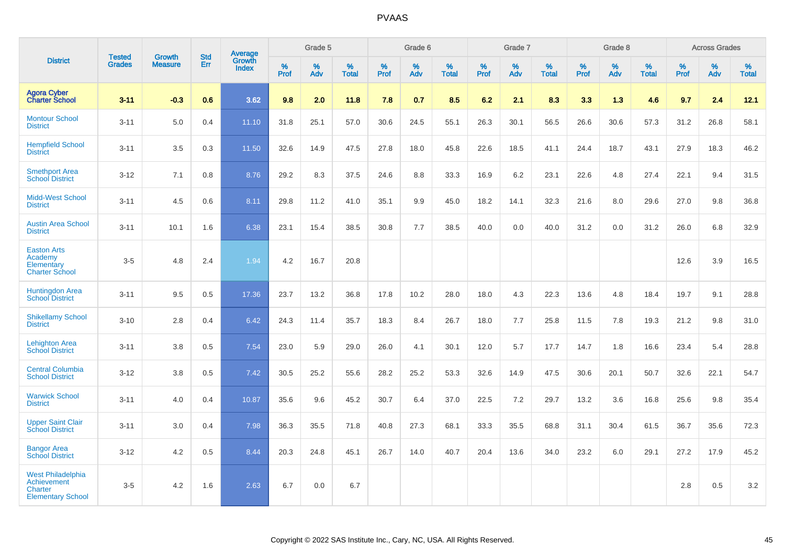|                                                                                              |                                |                                 | <b>Std</b> | Average                |              | Grade 5  |                   |           | Grade 6  |                   |           | Grade 7  |                   |           | Grade 8  |                   |           | <b>Across Grades</b> |                   |
|----------------------------------------------------------------------------------------------|--------------------------------|---------------------------------|------------|------------------------|--------------|----------|-------------------|-----------|----------|-------------------|-----------|----------|-------------------|-----------|----------|-------------------|-----------|----------------------|-------------------|
| <b>District</b>                                                                              | <b>Tested</b><br><b>Grades</b> | <b>Growth</b><br><b>Measure</b> | Err        | Growth<br><b>Index</b> | $\%$<br>Prof | %<br>Adv | %<br><b>Total</b> | %<br>Prof | %<br>Adv | %<br><b>Total</b> | %<br>Prof | %<br>Adv | %<br><b>Total</b> | %<br>Prof | %<br>Adv | %<br><b>Total</b> | %<br>Prof | %<br>Adv             | %<br><b>Total</b> |
| <b>Agora Cyber</b><br><b>Charter School</b>                                                  | $3 - 11$                       | $-0.3$                          | 0.6        | 3.62                   | 9.8          | 2.0      | 11.8              | 7.8       | 0.7      | 8.5               | 6.2       | 2.1      | 8.3               | 3.3       | 1.3      | 4.6               | 9.7       | 2.4                  | 12.1              |
| <b>Montour School</b><br><b>District</b>                                                     | $3 - 11$                       | 5.0                             | 0.4        | 11.10                  | 31.8         | 25.1     | 57.0              | 30.6      | 24.5     | 55.1              | 26.3      | 30.1     | 56.5              | 26.6      | 30.6     | 57.3              | 31.2      | 26.8                 | 58.1              |
| <b>Hempfield School</b><br><b>District</b>                                                   | $3 - 11$                       | 3.5                             | 0.3        | 11.50                  | 32.6         | 14.9     | 47.5              | 27.8      | 18.0     | 45.8              | 22.6      | 18.5     | 41.1              | 24.4      | 18.7     | 43.1              | 27.9      | 18.3                 | 46.2              |
| <b>Smethport Area</b><br><b>School District</b>                                              | $3 - 12$                       | 7.1                             | 0.8        | 8.76                   | 29.2         | 8.3      | 37.5              | 24.6      | 8.8      | 33.3              | 16.9      | 6.2      | 23.1              | 22.6      | 4.8      | 27.4              | 22.1      | 9.4                  | 31.5              |
| <b>Midd-West School</b><br><b>District</b>                                                   | $3 - 11$                       | 4.5                             | 0.6        | 8.11                   | 29.8         | 11.2     | 41.0              | 35.1      | 9.9      | 45.0              | 18.2      | 14.1     | 32.3              | 21.6      | 8.0      | 29.6              | 27.0      | 9.8                  | 36.8              |
| <b>Austin Area School</b><br><b>District</b>                                                 | $3 - 11$                       | 10.1                            | 1.6        | 6.38                   | 23.1         | 15.4     | 38.5              | 30.8      | 7.7      | 38.5              | 40.0      | 0.0      | 40.0              | 31.2      | 0.0      | 31.2              | 26.0      | 6.8                  | 32.9              |
| <b>Easton Arts</b><br>Academy<br>Elementary<br><b>Charter School</b>                         | $3-5$                          | 4.8                             | 2.4        | 1.94                   | 4.2          | 16.7     | 20.8              |           |          |                   |           |          |                   |           |          |                   | 12.6      | 3.9                  | 16.5              |
| <b>Huntingdon Area</b><br><b>School District</b>                                             | $3 - 11$                       | 9.5                             | 0.5        | 17.36                  | 23.7         | 13.2     | 36.8              | 17.8      | 10.2     | 28.0              | 18.0      | 4.3      | 22.3              | 13.6      | 4.8      | 18.4              | 19.7      | 9.1                  | 28.8              |
| <b>Shikellamy School</b><br><b>District</b>                                                  | $3 - 10$                       | 2.8                             | 0.4        | 6.42                   | 24.3         | 11.4     | 35.7              | 18.3      | 8.4      | 26.7              | 18.0      | 7.7      | 25.8              | 11.5      | 7.8      | 19.3              | 21.2      | 9.8                  | 31.0              |
| <b>Lehighton Area</b><br><b>School District</b>                                              | $3 - 11$                       | 3.8                             | 0.5        | 7.54                   | 23.0         | 5.9      | 29.0              | 26.0      | 4.1      | 30.1              | 12.0      | 5.7      | 17.7              | 14.7      | 1.8      | 16.6              | 23.4      | 5.4                  | 28.8              |
| <b>Central Columbia</b><br><b>School District</b>                                            | $3 - 12$                       | 3.8                             | 0.5        | 7.42                   | 30.5         | 25.2     | 55.6              | 28.2      | 25.2     | 53.3              | 32.6      | 14.9     | 47.5              | 30.6      | 20.1     | 50.7              | 32.6      | 22.1                 | 54.7              |
| <b>Warwick School</b><br><b>District</b>                                                     | $3 - 11$                       | 4.0                             | 0.4        | 10.87                  | 35.6         | 9.6      | 45.2              | 30.7      | 6.4      | 37.0              | 22.5      | $7.2\,$  | 29.7              | 13.2      | 3.6      | 16.8              | 25.6      | 9.8                  | 35.4              |
| <b>Upper Saint Clair</b><br><b>School District</b>                                           | $3 - 11$                       | 3.0                             | 0.4        | 7.98                   | 36.3         | 35.5     | 71.8              | 40.8      | 27.3     | 68.1              | 33.3      | 35.5     | 68.8              | 31.1      | 30.4     | 61.5              | 36.7      | 35.6                 | 72.3              |
| <b>Bangor Area</b><br><b>School District</b>                                                 | $3 - 12$                       | 4.2                             | 0.5        | 8.44                   | 20.3         | 24.8     | 45.1              | 26.7      | 14.0     | 40.7              | 20.4      | 13.6     | 34.0              | 23.2      | 6.0      | 29.1              | 27.2      | 17.9                 | 45.2              |
| <b>West Philadelphia</b><br><b>Achievement</b><br><b>Charter</b><br><b>Elementary School</b> | $3-5$                          | 4.2                             | 1.6        | 2.63                   | 6.7          | 0.0      | 6.7               |           |          |                   |           |          |                   |           |          |                   | 2.8       | 0.5                  | 3.2               |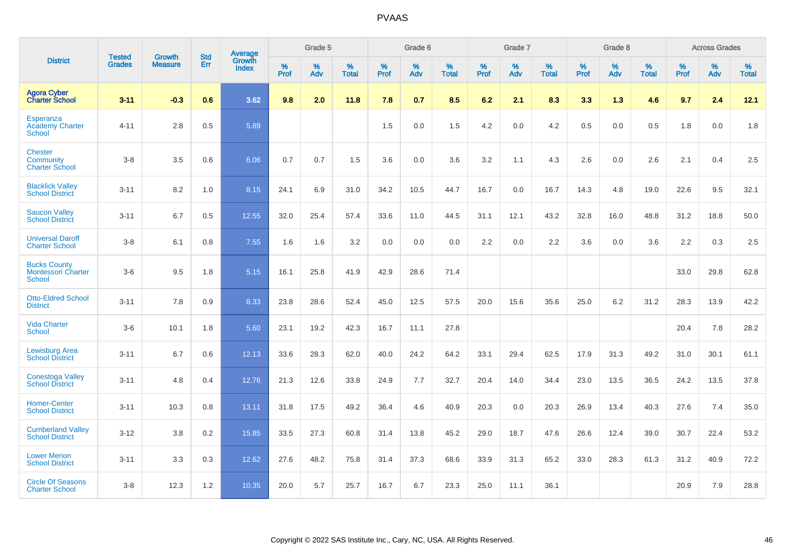|                                                                   | <b>Tested</b> | <b>Growth</b>  | <b>Std</b> | Average                       |           | Grade 5  |                   |           | Grade 6  |                   |           | Grade 7  |                   |           | Grade 8  |                   |           | <b>Across Grades</b> |                   |
|-------------------------------------------------------------------|---------------|----------------|------------|-------------------------------|-----------|----------|-------------------|-----------|----------|-------------------|-----------|----------|-------------------|-----------|----------|-------------------|-----------|----------------------|-------------------|
| <b>District</b>                                                   | <b>Grades</b> | <b>Measure</b> | Err        | <b>Growth</b><br><b>Index</b> | %<br>Prof | %<br>Adv | %<br><b>Total</b> | %<br>Prof | %<br>Adv | %<br><b>Total</b> | %<br>Prof | %<br>Adv | %<br><b>Total</b> | %<br>Prof | %<br>Adv | %<br><b>Total</b> | %<br>Prof | %<br>Adv             | %<br><b>Total</b> |
| <b>Agora Cyber</b><br><b>Charter School</b>                       | $3 - 11$      | $-0.3$         | 0.6        | 3.62                          | 9.8       | 2.0      | 11.8              | 7.8       | 0.7      | 8.5               | 6.2       | 2.1      | 8.3               | 3.3       | 1.3      | 4.6               | 9.7       | 2.4                  | 12.1              |
| Esperanza<br><b>Academy Charter</b><br>School                     | $4 - 11$      | 2.8            | 0.5        | 5.89                          |           |          |                   | 1.5       | 0.0      | 1.5               | 4.2       | 0.0      | 4.2               | 0.5       | 0.0      | 0.5               | 1.8       | 0.0                  | 1.8               |
| <b>Chester</b><br>Community<br><b>Charter School</b>              | $3 - 8$       | 3.5            | 0.6        | 6.06                          | 0.7       | 0.7      | 1.5               | 3.6       | 0.0      | 3.6               | 3.2       | 1.1      | 4.3               | 2.6       | 0.0      | 2.6               | 2.1       | 0.4                  | 2.5               |
| <b>Blacklick Valley</b><br><b>School District</b>                 | $3 - 11$      | 8.2            | 1.0        | 8.15                          | 24.1      | 6.9      | 31.0              | 34.2      | 10.5     | 44.7              | 16.7      | 0.0      | 16.7              | 14.3      | 4.8      | 19.0              | 22.6      | 9.5                  | 32.1              |
| <b>Saucon Valley</b><br><b>School District</b>                    | $3 - 11$      | 6.7            | 0.5        | 12.55                         | 32.0      | 25.4     | 57.4              | 33.6      | 11.0     | 44.5              | 31.1      | 12.1     | 43.2              | 32.8      | 16.0     | 48.8              | 31.2      | 18.8                 | 50.0              |
| <b>Universal Daroff</b><br><b>Charter School</b>                  | $3 - 8$       | 6.1            | 0.8        | 7.55                          | 1.6       | 1.6      | 3.2               | 0.0       | 0.0      | 0.0               | 2.2       | 0.0      | 2.2               | 3.6       | 0.0      | 3.6               | 2.2       | 0.3                  | 2.5               |
| <b>Bucks County</b><br><b>Montessori Charter</b><br><b>School</b> | $3-6$         | 9.5            | 1.8        | 5.15                          | 16.1      | 25.8     | 41.9              | 42.9      | 28.6     | 71.4              |           |          |                   |           |          |                   | 33.0      | 29.8                 | 62.8              |
| <b>Otto-Eldred School</b><br><b>District</b>                      | $3 - 11$      | 7.8            | 0.9        | 8.33                          | 23.8      | 28.6     | 52.4              | 45.0      | 12.5     | 57.5              | 20.0      | 15.6     | 35.6              | 25.0      | 6.2      | 31.2              | 28.3      | 13.9                 | 42.2              |
| <b>Vida Charter</b><br><b>School</b>                              | $3-6$         | 10.1           | 1.8        | 5.60                          | 23.1      | 19.2     | 42.3              | 16.7      | 11.1     | 27.8              |           |          |                   |           |          |                   | 20.4      | 7.8                  | 28.2              |
| <b>Lewisburg Area</b><br><b>School District</b>                   | $3 - 11$      | 6.7            | 0.6        | 12.13                         | 33.6      | 28.3     | 62.0              | 40.0      | 24.2     | 64.2              | 33.1      | 29.4     | 62.5              | 17.9      | 31.3     | 49.2              | 31.0      | 30.1                 | 61.1              |
| <b>Conestoga Valley</b><br><b>School District</b>                 | $3 - 11$      | 4.8            | 0.4        | 12.76                         | 21.3      | 12.6     | 33.8              | 24.9      | 7.7      | 32.7              | 20.4      | 14.0     | 34.4              | 23.0      | 13.5     | 36.5              | 24.2      | 13.5                 | 37.8              |
| <b>Homer-Center</b><br><b>School District</b>                     | $3 - 11$      | 10.3           | 0.8        | 13.11                         | 31.8      | 17.5     | 49.2              | 36.4      | 4.6      | 40.9              | 20.3      | 0.0      | 20.3              | 26.9      | 13.4     | 40.3              | 27.6      | 7.4                  | 35.0              |
| <b>Cumberland Valley</b><br><b>School District</b>                | $3 - 12$      | 3.8            | 0.2        | 15.85                         | 33.5      | 27.3     | 60.8              | 31.4      | 13.8     | 45.2              | 29.0      | 18.7     | 47.6              | 26.6      | 12.4     | 39.0              | 30.7      | 22.4                 | 53.2              |
| <b>Lower Merion</b><br><b>School District</b>                     | $3 - 11$      | 3.3            | 0.3        | 12.62                         | 27.6      | 48.2     | 75.8              | 31.4      | 37.3     | 68.6              | 33.9      | 31.3     | 65.2              | 33.0      | 28.3     | 61.3              | 31.2      | 40.9                 | 72.2              |
| <b>Circle Of Seasons</b><br><b>Charter School</b>                 | $3 - 8$       | 12.3           | 1.2        | 10.35                         | 20.0      | 5.7      | 25.7              | 16.7      | 6.7      | 23.3              | 25.0      | 11.1     | 36.1              |           |          |                   | 20.9      | 7.9                  | 28.8              |